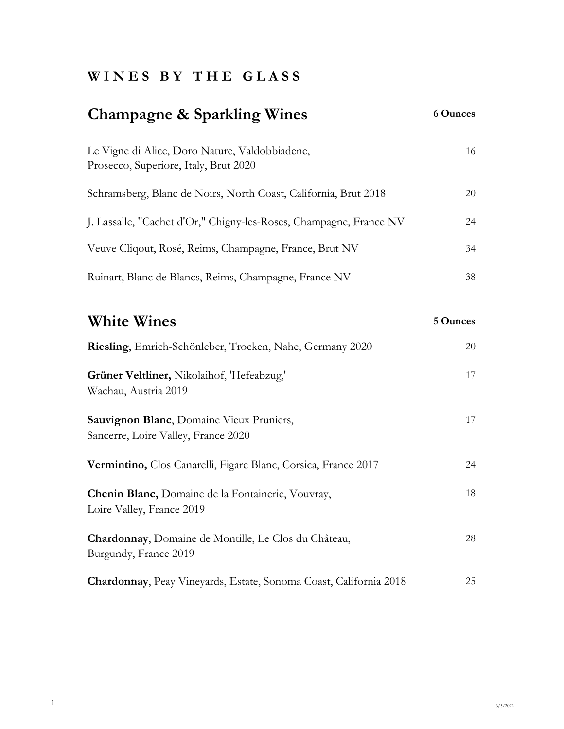## **W I N E S B Y T H E G L A S S**

#### **Champagne & Sparkling Wines 6 Ounces**

| Le Vigne di Alice, Doro Nature, Valdobbiadene,<br>Prosecco, Superiore, Italy, Brut 2020 | 16  |
|-----------------------------------------------------------------------------------------|-----|
| Schramsberg, Blanc de Noirs, North Coast, California, Brut 2018                         | 20  |
| J. Lassalle, "Cachet d'Or," Chigny-les-Roses, Champagne, France NV                      | 24  |
| Veuve Cliqout, Rosé, Reims, Champagne, France, Brut NV                                  | 34  |
| Ruinart, Blanc de Blancs, Reims, Champagne, France NV                                   | 38. |

| <b>White Wines</b>                                                              | 5 Ounces |
|---------------------------------------------------------------------------------|----------|
| Riesling, Emrich-Schönleber, Trocken, Nahe, Germany 2020                        | 20       |
| Grüner Veltliner, Nikolaihof, 'Hefeabzug,'<br>Wachau, Austria 2019              | 17       |
| Sauvignon Blanc, Domaine Vieux Pruniers,<br>Sancerre, Loire Valley, France 2020 | 17       |
| Vermintino, Clos Canarelli, Figare Blanc, Corsica, France 2017                  | 24       |
| Chenin Blanc, Domaine de la Fontainerie, Vouvray,<br>Loire Valley, France 2019  | 18       |
| Chardonnay, Domaine de Montille, Le Clos du Château,<br>Burgundy, France 2019   | 28       |
| <b>Chardonnay, Peay Vineyards, Estate, Sonoma Coast, California 2018</b>        | 25       |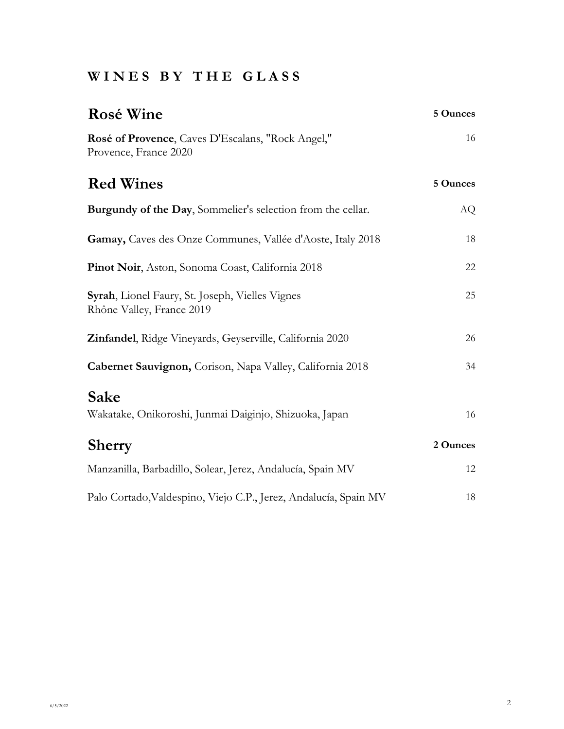# **W I N E S B Y T H E G L A S S**

| <b>Rosé Wine</b>                                                             | 5 Ounces |
|------------------------------------------------------------------------------|----------|
| Rosé of Provence, Caves D'Escalans, "Rock Angel,"<br>Provence, France 2020   | 16       |
| <b>Red Wines</b>                                                             | 5 Ounces |
| Burgundy of the Day, Sommelier's selection from the cellar.                  | AQ       |
| Gamay, Caves des Onze Communes, Vallée d'Aoste, Italy 2018                   | 18       |
| Pinot Noir, Aston, Sonoma Coast, California 2018                             | 22       |
| Syrah, Lionel Faury, St. Joseph, Vielles Vignes<br>Rhône Valley, France 2019 | 25       |
| Zinfandel, Ridge Vineyards, Geyserville, California 2020                     | 26       |
| Cabernet Sauvignon, Corison, Napa Valley, California 2018                    | 34       |
| Sake<br>Wakatake, Onikoroshi, Junmai Daiginjo, Shizuoka, Japan               | 16       |
| <b>Sherry</b>                                                                | 2 Ounces |
| Manzanilla, Barbadillo, Solear, Jerez, Andalucía, Spain MV                   | 12       |
| Palo Cortado, Valdespino, Viejo C.P., Jerez, Andalucía, Spain MV             | 18       |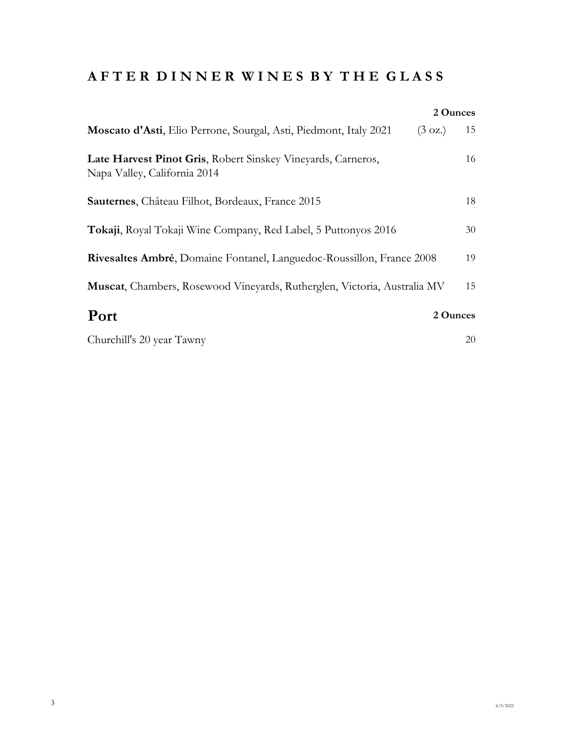## **A F T E R D I N N E R W I N E S B Y T H E G L A S S**

|                                                                                              | 2 Ounces                |
|----------------------------------------------------------------------------------------------|-------------------------|
| Moscato d'Asti, Elio Perrone, Sourgal, Asti, Piedmont, Italy 2021                            | 15<br>$(3 \text{ oz.})$ |
| Late Harvest Pinot Gris, Robert Sinskey Vineyards, Carneros,<br>Napa Valley, California 2014 | 16                      |
| Sauternes, Château Filhot, Bordeaux, France 2015                                             | 18                      |
| Tokaji, Royal Tokaji Wine Company, Red Label, 5 Puttonyos 2016                               | 30                      |
| Rivesaltes Ambré, Domaine Fontanel, Languedoc-Roussillon, France 2008                        | 19                      |
| Muscat, Chambers, Rosewood Vineyards, Rutherglen, Victoria, Australia MV                     | 15                      |
| Port                                                                                         | 2 Ounces                |
| Churchill's 20 year Tawny                                                                    | 20                      |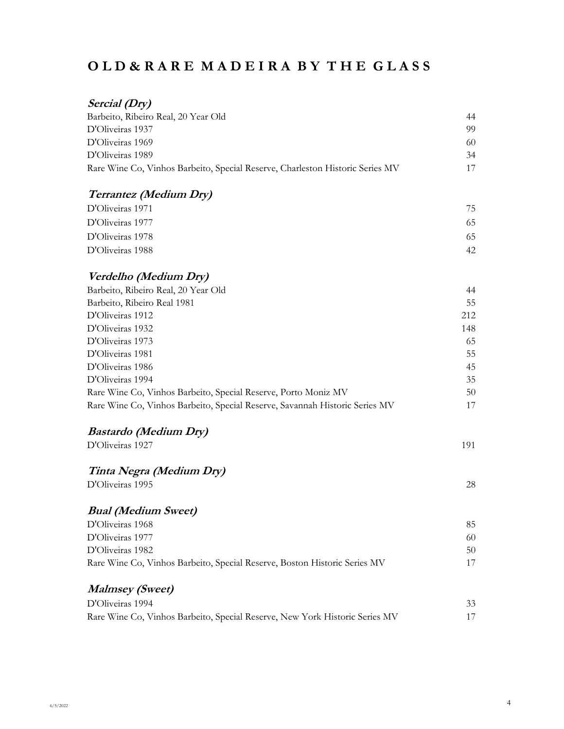## **O L D & R A R E M A D E I R A B Y T H E G L A S S**

## **Sercial (Dry)**

| Barbeito, Ribeiro Real, 20 Year Old                                           | 44  |
|-------------------------------------------------------------------------------|-----|
| D'Oliveiras 1937                                                              | 99  |
| D'Oliveiras 1969                                                              | 60  |
| D'Oliveiras 1989                                                              | 34  |
| Rare Wine Co, Vinhos Barbeito, Special Reserve, Charleston Historic Series MV | 17  |
| <b>Terrantez (Medium Dry)</b>                                                 |     |
| D'Oliveiras 1971                                                              | 75  |
| D'Oliveiras 1977                                                              | 65  |
| D'Oliveiras 1978                                                              | 65  |
| D'Oliveiras 1988                                                              | 42  |
| Verdelho (Medium Dry)                                                         |     |
| Barbeito, Ribeiro Real, 20 Year Old                                           | 44  |
| Barbeito, Ribeiro Real 1981                                                   | 55  |
| D'Oliveiras 1912                                                              | 212 |
| D'Oliveiras 1932                                                              | 148 |
| D'Oliveiras 1973                                                              | 65  |
| D'Oliveiras 1981                                                              | 55  |
| D'Oliveiras 1986                                                              | 45  |
| D'Oliveiras 1994                                                              | 35  |
| Rare Wine Co, Vinhos Barbeito, Special Reserve, Porto Moniz MV                | 50  |
| Rare Wine Co, Vinhos Barbeito, Special Reserve, Savannah Historic Series MV   | 17  |
| <b>Bastardo (Medium Dry)</b>                                                  |     |
| D'Oliveiras 1927                                                              | 191 |
| Tinta Negra (Medium Dry)                                                      |     |
| D'Oliveiras 1995                                                              | 28  |
| <b>Bual (Medium Sweet)</b>                                                    |     |
| D'Oliveiras 1968                                                              | 85  |
| D'Oliveiras 1977                                                              | 60  |
| D'Oliveiras 1982                                                              | 50  |
| Rare Wine Co, Vinhos Barbeito, Special Reserve, Boston Historic Series MV     | 17  |
| <b>Malmsey</b> (Sweet)                                                        |     |
| D'Oliveiras 1994                                                              | 33  |
| Rare Wine Co, Vinhos Barbeito, Special Reserve, New York Historic Series MV   | 17  |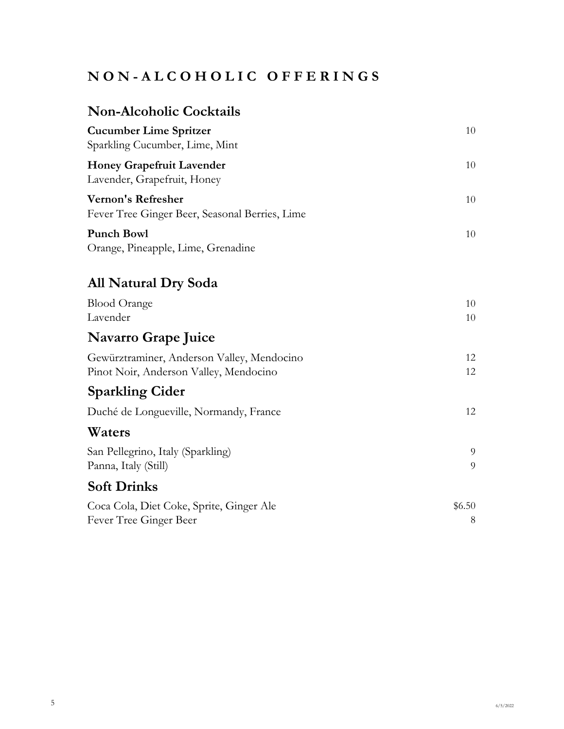# **N O N - A L C O H O L I C O F F E R I N G S**

# **Non-Alcoholic Cocktails**

| <b>Cucumber Lime Spritzer</b><br>Sparkling Cucumber, Lime, Mint                      | 10          |
|--------------------------------------------------------------------------------------|-------------|
| <b>Honey Grapefruit Lavender</b><br>Lavender, Grapefruit, Honey                      | 10          |
| <b>Vernon's Refresher</b><br>Fever Tree Ginger Beer, Seasonal Berries, Lime          | 10          |
| <b>Punch Bowl</b><br>Orange, Pineapple, Lime, Grenadine                              | 10          |
| <b>All Natural Dry Soda</b>                                                          |             |
| <b>Blood Orange</b><br>Lavender                                                      | 10<br>10    |
| <b>Navarro Grape Juice</b>                                                           |             |
| Gewürztraminer, Anderson Valley, Mendocino<br>Pinot Noir, Anderson Valley, Mendocino | 12<br>12    |
| <b>Sparkling Cider</b>                                                               |             |
| Duché de Longueville, Normandy, France                                               | 12          |
| Waters                                                                               |             |
| San Pellegrino, Italy (Sparkling)<br>Panna, Italy (Still)                            | 9<br>9      |
| <b>Soft Drinks</b>                                                                   |             |
| Coca Cola, Diet Coke, Sprite, Ginger Ale<br>Fever Tree Ginger Beer                   | \$6.50<br>8 |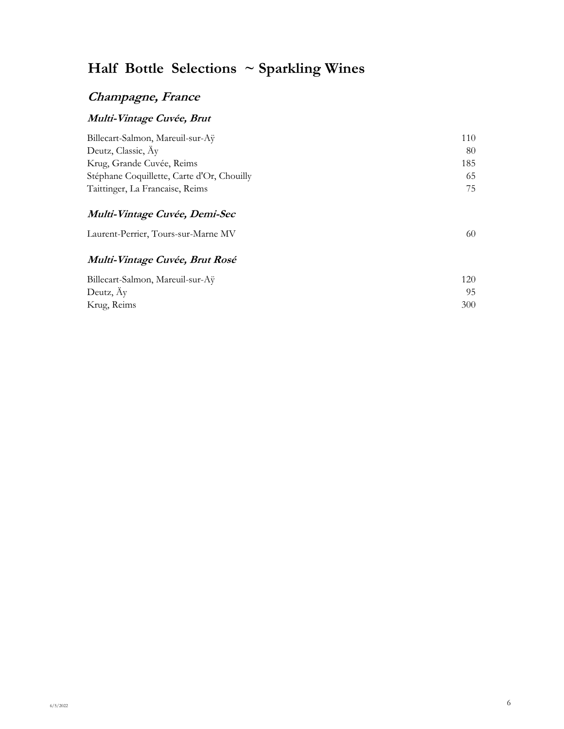# **Half Bottle Selections ~ Sparkling Wines**

### **Champagne, France**

### **Multi-Vintage Cuvée, Brut**

| Billecart-Salmon, Mareuil-sur-Aÿ           | 110 |
|--------------------------------------------|-----|
| Deutz, Classic, Ay                         | 80  |
| Krug, Grande Cuvée, Reims                  | 185 |
| Stéphane Coquillette, Carte d'Or, Chouilly | 65  |
| Taittinger, La Francaise, Reims            | 75  |

### **Multi-Vintage Cuvée, Demi-Sec**

| Laurent-Perrier, Tours-sur-Marne MV |  |
|-------------------------------------|--|
|-------------------------------------|--|

### **Multi-Vintage Cuvée, Brut Rosé**

| Billecart-Salmon, Mareuil-sur-Aÿ | 120 |
|----------------------------------|-----|
| Deutz, Ay                        | 95  |
| Krug, Reims                      | 300 |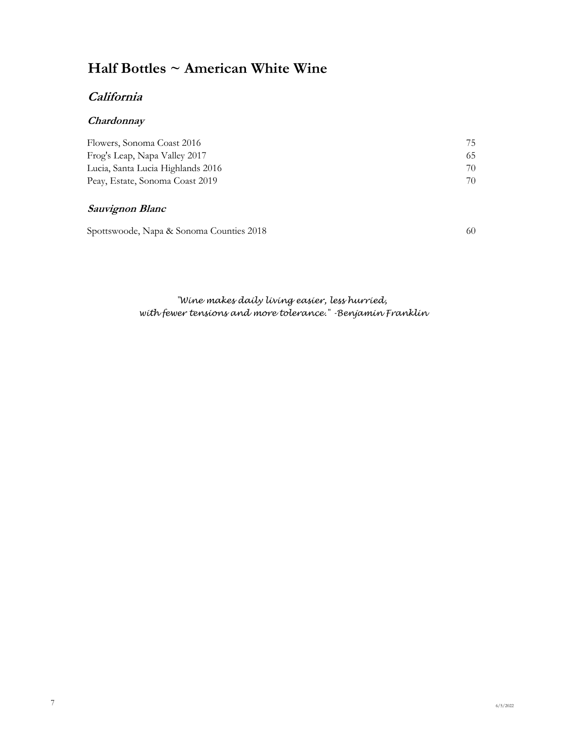# **Half Bottles ~ American White Wine**

### **California**

#### **Chardonnay**

| Flowers, Sonoma Coast 2016        | 75 |  |
|-----------------------------------|----|--|
| Frog's Leap, Napa Valley 2017     | 65 |  |
| Lucia, Santa Lucia Highlands 2016 | 70 |  |
| Peay, Estate, Sonoma Coast 2019   | 70 |  |

### **Sauvignon Blanc**

Spottswoode, Napa & Sonoma Counties 2018 60

 *with fewer tensions and more tolerance." -Benjamin Franklin "Wine makes daily living easier, less hurried,*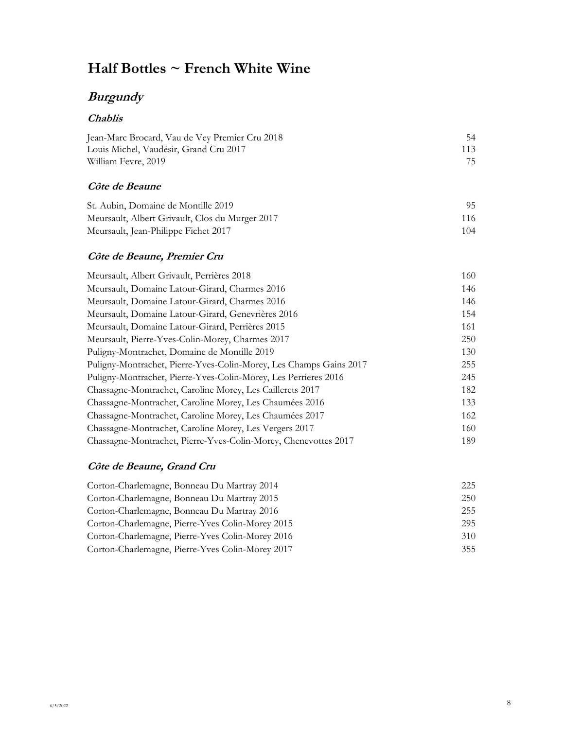## **Half Bottles ~ French White Wine**

## **Burgundy**

### **Chablis**

| Jean-Marc Brocard, Vau de Vey Premier Cru 2018 | 54  |
|------------------------------------------------|-----|
| Louis Michel, Vaudésir, Grand Cru 2017         | 113 |
| William Fevre, 2019                            | 75  |

#### **Côte de Beaune**

| St. Aubin, Domaine de Montille 2019             | 95. |
|-------------------------------------------------|-----|
| Meursault, Albert Grivault, Clos du Murger 2017 | 116 |
| Meursault, Jean-Philippe Fichet 2017            | 104 |

### **Côte de Beaune, Premier Cru**

| Meursault, Albert Grivault, Perrières 2018                         | 160 |
|--------------------------------------------------------------------|-----|
| Meursault, Domaine Latour-Girard, Charmes 2016                     | 146 |
| Meursault, Domaine Latour-Girard, Charmes 2016                     | 146 |
| Meursault, Domaine Latour-Girard, Genevrières 2016                 | 154 |
| Meursault, Domaine Latour-Girard, Pernères 2015                    | 161 |
| Meursault, Pierre-Yves-Colin-Morey, Charmes 2017                   | 250 |
| Puligny-Montrachet, Domaine de Montille 2019                       | 130 |
| Puligny-Montrachet, Pierre-Yves-Colin-Morey, Les Champs Gains 2017 | 255 |
| Puligny-Montrachet, Pierre-Yves-Colin-Morey, Les Perrieres 2016    | 245 |
| Chassagne-Montrachet, Caroline Morey, Les Caillerets 2017          | 182 |
| Chassagne-Montrachet, Caroline Morey, Les Chaumées 2016            | 133 |
| Chassagne-Montrachet, Caroline Morey, Les Chaumées 2017            | 162 |
| Chassagne-Montrachet, Caroline Morey, Les Vergers 2017             | 160 |
| Chassagne-Montrachet, Pierre-Yves-Colin-Morey, Chenevottes 2017    | 189 |

#### **Côte de Beaune, Grand Cru**

| Corton-Charlemagne, Bonneau Du Martray 2014      | 225 |
|--------------------------------------------------|-----|
| Corton-Charlemagne, Bonneau Du Martray 2015      | 250 |
| Corton-Charlemagne, Bonneau Du Martray 2016      | 255 |
| Corton-Charlemagne, Pierre-Yves Colin-Morey 2015 | 295 |
| Corton-Charlemagne, Pierre-Yves Colin-Morey 2016 | 310 |
| Corton-Charlemagne, Pierre-Yves Colin-Morey 2017 | 355 |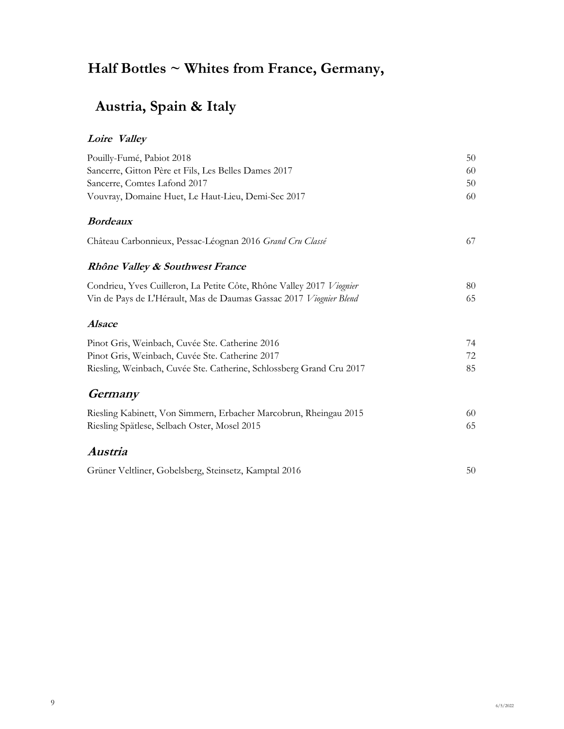# **Half Bottles ~ Whites from France, Germany,**

# **Austria, Spain & Italy**

### **Loire Valley**

| Pouilly-Fumé, Pabiot 2018                                            | 50 |
|----------------------------------------------------------------------|----|
| Sancerre, Gitton Père et Fils, Les Belles Dames 2017                 | 60 |
| Sancerre, Comtes Lafond 2017                                         | 50 |
| Vouvray, Domaine Huet, Le Haut-Lieu, Demi-Sec 2017                   | 60 |
| <b>Bordeaux</b>                                                      |    |
| Château Carbonnieux, Pessac-Léognan 2016 Grand Cru Classé            | 67 |
| Rhône Valley & Southwest France                                      |    |
| Condrieu, Yves Cuilleron, La Petite Côte, Rhône Valley 2017 Viognier | 80 |
| Vin de Pays de L'Hérault, Mas de Daumas Gassac 2017 Viognier Blend   | 65 |
| <b>Alsace</b>                                                        |    |
| Pinot Gris, Weinbach, Cuvée Ste. Catherine 2016                      | 74 |
| Pinot Gris, Weinbach, Cuvée Ste. Catherine 2017                      | 72 |
| Riesling, Weinbach, Cuvée Ste. Catherine, Schlossberg Grand Cru 2017 | 85 |
| Germany                                                              |    |
| Riesling Kabinett, Von Simmern, Erbacher Marcobrun, Rheingau 2015    | 60 |
| Riesling Spätlese, Selbach Oster, Mosel 2015                         | 65 |
| Austria                                                              |    |
| Grüner Veltliner, Gobelsberg, Steinsetz, Kamptal 2016                | 50 |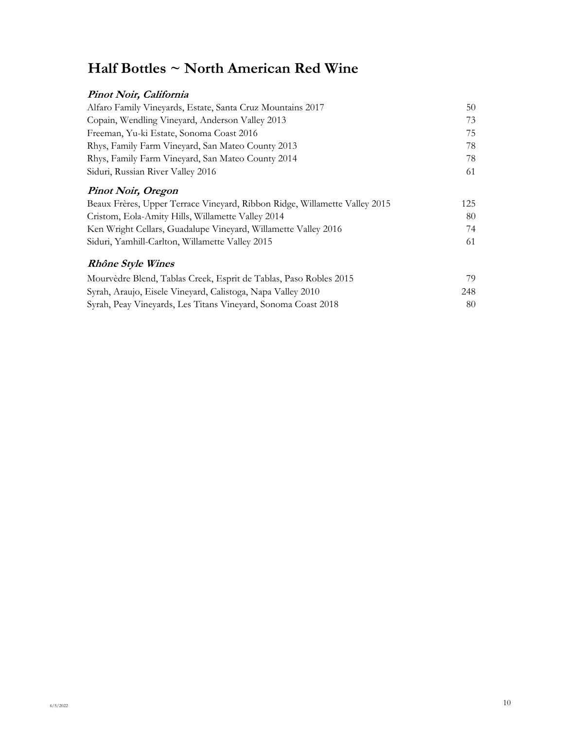# **Half Bottles ~ North American Red Wine**

| Pinot Noir, California                                                     |     |
|----------------------------------------------------------------------------|-----|
| Alfaro Family Vineyards, Estate, Santa Cruz Mountains 2017                 | 50  |
| Copain, Wendling Vineyard, Anderson Valley 2013                            | 73  |
| Freeman, Yu-ki Estate, Sonoma Coast 2016                                   | 75  |
| Rhys, Family Farm Vineyard, San Mateo County 2013                          | 78  |
| Rhys, Family Farm Vineyard, San Mateo County 2014                          | 78  |
| Siduri, Russian River Valley 2016                                          | 61  |
| <b>Pinot Noir, Oregon</b>                                                  |     |
| Beaux Frères, Upper Terrace Vineyard, Ribbon Ridge, Willamette Valley 2015 | 125 |
| Cristom, Eola-Amity Hills, Willamette Valley 2014                          | 80  |
| Ken Wright Cellars, Guadalupe Vineyard, Willamette Valley 2016             | 74  |
| Siduri, Yamhill-Carlton, Willamette Valley 2015                            | 61  |
| <b>Rhône Style Wines</b>                                                   |     |
| Mourvèdre Blend, Tablas Creek, Esprit de Tablas, Paso Robles 2015          | 79  |
| Syrah, Araujo, Eisele Vineyard, Calistoga, Napa Valley 2010                | 248 |
| Syrah, Peay Vineyards, Les Titans Vineyard, Sonoma Coast 2018              | 80  |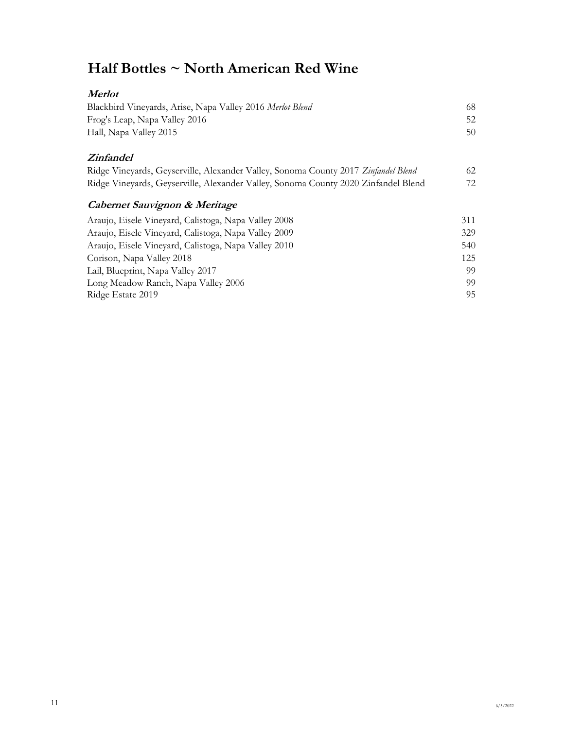# **Half Bottles ~ North American Red Wine**

| <b>Merlot</b>                                                                      |     |
|------------------------------------------------------------------------------------|-----|
| Blackbird Vineyards, Arise, Napa Valley 2016 Merlot Blend                          | 68  |
| Frog's Leap, Napa Valley 2016                                                      | 52  |
| Hall, Napa Valley 2015                                                             | 50  |
| <i>Zinfandel</i>                                                                   |     |
| Ridge Vineyards, Geyserville, Alexander Valley, Sonoma County 2017 Zinfandel Blend | 62  |
| Ridge Vineyards, Geyserville, Alexander Valley, Sonoma County 2020 Zinfandel Blend | 72  |
| Cabernet Sauvignon & Meritage                                                      |     |
| Araujo, Eisele Vineyard, Calistoga, Napa Valley 2008                               | 311 |
| Araujo, Eisele Vineyard, Calistoga, Napa Valley 2009                               | 329 |
| Araujo, Eisele Vineyard, Calistoga, Napa Valley 2010                               | 540 |
| Corison, Napa Valley 2018                                                          | 125 |
| Lail, Blueprint, Napa Valley 2017                                                  | 99  |
| Long Meadow Ranch, Napa Valley 2006                                                | 99  |
| Ridge Estate 2019                                                                  | 95  |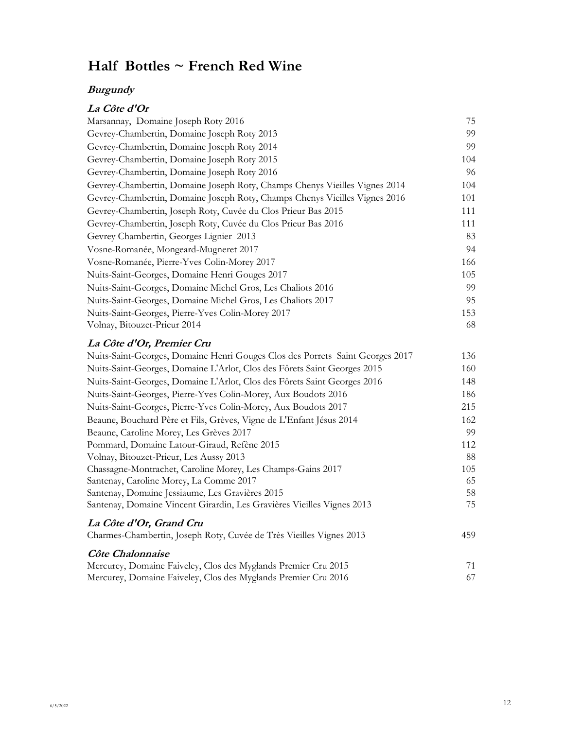# **Half Bottles ~ French Red Wine**

### **Burgundy**

## **La Côte d'Or**

| Marsannay, Domaine Joseph Roty 2016                                        | 75  |
|----------------------------------------------------------------------------|-----|
| Gevrey-Chambertin, Domaine Joseph Roty 2013                                | 99  |
| Gevrey-Chambertin, Domaine Joseph Roty 2014                                | 99  |
| Gevrey-Chambertin, Domaine Joseph Roty 2015                                | 104 |
| Gevrey-Chambertin, Domaine Joseph Roty 2016                                | 96  |
| Gevrey-Chambertin, Domaine Joseph Roty, Champs Chenys Vieilles Vignes 2014 | 104 |
| Gevrey-Chambertin, Domaine Joseph Roty, Champs Chenys Vieilles Vignes 2016 | 101 |
| Gevrey-Chambertin, Joseph Roty, Cuvée du Clos Prieur Bas 2015              | 111 |
| Gevrey-Chambertin, Joseph Roty, Cuvée du Clos Prieur Bas 2016              | 111 |
| Gevrey Chambertin, Georges Lignier 2013                                    | 83  |
| Vosne-Romanée, Mongeard-Mugneret 2017                                      | 94  |
| Vosne-Romanée, Pierre-Yves Colin-Morey 2017                                | 166 |
| Nuits-Saint-Georges, Domaine Henri Gouges 2017                             | 105 |
| Nuits-Saint-Georges, Domaine Michel Gros, Les Chaliots 2016                | 99  |
| Nuits-Saint-Georges, Domaine Michel Gros, Les Chaliots 2017                | 95  |
| Nuits-Saint-Georges, Pierre-Yves Colin-Morey 2017                          | 153 |
| Volnay, Bitouzet-Prieur 2014                                               | 68  |
| La Côte d'Or, Premier Cru                                                  |     |

| Nuits-Saint-Georges, Domaine Henri Gouges Clos des Porrets Saint Georges 2017 | 136 |
|-------------------------------------------------------------------------------|-----|
| Nuits-Saint-Georges, Domaine L'Arlot, Clos des Fôrets Saint Georges 2015      | 160 |
| Nuits-Saint-Georges, Domaine L'Arlot, Clos des Fôrets Saint Georges 2016      | 148 |
| Nuits-Saint-Georges, Pierre-Yves Colin-Morey, Aux Boudots 2016                | 186 |
| Nuits-Saint-Georges, Pierre-Yves Colin-Morey, Aux Boudots 2017                | 215 |
| Beaune, Bouchard Père et Fils, Grèves, Vigne de L'Enfant Jésus 2014           | 162 |
| Beaune, Caroline Morey, Les Grèves 2017                                       | 99  |
| Pommard, Domaine Latour-Giraud, Refène 2015                                   | 112 |
| Volnay, Bitouzet-Prieur, Les Aussy 2013                                       | 88  |
| Chassagne-Montrachet, Caroline Morey, Les Champs-Gains 2017                   | 105 |
| Santenay, Caroline Morey, La Comme 2017                                       | 65  |
| Santenay, Domaine Jessiaume, Les Gravières 2015                               | 58  |
| Santenay, Domaine Vincent Girardin, Les Gravières Vieilles Vignes 2013        | 75  |
| La Côte d'Or, Grand Cru                                                       |     |
| Charmes-Chambertin, Joseph Roty, Cuvée de Très Vieilles Vignes 2013           | 459 |
| Côte Chalonnaise                                                              |     |

| Mercurey, Domaine Faiveley, Clos des Myglands Premier Cru 2015 |  |
|----------------------------------------------------------------|--|
| Mercurey, Domaine Faiveley, Clos des Myglands Premier Cru 2016 |  |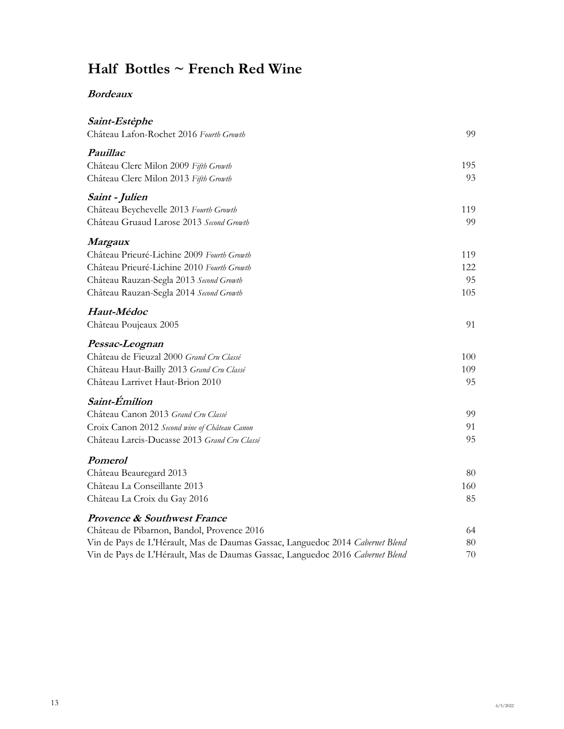# **Half Bottles ~ French Red Wine**

#### **Bordeaux**

| Saint-Estèphe<br>Château Lafon-Rochet 2016 Fourth Growth                      | 99  |
|-------------------------------------------------------------------------------|-----|
| Pauillac                                                                      |     |
| Château Clerc Milon 2009 Fifth Growth                                         | 195 |
| Château Clerc Milon 2013 Fifth Growth                                         | 93  |
| Saint - Julien                                                                |     |
| Château Beychevelle 2013 Fourth Growth                                        | 119 |
| Château Gruaud Larose 2013 Second Growth                                      | 99  |
| <i>Margaux</i>                                                                |     |
| Château Prieuré-Lichine 2009 Fourth Growth                                    | 119 |
| Château Prieuré-Lichine 2010 Fourth Growth                                    | 122 |
| Château Rauzan-Segla 2013 Second Growth                                       | 95  |
| Château Rauzan-Segla 2014 Second Growth                                       | 105 |
| Haut-Médoc                                                                    |     |
| Château Poujeaux 2005                                                         | 91  |
| Pessac-Leognan                                                                |     |
| Château de Fieuzal 2000 Grand Cru Classé                                      | 100 |
| Château Haut-Bailly 2013 Grand Cru Classé                                     | 109 |
| Château Larrivet Haut-Brion 2010                                              | 95  |
| Saint-Émilion                                                                 |     |
| Château Canon 2013 Grand Cru Classé                                           | 99  |
| Croix Canon 2012 Second wine of Château Canon                                 | 91  |
| Château Larcis-Ducasse 2013 Grand Cru Classé                                  | 95  |
| <b>Pomerol</b>                                                                |     |
| Château Beauregard 2013                                                       | 80  |
| Château La Conseillante 2013                                                  | 160 |
| Château La Croix du Gay 2016                                                  | 85  |
| <b>Provence &amp; Southwest France</b>                                        |     |
| Château de Pibarnon, Bandol, Provence 2016                                    | 64  |
| Vin de Pays de L'Hérault, Mas de Daumas Gassac, Languedoc 2014 Cabernet Blend | 80  |
| Vin de Pays de L'Hérault, Mas de Daumas Gassac, Languedoc 2016 Cabernet Blend | 70  |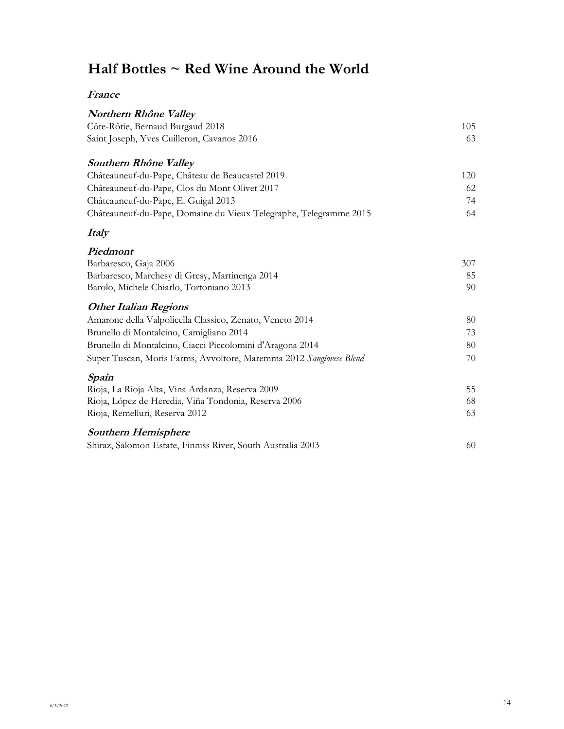# **Half Bottles ~ Red Wine Around the World**

#### **France**

| Northern Rhône Valley                                               |     |
|---------------------------------------------------------------------|-----|
| Côte-Rôtie, Bernaud Burgaud 2018                                    | 105 |
| Saint Joseph, Yves Cuilleron, Cavanos 2016                          | 63  |
| Southern Rhône Valley                                               |     |
| Châteauneuf-du-Pape, Château de Beaucastel 2019                     | 120 |
| Châteauneuf-du-Pape, Clos du Mont Olivet 2017                       | 62  |
| Châteauneuf-du-Pape, E. Guigal 2013                                 | 74  |
| Châteauneuf-du-Pape, Domaine du Vieux Telegraphe, Telegramme 2015   | 64  |
| <b>Italy</b>                                                        |     |
| Piedmont                                                            |     |
| Barbaresco, Gaja 2006                                               | 307 |
| Barbaresco, Marchesy di Gresy, Martinenga 2014                      | 85  |
| Barolo, Michele Chiarlo, Tortoniano 2013                            | 90  |
| <b>Other Italian Regions</b>                                        |     |
| Amarone della Valpolicella Classico, Zenato, Veneto 2014            | 80  |
| Brunello di Montalcino, Camigliano 2014                             | 73  |
| Brunello di Montalcino, Ciacci Piccolomini d'Aragona 2014           | 80  |
| Super Tuscan, Moris Farms, Avvoltore, Maremma 2012 Sangiovese Blend | 70  |
| Spain                                                               |     |
| Rioja, La Rioja Alta, Vina Ardanza, Reserva 2009                    | 55  |
| Rioja, López de Heredia, Viña Tondonia, Reserva 2006                | 68  |
| Rioja, Remelluri, Reserva 2012                                      | 63  |
| <b>Southern Hemisphere</b>                                          |     |
| Shiraz, Salomon Estate, Finniss River, South Australia 2003         | 60  |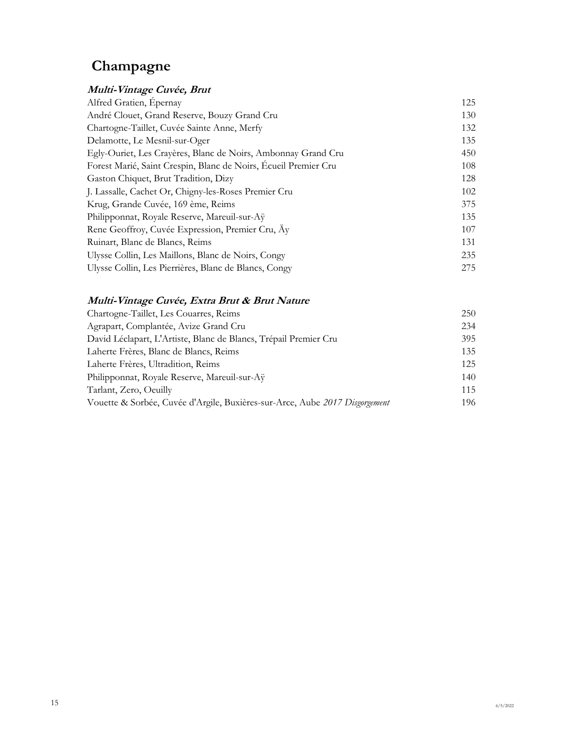# **Champagne**

### **Multi-Vintage Cuvée, Brut**

| 125 |
|-----|
| 130 |
| 132 |
| 135 |
| 450 |
| 108 |
| 128 |
| 102 |
| 375 |
| 135 |
| 107 |
| 131 |
| 235 |
| 275 |
|     |

## **Multi-Vintage Cuvée, Extra Brut & Brut Nature**

| Chartogne-Taillet, Les Couarres, Reims                                      | 250 |
|-----------------------------------------------------------------------------|-----|
| Agrapart, Complantée, Avize Grand Cru                                       | 234 |
| David Léclapart, L'Artiste, Blanc de Blancs, Trépail Premier Cru            | 395 |
| Laherte Frères, Blanc de Blancs, Reims                                      | 135 |
| Laherte Frères, Ultradition, Reims                                          | 125 |
| Philipponnat, Royale Reserve, Mareuil-sur-Ay                                | 140 |
| Tarlant, Zero, Oeuilly                                                      | 115 |
| Vouette & Sorbée, Cuvée d'Argile, Buxières-sur-Arce, Aube 2017 Disgorgement | 196 |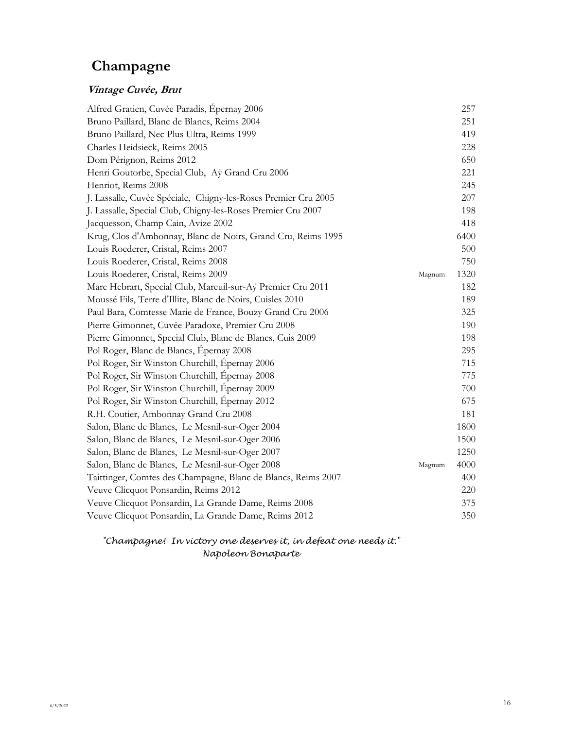# **Champagne**

### **Vintage Cuvée, Brut**

| Alfred Gratien, Cuvée Paradis, Épernay 2006                    |        | 257  |
|----------------------------------------------------------------|--------|------|
| Bruno Paillard, Blanc de Blancs, Reims 2004                    |        | 251  |
| Bruno Paillard, Nec Plus Ultra, Reims 1999                     |        | 419  |
| Charles Heidsieck, Reims 2005                                  |        | 228  |
| Dom Pérignon, Reims 2012                                       |        | 650  |
| Henri Goutorbe, Special Club, Aÿ Grand Cru 2006                |        | 221  |
| Henriot, Reims 2008                                            |        | 245  |
| J. Lassalle, Cuvée Spéciale, Chigny-les-Roses Premier Cru 2005 |        | 207  |
| J. Lassalle, Special Club, Chigny-les-Roses Premier Cru 2007   |        | 198  |
| Jacquesson, Champ Cain, Avize 2002                             |        | 418  |
| Krug, Clos d'Ambonnay, Blanc de Noirs, Grand Cru, Reims 1995   |        | 6400 |
| Louis Roederer, Cristal, Reims 2007                            |        | 500  |
| Louis Roederer, Cristal, Reims 2008                            |        | 750  |
| Louis Roederer, Cristal, Reims 2009                            | Magnum | 1320 |
| Marc Hebrart, Special Club, Mareuil-sur-Aÿ Premier Cru 2011    |        | 182  |
| Moussé Fils, Terre d'Illite, Blanc de Noirs, Cuisles 2010      |        | 189  |
| Paul Bara, Comtesse Marie de France, Bouzy Grand Cru 2006      |        | 325  |
| Pierre Gimonnet, Cuvée Paradoxe, Premier Cru 2008              |        | 190  |
| Pierre Gimonnet, Special Club, Blanc de Blancs, Cuis 2009      |        | 198  |
| Pol Roger, Blanc de Blancs, Épernay 2008                       |        | 295  |
| Pol Roger, Sir Winston Churchill, Epernay 2006                 |        | 715  |
| Pol Roger, Sir Winston Churchill, Épernay 2008                 |        | 775  |
| Pol Roger, Sir Winston Churchill, Épernay 2009                 |        | 700  |
| Pol Roger, Sir Winston Churchill, Epernay 2012                 |        | 675  |
| R.H. Coutier, Ambonnay Grand Cru 2008                          |        | 181  |
| Salon, Blanc de Blancs, Le Mesnil-sur-Oger 2004                |        | 1800 |
| Salon, Blanc de Blancs, Le Mesnil-sur-Oger 2006                |        | 1500 |
| Salon, Blanc de Blancs, Le Mesnil-sur-Oger 2007                |        | 1250 |
| Salon, Blanc de Blancs, Le Mesnil-sur-Oger 2008                | Magnum | 4000 |
| Taittinger, Comtes des Champagne, Blanc de Blancs, Reims 2007  |        | 400  |
| Veuve Clicquot Ponsardin, Reims 2012                           |        | 220  |
| Veuve Clicquot Ponsardin, La Grande Dame, Reims 2008           |        | 375  |
| Veuve Clicquot Ponsardin, La Grande Dame, Reims 2012           |        | 350  |

*"Champagne! In victory one deserves it, in defeat one needs it." Napoleon Bonaparte*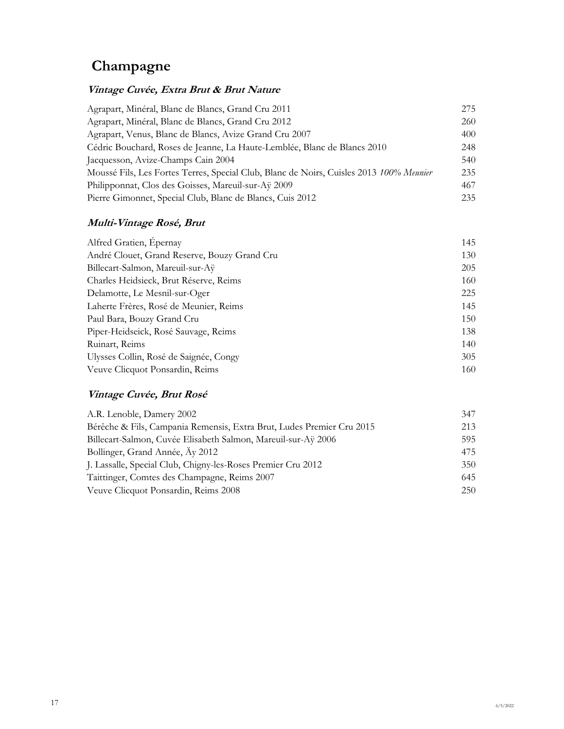# **Champagne**

### **Vintage Cuvée, Extra Brut & Brut Nature**

| Agrapart, Minéral, Blanc de Blancs, Grand Cru 2011                                      | 275 |
|-----------------------------------------------------------------------------------------|-----|
| Agrapart, Minéral, Blanc de Blancs, Grand Cru 2012                                      | 260 |
| Agrapart, Venus, Blanc de Blancs, Avize Grand Cru 2007                                  | 400 |
| Cédric Bouchard, Roses de Jeanne, La Haute-Lemblée, Blanc de Blancs 2010                | 248 |
| Jacquesson, Avize-Champs Cain 2004                                                      | 540 |
| Moussé Fils, Les Fortes Terres, Special Club, Blanc de Noirs, Cuisles 2013 100% Meunier | 235 |
| Philipponnat, Clos des Goisses, Mareuil-sur-Aÿ 2009                                     | 467 |
| Pierre Gimonnet, Special Club, Blanc de Blancs, Cuis 2012                               | 235 |

### **Multi-Vintage Rosé, Brut**

| Alfred Gratien, Epernay                      | 145 |
|----------------------------------------------|-----|
| André Clouet, Grand Reserve, Bouzy Grand Cru | 130 |
| Billecart-Salmon, Mareuil-sur-Aÿ             | 205 |
| Charles Heidsieck, Brut Réserve, Reims       | 160 |
| Delamotte, Le Mesnil-sur-Oger                | 225 |
| Laherte Frères, Rosé de Meunier, Reims       | 145 |
| Paul Bara, Bouzy Grand Cru                   | 150 |
| Piper-Heidseick, Rosé Sauvage, Reims         | 138 |
| Ruinart, Reims                               | 140 |
| Ulysses Collin, Rosé de Saignée, Congy       | 305 |
| Veuve Clicquot Ponsardin, Reims              | 160 |

### **Vintage Cuvée, Brut Rosé**

| A.R. Lenoble, Damery 2002                                             | 347 |
|-----------------------------------------------------------------------|-----|
| Bérêche & Fils, Campania Remensis, Extra Brut, Ludes Premier Cru 2015 | 213 |
| Billecart-Salmon, Cuvée Elisabeth Salmon, Mareuil-sur-Aÿ 2006         | 595 |
| Bollinger, Grand Année, Ay 2012                                       | 475 |
| J. Lassalle, Special Club, Chigny-les-Roses Premier Cru 2012          | 350 |
| Taittinger, Comtes des Champagne, Reims 2007                          | 645 |
| Veuve Clicquot Ponsardin, Reims 2008                                  | 250 |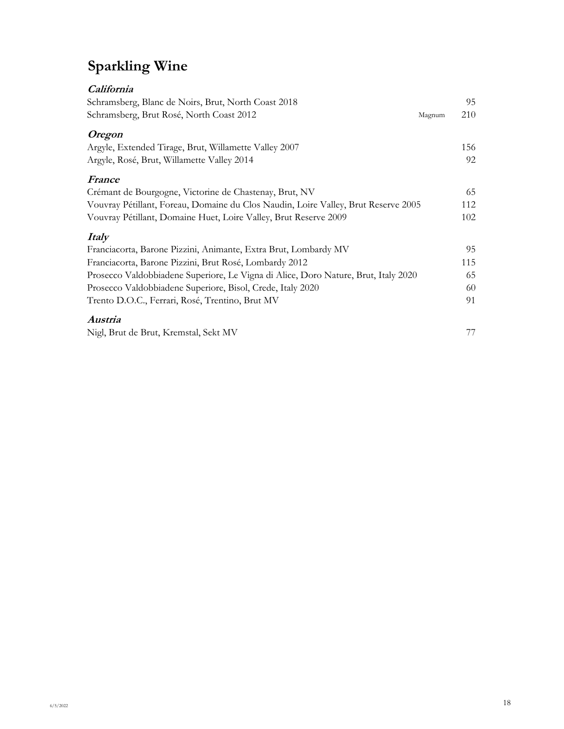# **Sparkling Wine**

| California<br>Schramsberg, Blanc de Noirs, Brut, North Coast 2018<br>Schramsberg, Brut Rosé, North Coast 2012 | 95<br>210<br>Magnum |
|---------------------------------------------------------------------------------------------------------------|---------------------|
| <i><b>Oregon</b></i>                                                                                          |                     |
| Argyle, Extended Tirage, Brut, Willamette Valley 2007                                                         | 156                 |
| Argyle, Rosé, Brut, Willamette Valley 2014                                                                    | 92                  |
| France                                                                                                        |                     |
| Crémant de Bourgogne, Victorine de Chastenay, Brut, NV                                                        | 65                  |
| Vouvray Pétillant, Foreau, Domaine du Clos Naudin, Loire Valley, Brut Reserve 2005                            | 112                 |
| Vouvray Pétillant, Domaine Huet, Loire Valley, Brut Reserve 2009                                              | 102                 |
| <i>Italy</i>                                                                                                  |                     |
| Franciacorta, Barone Pizzini, Animante, Extra Brut, Lombardy MV                                               | 95                  |
| Franciacorta, Barone Pizzini, Brut Rosé, Lombardy 2012                                                        | 115                 |
| Prosecco Valdobbiadene Superiore, Le Vigna di Alice, Doro Nature, Brut, Italy 2020                            | 65                  |
| Prosecco Valdobbiadene Superiore, Bisol, Crede, Italy 2020                                                    | 60                  |
| Trento D.O.C., Ferrari, Rosé, Trentino, Brut MV                                                               | 91                  |
| Austria                                                                                                       |                     |
| Nigl, Brut de Brut, Kremstal, Sekt MV                                                                         | 77                  |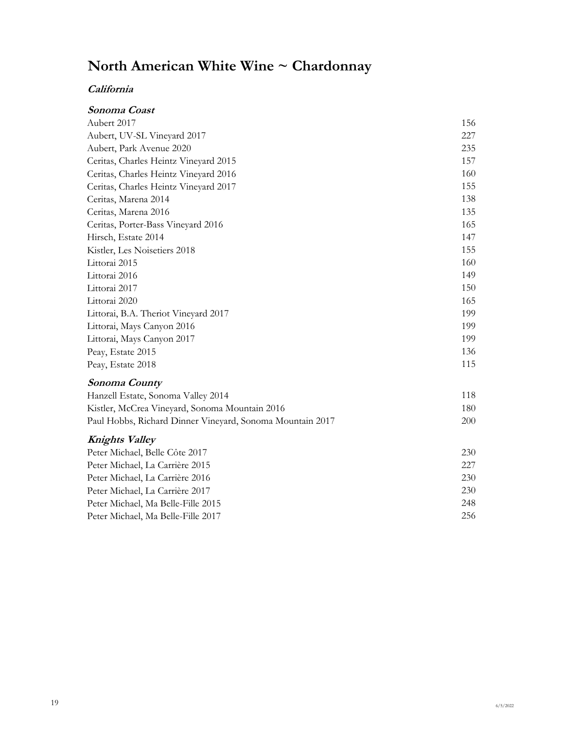# **North American White Wine ~ Chardonnay**

### **California**

| Sonoma Coast                                              |     |
|-----------------------------------------------------------|-----|
| Aubert 2017                                               | 156 |
| Aubert, UV-SL Vineyard 2017                               | 227 |
| Aubert, Park Avenue 2020                                  | 235 |
| Ceritas, Charles Heintz Vineyard 2015                     | 157 |
| Ceritas, Charles Heintz Vineyard 2016                     | 160 |
| Ceritas, Charles Heintz Vineyard 2017                     | 155 |
| Ceritas, Marena 2014                                      | 138 |
| Ceritas, Marena 2016                                      | 135 |
| Ceritas, Porter-Bass Vineyard 2016                        | 165 |
| Hirsch, Estate 2014                                       | 147 |
| Kistler, Les Noisetiers 2018                              | 155 |
| Littorai 2015                                             | 160 |
| Littorai 2016                                             | 149 |
| Littorai 2017                                             | 150 |
| Littorai 2020                                             | 165 |
| Littorai, B.A. Theriot Vineyard 2017                      | 199 |
| Littorai, Mays Canyon 2016                                | 199 |
| Littorai, Mays Canyon 2017                                | 199 |
| Peay, Estate 2015                                         | 136 |
| Peay, Estate 2018                                         | 115 |
| Sonoma County                                             |     |
| Hanzell Estate, Sonoma Valley 2014                        | 118 |
| Kistler, McCrea Vineyard, Sonoma Mountain 2016            | 180 |
| Paul Hobbs, Richard Dinner Vineyard, Sonoma Mountain 2017 | 200 |
| <b>Knights Valley</b>                                     |     |
| Peter Michael, Belle Côte 2017                            | 230 |
| Peter Michael, La Carrière 2015                           | 227 |
| Peter Michael, La Carrière 2016                           | 230 |
| Peter Michael, La Carrière 2017                           | 230 |
| Peter Michael, Ma Belle-Fille 2015                        | 248 |
| Peter Michael, Ma Belle-Fille 2017                        | 256 |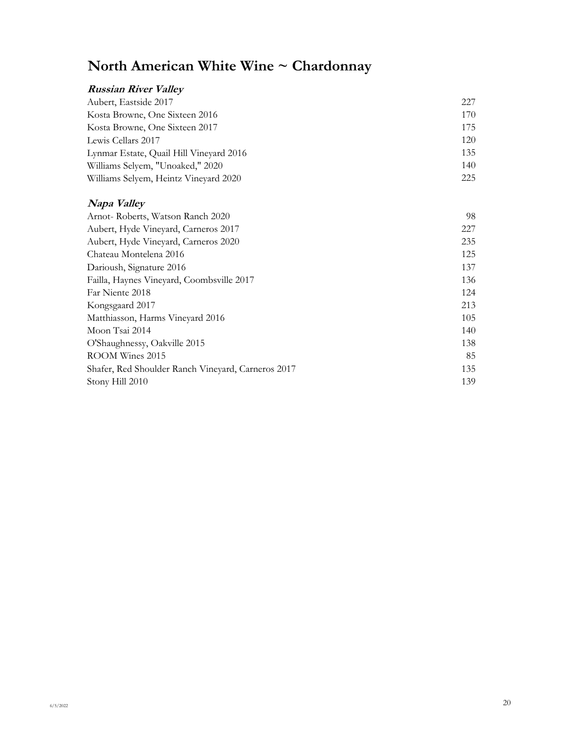# **North American White Wine ~ Chardonnay**

#### **Russian River Valley** Aubert, Eastside 2017 227 Kosta Browne, One Sixteen 2016 170 Kosta Browne, One Sixteen 2017 175 Lewis Cellars 2017 120 Lynmar Estate, Quail Hill Vineyard 2016 135 Williams Selyem, "Unoaked," 2020 140 Williams Selyem, Heintz Vineyard 2020 2021

#### **Napa Valley**

|                                                    | 98  |
|----------------------------------------------------|-----|
| Arnot-Roberts, Watson Ranch 2020                   |     |
| Aubert, Hyde Vineyard, Carneros 2017               | 227 |
| Aubert, Hyde Vineyard, Carneros 2020               | 235 |
| Chateau Montelena 2016                             | 125 |
| Darioush, Signature 2016                           | 137 |
| Failla, Haynes Vineyard, Coombsville 2017          | 136 |
| Far Niente 2018                                    | 124 |
| Kongsgaard 2017                                    | 213 |
| Matthiasson, Harms Vineyard 2016                   | 105 |
| Moon Tsai 2014                                     | 140 |
| O'Shaughnessy, Oakville 2015                       | 138 |
| ROOM Wines 2015                                    | 85  |
| Shafer, Red Shoulder Ranch Vineyard, Carneros 2017 | 135 |
| Stony Hill 2010                                    | 139 |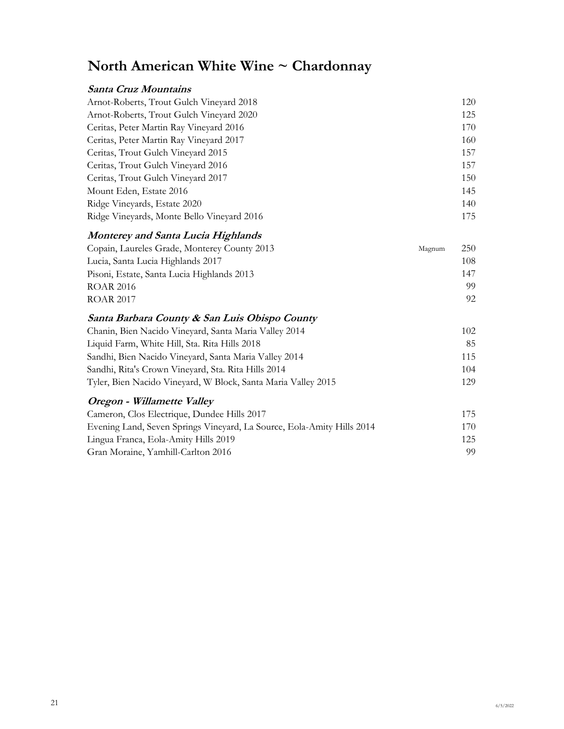# **North American White Wine ~ Chardonnay**

### **Santa Cruz Mountains**

| Arnot-Roberts, Trout Gulch Vineyard 2018   | 120 |
|--------------------------------------------|-----|
| Arnot-Roberts, Trout Gulch Vineyard 2020   | 125 |
| Ceritas, Peter Martin Ray Vineyard 2016    | 170 |
| Ceritas, Peter Martin Ray Vineyard 2017    | 160 |
| Ceritas, Trout Gulch Vineyard 2015         | 157 |
| Ceritas, Trout Gulch Vineyard 2016         | 157 |
| Ceritas, Trout Gulch Vineyard 2017         | 150 |
| Mount Eden, Estate 2016                    | 145 |
| Ridge Vineyards, Estate 2020               | 140 |
| Ridge Vineyards, Monte Bello Vineyard 2016 | 175 |

### **Monterey and Santa Lucia Highlands**

| Copain, Laureles Grade, Monterey County 2013 | Magnum | 250 |
|----------------------------------------------|--------|-----|
| Lucia, Santa Lucia Highlands 2017            |        | 108 |
| Pisoni, Estate, Santa Lucia Highlands 2013   |        | 147 |
| ROAR 2016                                    |        | 99  |
| <b>ROAR 2017</b>                             |        | 92  |

#### **Santa Barbara County & San Luis Obispo County**

| Chanin, Bien Nacido Vineyard, Santa Maria Valley 2014         | 102 |
|---------------------------------------------------------------|-----|
| Liquid Farm, White Hill, Sta. Rita Hills 2018                 | 85  |
| Sandhi, Bien Nacido Vineyard, Santa Maria Valley 2014         | 115 |
| Sandhi, Rita's Crown Vineyard, Sta. Rita Hills 2014           | 104 |
| Tyler, Bien Nacido Vineyard, W Block, Santa Maria Valley 2015 | 129 |

### **Oregon - Willamette Valley**

| Cameron, Clos Electrique, Dundee Hills 2017                            | 175  |
|------------------------------------------------------------------------|------|
| Evening Land, Seven Springs Vineyard, La Source, Eola-Amity Hills 2014 | 170- |
| Lingua Franca, Eola-Amity Hills 2019                                   | 125  |
| Gran Moraine, Yamhill-Carlton 2016                                     | 99.  |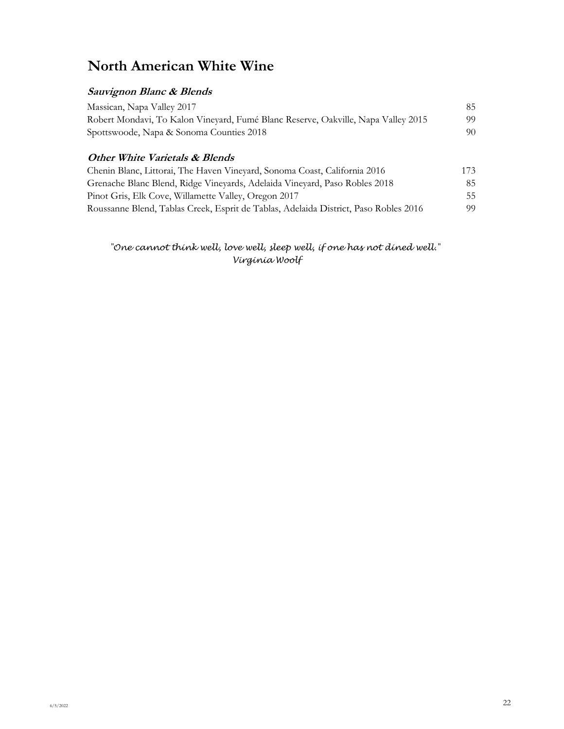# **North American White Wine**

### **Sauvignon Blanc & Blends**

| Massican, Napa Valley 2017                                                        | 85. |
|-----------------------------------------------------------------------------------|-----|
| Robert Mondavi, To Kalon Vineyard, Fumé Blanc Reserve, Oakville, Napa Valley 2015 | 99. |
| Spottswoode, Napa & Sonoma Counties 2018                                          | 90. |

#### **Other White Varietals & Blends**

| Chenin Blanc, Littorai, The Haven Vineyard, Sonoma Coast, California 2016            | 173 |
|--------------------------------------------------------------------------------------|-----|
| Grenache Blanc Blend, Ridge Vineyards, Adelaida Vineyard, Paso Robles 2018           | 85. |
| Pinot Gris, Elk Cove, Willamette Valley, Oregon 2017                                 | 55. |
| Roussanne Blend, Tablas Creek, Esprit de Tablas, Adelaida District, Paso Robles 2016 | 99  |

 *"One cannot think well, love well, sleep well, if one has not dined well." Virginia Woolf*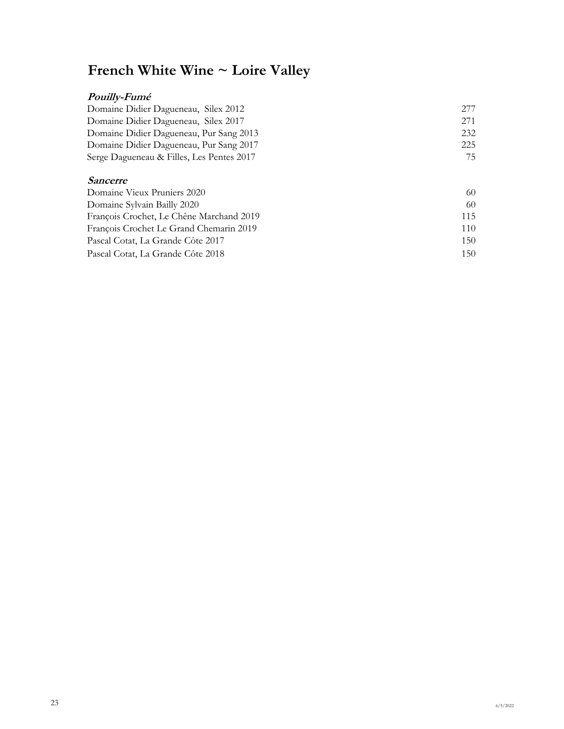# **French White Wine ~ Loire Valley**

### **Pouilly-Fumé**

| Domaine Didier Dagueneau, Silex 2012      | 277  |
|-------------------------------------------|------|
| Domaine Didier Dagueneau, Silex 2017      | 2.71 |
| Domaine Didier Dagueneau, Pur Sang 2013   | 232  |
| Domaine Didier Dagueneau, Pur Sang 2017   | 225  |
| Serge Dagueneau & Filles, Les Pentes 2017 | 75   |
|                                           |      |

#### **Sancerre**

| Domaine Vieux Pruniers 2020              | 60  |
|------------------------------------------|-----|
| Domaine Sylvain Bailly 2020              | 60  |
| François Crochet, Le Chêne Marchand 2019 | 115 |
| François Crochet Le Grand Chemarin 2019  | 110 |
| Pascal Cotat, La Grande Côte 2017        | 150 |
| Pascal Cotat, La Grande Côte 2018        | 150 |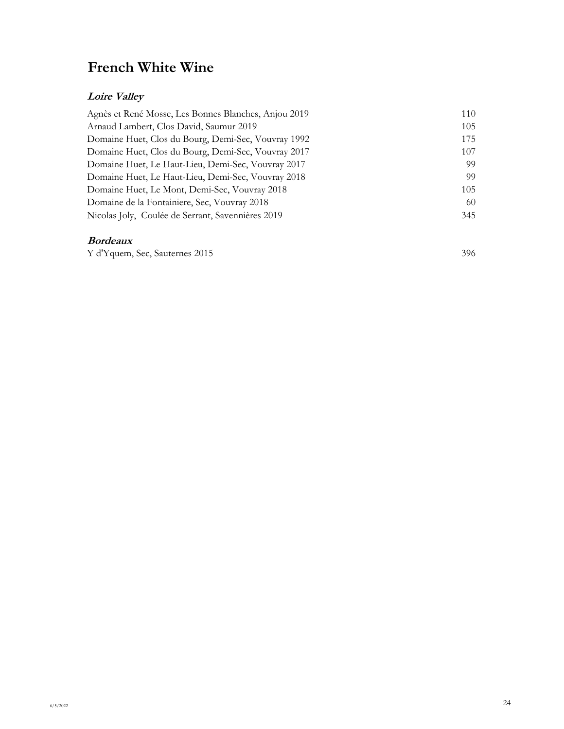# **French White Wine**

### **Loire Valley**

| Agnès et René Mosse, Les Bonnes Blanches, Anjou 2019 | 110 |
|------------------------------------------------------|-----|
| Arnaud Lambert, Clos David, Saumur 2019              | 105 |
| Domaine Huet, Clos du Bourg, Demi-Sec, Vouvray 1992  | 175 |
| Domaine Huet, Clos du Bourg, Demi-Sec, Vouvray 2017  | 107 |
| Domaine Huet, Le Haut-Lieu, Demi-Sec, Vouvray 2017   | 99  |
| Domaine Huet, Le Haut-Lieu, Demi-Sec, Vouvray 2018   | 99  |
| Domaine Huet, Le Mont, Demi-Sec, Vouvray 2018        | 105 |
| Domaine de la Fontainiere, Sec, Vouvray 2018         | 60  |
| Nicolas Joly, Coulée de Serrant, Savennières 2019    | 345 |

### **Bordeaux**

Y d'Yquem, Sec, Sauternes 2015 396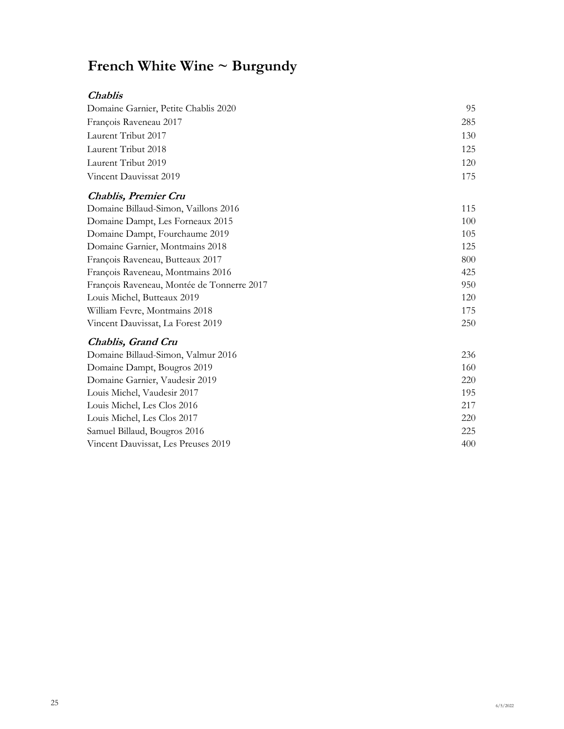| <i>Chablis</i>                             |     |
|--------------------------------------------|-----|
| Domaine Garnier, Petite Chablis 2020       | 95  |
| François Raveneau 2017                     | 285 |
| Laurent Tribut 2017                        | 130 |
| Laurent Tribut 2018                        | 125 |
| Laurent Tribut 2019                        | 120 |
| Vincent Dauvissat 2019                     | 175 |
| <b>Chablis, Premier Cru</b>                |     |
| Domaine Billaud-Simon, Vaillons 2016       | 115 |
| Domaine Dampt, Les Forneaux 2015           | 100 |
| Domaine Dampt, Fourchaume 2019             | 105 |
| Domaine Garnier, Montmains 2018            | 125 |
| François Raveneau, Butteaux 2017           | 800 |
| François Raveneau, Montmains 2016          | 425 |
| François Raveneau, Montée de Tonnerre 2017 | 950 |
| Louis Michel, Butteaux 2019                | 120 |
| William Fevre, Montmains 2018              | 175 |
| Vincent Dauvissat, La Forest 2019          | 250 |
| Chablis, Grand Cru                         |     |
| Domaine Billaud-Simon, Valmur 2016         | 236 |
| Domaine Dampt, Bougros 2019                | 160 |
| Domaine Garnier, Vaudesir 2019             | 220 |
| Louis Michel, Vaudesir 2017                | 195 |
| Louis Michel, Les Clos 2016                | 217 |
| Louis Michel, Les Clos 2017                | 220 |
| Samuel Billaud, Bougros 2016               | 225 |
| Vincent Dauvissat, Les Preuses 2019        | 400 |
|                                            |     |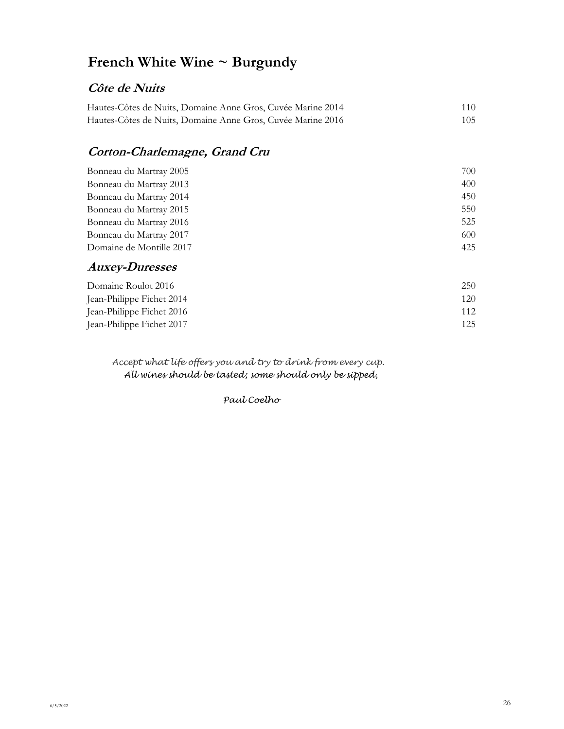## **Côte de Nuits**

| Hautes-Côtes de Nuits, Domaine Anne Gros, Cuvée Marine 2014 | 110 |
|-------------------------------------------------------------|-----|
| Hautes-Côtes de Nuits, Domaine Anne Gros, Cuvée Marine 2016 | 105 |

## **Corton-Charlemagne, Grand Cru**

| Bonneau du Martray 2005  | 700 |
|--------------------------|-----|
| Bonneau du Martray 2013  | 400 |
| Bonneau du Martray 2014  | 450 |
| Bonneau du Martray 2015  | 550 |
| Bonneau du Martray 2016  | 525 |
| Bonneau du Martray 2017  | 600 |
| Domaine de Montille 2017 | 425 |
|                          |     |

## **Auxey-Duresses**

| Domaine Roulot 2016       | 250 |
|---------------------------|-----|
| Jean-Philippe Fichet 2014 | 120 |
| Jean-Philippe Fichet 2016 | 112 |
| Jean-Philippe Fichet 2017 | 125 |

*Accept what life offers you and try to drink from every cup. All wines should be tasted; some should only be sipped,*

*Paul Coelho*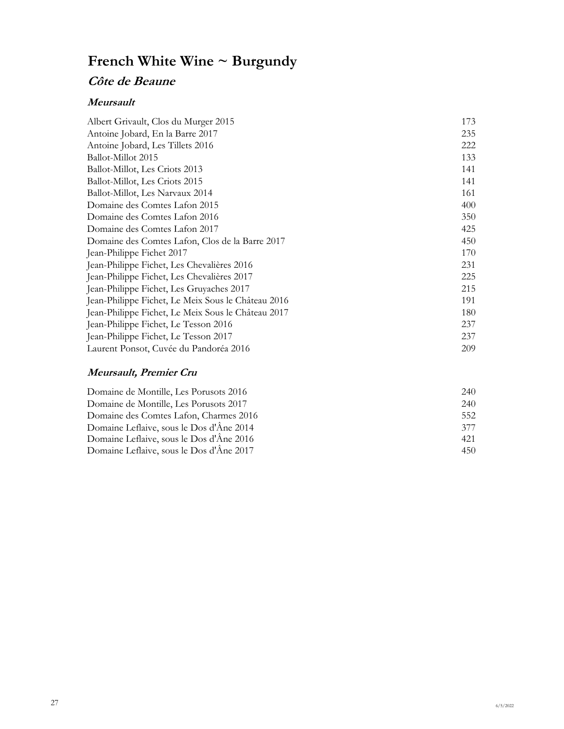## **Côte de Beaune**

#### **Meursault**

| Albert Grivault, Clos du Murger 2015               | 173 |
|----------------------------------------------------|-----|
| Antoine Jobard, En la Barre 2017                   | 235 |
| Antoine Jobard, Les Tillets 2016                   | 222 |
| Ballot-Millot 2015                                 | 133 |
| Ballot-Millot, Les Criots 2013                     | 141 |
| Ballot-Millot, Les Criots 2015                     | 141 |
| Ballot-Millot, Les Narvaux 2014                    | 161 |
| Domaine des Comtes Lafon 2015                      | 400 |
| Domaine des Comtes Lafon 2016                      | 350 |
| Domaine des Comtes Lafon 2017                      | 425 |
| Domaine des Comtes Lafon, Clos de la Barre 2017    | 450 |
| Jean-Philippe Fichet 2017                          | 170 |
| Jean-Philippe Fichet, Les Chevalières 2016         | 231 |
| Jean-Philippe Fichet, Les Chevalières 2017         | 225 |
| Jean-Philippe Fichet, Les Gruyaches 2017           | 215 |
| Jean-Philippe Fichet, Le Meix Sous le Château 2016 | 191 |
| Jean-Philippe Fichet, Le Meix Sous le Château 2017 | 180 |
| Jean-Philippe Fichet, Le Tesson 2016               | 237 |
| Jean-Philippe Fichet, Le Tesson 2017               | 237 |
| Laurent Ponsot, Cuvée du Pandoréa 2016             | 209 |

### **Meursault, Premier Cru**

| Domaine de Montille, Les Porusots 2016   | 240 |
|------------------------------------------|-----|
| Domaine de Montille, Les Porusots 2017   | 240 |
| Domaine des Comtes Lafon, Charmes 2016   | 552 |
| Domaine Leflaive, sous le Dos d'Âne 2014 | 377 |
| Domaine Leflaive, sous le Dos d'Âne 2016 | 421 |
| Domaine Leflaive, sous le Dos d'Âne 2017 | 450 |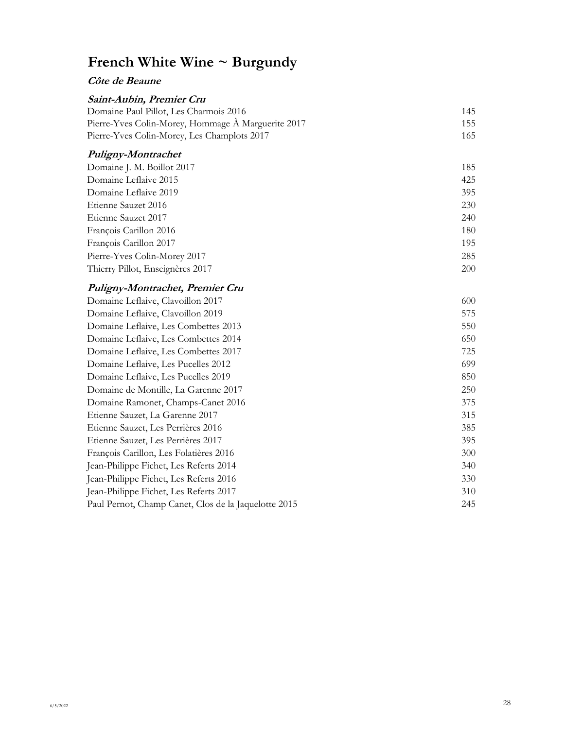### **Côte de Beaune**

| Saint-Aubin, Premier Cru                             |     |
|------------------------------------------------------|-----|
| Domaine Paul Pillot, Les Charmois 2016               | 145 |
| Pierre-Yves Colin-Morey, Hommage À Marguerite 2017   | 155 |
| Pierre-Yves Colin-Morey, Les Champlots 2017          | 165 |
| Puligny-Montrachet                                   |     |
| Domaine J. M. Boillot 2017                           | 185 |
| Domaine Leflaive 2015                                | 425 |
| Domaine Leflaive 2019                                | 395 |
| Etienne Sauzet 2016                                  | 230 |
| Etienne Sauzet 2017                                  | 240 |
| François Carillon 2016                               | 180 |
| François Carillon 2017                               | 195 |
| Pierre-Yves Colin-Morey 2017                         | 285 |
| Thierry Pillot, Enseignères 2017                     | 200 |
| Puligny-Montrachet, Premier Cru                      |     |
| Domaine Leflaive, Clavoillon 2017                    | 600 |
| Domaine Leflaive, Clavoillon 2019                    | 575 |
| Domaine Leflaive, Les Combettes 2013                 | 550 |
| Domaine Leflaive, Les Combettes 2014                 | 650 |
| Domaine Leflaive, Les Combettes 2017                 | 725 |
| Domaine Leflaive, Les Pucelles 2012                  | 699 |
| Domaine Leflaive, Les Pucelles 2019                  | 850 |
| Domaine de Montille, La Garenne 2017                 | 250 |
| Domaine Ramonet, Champs-Canet 2016                   | 375 |
| Etienne Sauzet, La Garenne 2017                      | 315 |
| Etienne Sauzet, Les Perrières 2016                   | 385 |
| Etienne Sauzet, Les Perrières 2017                   | 395 |
| François Carillon, Les Folatières 2016               | 300 |
| Jean-Philippe Fichet, Les Referts 2014               | 340 |
| Jean-Philippe Fichet, Les Referts 2016               | 330 |
| Jean-Philippe Fichet, Les Referts 2017               | 310 |
| Paul Pernot, Champ Canet, Clos de la Jaquelotte 2015 | 245 |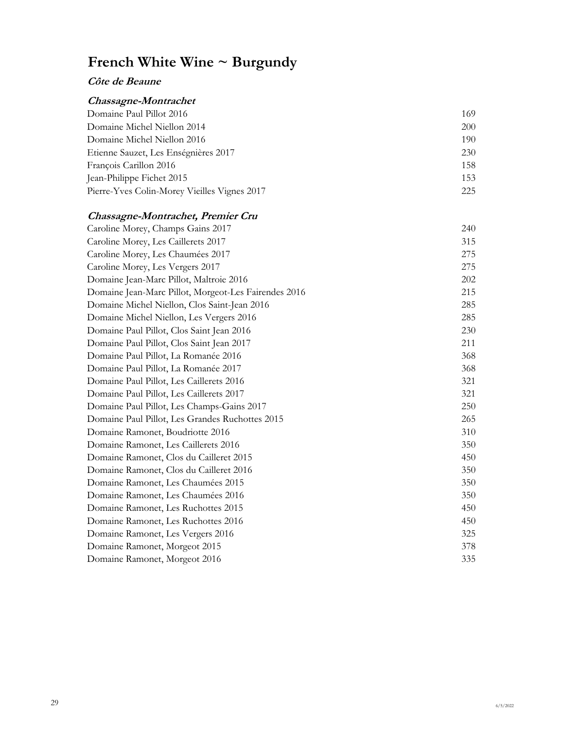#### **Côte de Beaune**

### **Chassagne-Montrachet** Domaine Paul Pillot 2016 169 Domaine Michel Niellon 2014 200 Domaine Michel Niellon 2016 190 Etienne Sauzet, Les Enségnières 2017 230 François Carillon 2016 158 Jean-Philippe Fichet 2015 153 Pierre-Yves Colin-Morey Vieilles Vignes 2017 225

#### **Chassagne-Montrachet, Premier Cru**

| Caroline Morey, Champs Gains 2017                    | 240 |
|------------------------------------------------------|-----|
| Caroline Morey, Les Caillerets 2017                  | 315 |
| Caroline Morey, Les Chaumées 2017                    | 275 |
| Caroline Morey, Les Vergers 2017                     | 275 |
| Domaine Jean-Marc Pillot, Maltroie 2016              | 202 |
| Domaine Jean-Marc Pillot, Morgeot-Les Fairendes 2016 | 215 |
| Domaine Michel Niellon, Clos Saint-Jean 2016         | 285 |
| Domaine Michel Niellon, Les Vergers 2016             | 285 |
| Domaine Paul Pillot, Clos Saint Jean 2016            | 230 |
| Domaine Paul Pillot, Clos Saint Jean 2017            | 211 |
| Domaine Paul Pillot, La Romanée 2016                 | 368 |
| Domaine Paul Pillot, La Romanée 2017                 | 368 |
| Domaine Paul Pillot, Les Caillerets 2016             | 321 |
| Domaine Paul Pillot, Les Caillerets 2017             | 321 |
| Domaine Paul Pillot, Les Champs-Gains 2017           | 250 |
| Domaine Paul Pillot, Les Grandes Ruchottes 2015      | 265 |
| Domaine Ramonet, Boudriotte 2016                     | 310 |
| Domaine Ramonet, Les Caillerets 2016                 | 350 |
| Domaine Ramonet, Clos du Cailleret 2015              | 450 |
| Domaine Ramonet, Clos du Cailleret 2016              | 350 |
| Domaine Ramonet, Les Chaumées 2015                   | 350 |
| Domaine Ramonet, Les Chaumées 2016                   | 350 |
| Domaine Ramonet, Les Ruchottes 2015                  | 450 |
| Domaine Ramonet, Les Ruchottes 2016                  | 450 |
| Domaine Ramonet, Les Vergers 2016                    | 325 |
| Domaine Ramonet, Morgeot 2015                        | 378 |
| Domaine Ramonet, Morgeot 2016                        | 335 |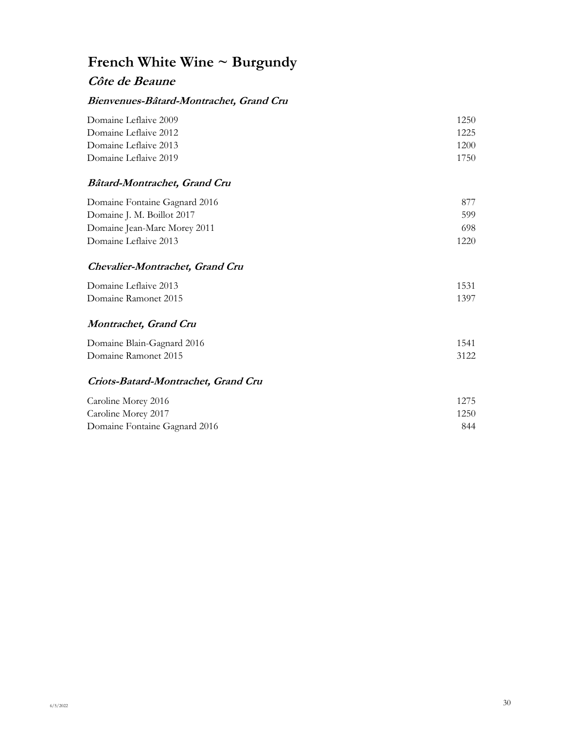### **Côte de Beaune**

#### **Bienvenues-Bâtard-Montrachet, Grand Cru**

| Domaine Leflaive 2009 | 1250 |
|-----------------------|------|
| Domaine Leflaive 2012 | 1225 |
| Domaine Leflaive 2013 | 1200 |
| Domaine Leflaive 2019 | 1750 |
|                       |      |

### **Bâtard-Montrachet, Grand Cru**

| Domaine Fontaine Gagnard 2016 | 877  |
|-------------------------------|------|
| Domaine J. M. Boillot 2017    | 599  |
| Domaine Jean-Marc Morey 2011  | 698  |
| Domaine Leflaive 2013         | 1220 |

### **Chevalier-Montrachet, Grand Cru**

| Domaine Leflaive 2013 | 1531 |
|-----------------------|------|
| Domaine Ramonet 2015  | 1397 |

#### **Montrachet, Grand Cru**

| Domaine Blain-Gagnard 2016 | 1541 |
|----------------------------|------|
| Domaine Ramonet 2015       | 3122 |

#### **Criots-Batard-Montrachet, Grand Cru**

| Caroline Morey 2016           | 1275 |
|-------------------------------|------|
| Caroline Morey 2017           | 1250 |
| Domaine Fontaine Gagnard 2016 | 844  |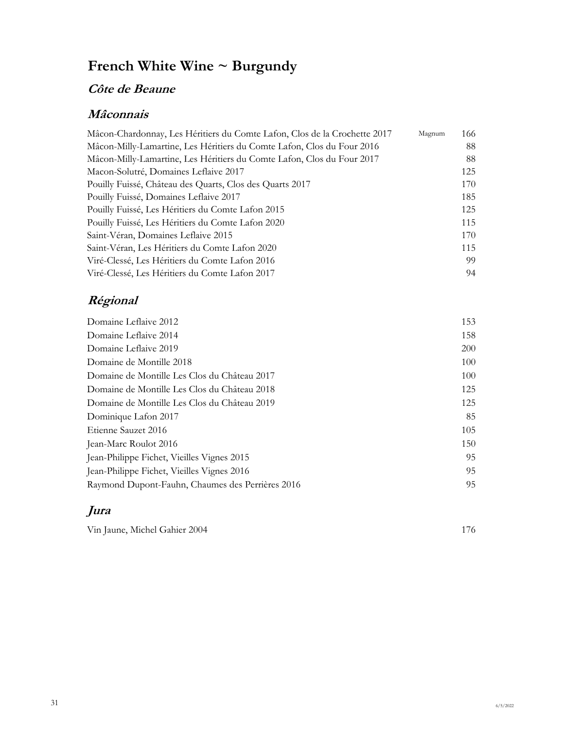# **Côte de Beaune**

## **Mâconnais**

| Mâcon-Chardonnay, Les Héritiers du Comte Lafon, Clos de la Crochette 2017 | Magnum | 166 |
|---------------------------------------------------------------------------|--------|-----|
| Mâcon-Milly-Lamartine, Les Héritiers du Comte Lafon, Clos du Four 2016    |        | 88  |
| Mâcon-Milly-Lamartine, Les Héritiers du Comte Lafon, Clos du Four 2017    |        | 88  |
| Macon-Solutré, Domaines Leflaive 2017                                     |        | 125 |
| Pouilly Fuissé, Château des Quarts, Clos des Quarts 2017                  |        | 170 |
| Pouilly Fuissé, Domaines Leflaive 2017                                    |        | 185 |
| Pouilly Fuissé, Les Héritiers du Comte Lafon 2015                         |        | 125 |
| Pouilly Fuissé, Les Héritiers du Comte Lafon 2020                         |        | 115 |
| Saint-Véran, Domaines Leflaive 2015                                       |        | 170 |
| Saint-Véran, Les Héritiers du Comte Lafon 2020                            |        | 115 |
| Viré-Clessé, Les Héritiers du Comte Lafon 2016                            |        | 99  |
| Viré-Clessé, Les Héritiers du Comte Lafon 2017                            |        | 94  |

# **Régional**

| Domaine Leflaive 2012                            | 153        |
|--------------------------------------------------|------------|
| Domaine Leflaive 2014                            | 158        |
| Domaine Leflaive 2019                            | <b>200</b> |
| Domaine de Montille 2018                         | 100        |
| Domaine de Montille Les Clos du Château 2017     | 100        |
| Domaine de Montille Les Clos du Château 2018     | 125        |
| Domaine de Montille Les Clos du Château 2019     | 125        |
| Dominique Lafon 2017                             | 85         |
| Etienne Sauzet 2016                              | 105        |
| Jean-Marc Roulot 2016                            | 150        |
| Jean-Philippe Fichet, Vieilles Vignes 2015       | 95         |
| Jean-Philippe Fichet, Vieilles Vignes 2016       | 95         |
| Raymond Dupont-Fauhn, Chaumes des Perrières 2016 | 95         |

# **Jura**

| Vin Jaune, Michel Gahier 2004 |  |
|-------------------------------|--|
|-------------------------------|--|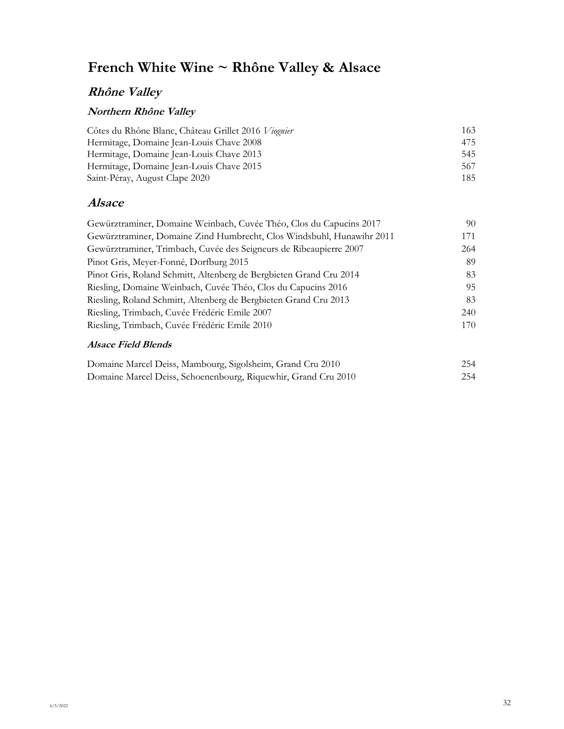# **French White Wine ~ Rhône Valley & Alsace**

## **Rhône Valley**

### **Northern Rhône Valley**

| Côtes du Rhône Blanc, Château Grillet 2016 Viognier | 163 |  |
|-----------------------------------------------------|-----|--|
| Hermitage, Domaine Jean-Louis Chave 2008            | 475 |  |
| Hermitage, Domaine Jean-Louis Chave 2013            | 545 |  |
| Hermitage, Domaine Jean-Louis Chave 2015            | 567 |  |
| Saint-Péray, August Clape 2020                      | 185 |  |

## **Alsace**

| Gewürztraminer, Domaine Weinbach, Cuvée Théo, Clos du Capucins 2017   | 90  |
|-----------------------------------------------------------------------|-----|
| Gewürztraminer, Domaine Zind Humbrecht, Clos Windsbuhl, Hunawihr 2011 | 171 |
| Gewürztraminer, Trimbach, Cuvée des Seigneurs de Ribeaupierre 2007    | 264 |
| Pinot Gris, Meyer-Fonné, Dorfburg 2015                                | 89  |
| Pinot Gris, Roland Schmitt, Altenberg de Bergbieten Grand Cru 2014    | 83  |
| Riesling, Domaine Weinbach, Cuvée Théo, Clos du Capucins 2016         | 95  |
| Riesling, Roland Schmitt, Altenberg de Bergbieten Grand Cru 2013      | 83  |
| Riesling, Trimbach, Cuvée Frédéric Emile 2007                         | 240 |
| Riesling, Trimbach, Cuvée Frédéric Emile 2010                         | 170 |
|                                                                       |     |

#### **Alsace Field Blends**

| Domaine Marcel Deiss, Mambourg, Sigolsheim, Grand Cru 2010     | 254 |
|----------------------------------------------------------------|-----|
| Domaine Marcel Deiss, Schoenenbourg, Riquewhir, Grand Cru 2010 | 254 |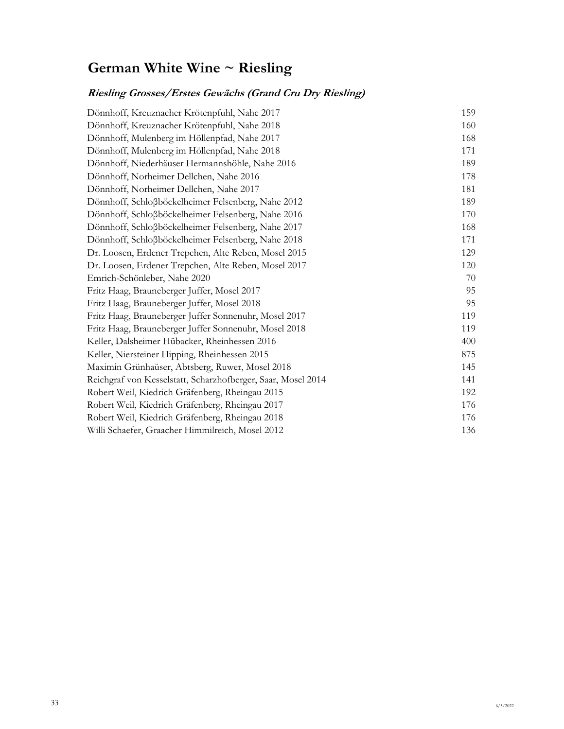# **German White Wine ~ Riesling**

## **Riesling Grosses/Erstes Gewächs (Grand Cru Dry Riesling)**

| Dönnhoff, Kreuznacher Krötenpfuhl, Nahe 2017                 | 159 |
|--------------------------------------------------------------|-----|
| Dönnhoff, Kreuznacher Krötenpfuhl, Nahe 2018                 | 160 |
| Dönnhoff, Mulenberg im Höllenpfad, Nahe 2017                 | 168 |
| Dönnhoff, Mulenberg im Höllenpfad, Nahe 2018                 | 171 |
| Dönnhoff, Niederhäuser Hermannshöhle, Nahe 2016              | 189 |
| Dönnhoff, Norheimer Dellchen, Nahe 2016                      | 178 |
| Dönnhoff, Norheimer Dellchen, Nahe 2017                      | 181 |
| Dönnhoff, Schloßböckelheimer Felsenberg, Nahe 2012           | 189 |
| Dönnhoff, Schloßböckelheimer Felsenberg, Nahe 2016           | 170 |
| Dönnhoff, Schloßböckelheimer Felsenberg, Nahe 2017           | 168 |
| Dönnhoff, Schloßböckelheimer Felsenberg, Nahe 2018           | 171 |
| Dr. Loosen, Erdener Trepchen, Alte Reben, Mosel 2015         | 129 |
| Dr. Loosen, Erdener Trepchen, Alte Reben, Mosel 2017         | 120 |
| Emrich-Schönleber, Nahe 2020                                 | 70  |
| Fritz Haag, Brauneberger Juffer, Mosel 2017                  | 95  |
| Fritz Haag, Brauneberger Juffer, Mosel 2018                  | 95  |
| Fritz Haag, Brauneberger Juffer Sonnenuhr, Mosel 2017        | 119 |
| Fritz Haag, Brauneberger Juffer Sonnenuhr, Mosel 2018        | 119 |
| Keller, Dalsheimer Hübacker, Rheinhessen 2016                | 400 |
| Keller, Niersteiner Hipping, Rheinhessen 2015                | 875 |
| Maximin Grünhaüser, Abtsberg, Ruwer, Mosel 2018              | 145 |
| Reichgraf von Kesselstatt, Scharzhofberger, Saar, Mosel 2014 | 141 |
| Robert Weil, Kiedrich Gräfenberg, Rheingau 2015              | 192 |
| Robert Weil, Kiedrich Gräfenberg, Rheingau 2017              | 176 |
| Robert Weil, Kiedrich Gräfenberg, Rheingau 2018              | 176 |
| Willi Schaefer, Graacher Himmilreich, Mosel 2012             | 136 |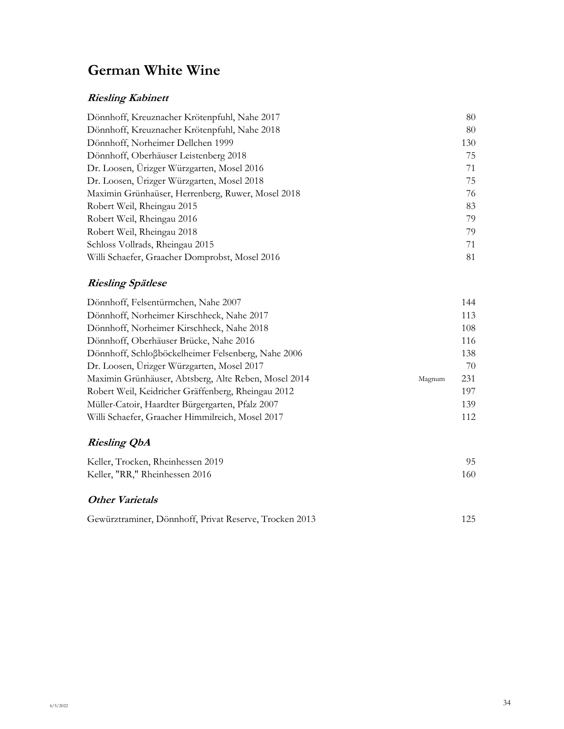# **German White Wine**

## **Riesling Kabinett**

| Dönnhoff, Kreuznacher Krötenpfuhl, Nahe 2017      | 80  |
|---------------------------------------------------|-----|
| Dönnhoff, Kreuznacher Krötenpfuhl, Nahe 2018      | 80  |
| Dönnhoff, Norheimer Dellchen 1999                 | 130 |
| Dönnhoff, Oberhäuser Leistenberg 2018             | 75  |
| Dr. Loosen, Ürizger Würzgarten, Mosel 2016        | 71  |
| Dr. Loosen, Ürizger Würzgarten, Mosel 2018        | 75  |
| Maximin Grünhaüser, Herrenberg, Ruwer, Mosel 2018 | 76  |
| Robert Weil, Rheingau 2015                        | 83  |
| Robert Weil, Rheingau 2016                        | 79  |
| Robert Weil, Rheingau 2018                        | 79  |
| Schloss Vollrads, Rheingau 2015                   | 71  |
| Willi Schaefer, Graacher Domprobst, Mosel 2016    | 81  |

### **Riesling Spätlese**

| Dönnhoff, Felsentürmchen, Nahe 2007                  |        | 144 |
|------------------------------------------------------|--------|-----|
| Dönnhoff, Norheimer Kirschheck, Nahe 2017            |        | 113 |
| Dönnhoff, Norheimer Kirschheck, Nahe 2018            |        | 108 |
| Dönnhoff, Oberhäuser Brücke, Nahe 2016               |        | 116 |
| Dönnhoff, Schloßböckelheimer Felsenberg, Nahe 2006   |        | 138 |
| Dr. Loosen, Ürizger Würzgarten, Mosel 2017           |        | 70  |
| Maximin Grünhäuser, Abtsberg, Alte Reben, Mosel 2014 | Magnum | 231 |
| Robert Weil, Keidricher Gräffenberg, Rheingau 2012   |        | 197 |
| Müller-Catoir, Haardter Bürgergarten, Pfalz 2007     |        | 139 |
| Willi Schaefer, Graacher Himmilreich, Mosel 2017     |        | 112 |

# **Riesling QbA**

| Keller, Trocken, Rheinhessen 2019 |      |
|-----------------------------------|------|
| Keller, "RR," Rheinhessen 2016    | 160. |

### **Other Varietals**

| Gewürztraminer, Dönnhoff, Privat Reserve, Trocken 2013 | 125 |
|--------------------------------------------------------|-----|
|--------------------------------------------------------|-----|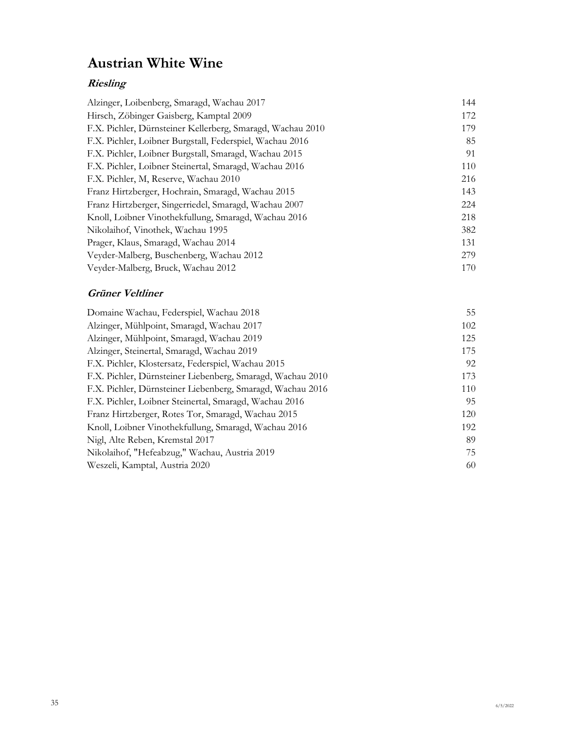# **Austrian White Wine**

## **Riesling**

| Alzinger, Loibenberg, Smaragd, Wachau 2017                 | 144 |
|------------------------------------------------------------|-----|
| Hirsch, Zöbinger Gaisberg, Kamptal 2009                    | 172 |
| F.X. Pichler, Dürnsteiner Kellerberg, Smaragd, Wachau 2010 | 179 |
| F.X. Pichler, Loibner Burgstall, Federspiel, Wachau 2016   | 85  |
| F.X. Pichler, Loibner Burgstall, Smaragd, Wachau 2015      | 91  |
| F.X. Pichler, Loibner Steinertal, Smaragd, Wachau 2016     | 110 |
| F.X. Pichler, M. Reserve, Wachau 2010                      | 216 |
| Franz Hirtzberger, Hochrain, Smaragd, Wachau 2015          | 143 |
| Franz Hirtzberger, Singerriedel, Smaragd, Wachau 2007      | 224 |
| Knoll, Loibner Vinothekfullung, Smaragd, Wachau 2016       | 218 |
| Nikolaihof, Vinothek, Wachau 1995                          | 382 |
| Prager, Klaus, Smaragd, Wachau 2014                        | 131 |
| Veyder-Malberg, Buschenberg, Wachau 2012                   | 279 |
| Veyder-Malberg, Bruck, Wachau 2012                         | 170 |
|                                                            |     |

### **Grüner Veltliner**

| Domaine Wachau, Federspiel, Wachau 2018                    | 55  |
|------------------------------------------------------------|-----|
| Alzinger, Mühlpoint, Smaragd, Wachau 2017                  | 102 |
| Alzinger, Mühlpoint, Smaragd, Wachau 2019                  | 125 |
| Alzinger, Steinertal, Smaragd, Wachau 2019                 | 175 |
| F.X. Pichler, Klostersatz, Federspiel, Wachau 2015         | 92  |
| F.X. Pichler, Dürnsteiner Liebenberg, Smaragd, Wachau 2010 | 173 |
| F.X. Pichler, Dürnsteiner Liebenberg, Smaragd, Wachau 2016 | 110 |
| F.X. Pichler, Loibner Steinertal, Smaragd, Wachau 2016     | 95  |
| Franz Hirtzberger, Rotes Tor, Smaragd, Wachau 2015         | 120 |
| Knoll, Loibner Vinothekfullung, Smaragd, Wachau 2016       | 192 |
| Nigl, Alte Reben, Kremstal 2017                            | 89  |
| Nikolaihof, "Hefeabzug," Wachau, Austria 2019              | 75  |
| Weszeli, Kamptal, Austria 2020                             | 60  |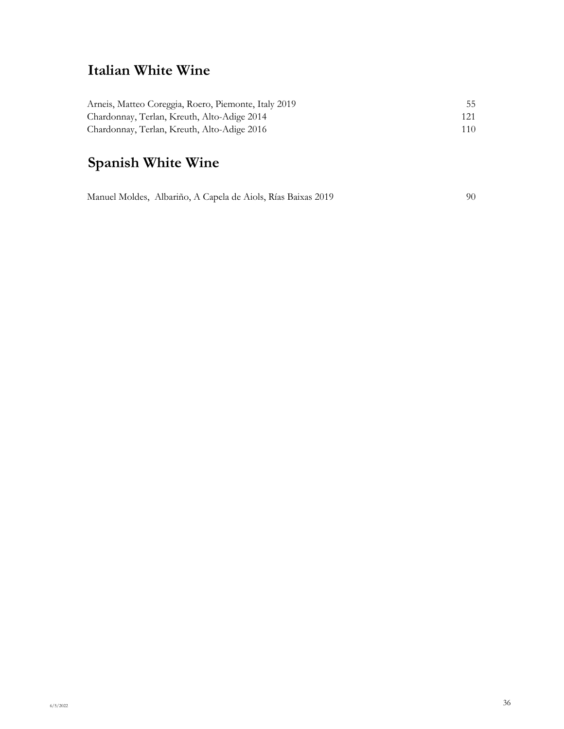# **Italian White Wine**

| Arneis, Matteo Coreggia, Roero, Piemonte, Italy 2019 | 55. |
|------------------------------------------------------|-----|
| Chardonnay, Terlan, Kreuth, Alto-Adige 2014          | 121 |
| Chardonnay, Terlan, Kreuth, Alto-Adige 2016          | 110 |

# **Spanish White Wine**

Manuel Moldes, Albariño, A Capela de Aiols, Rías Baixas 2019 90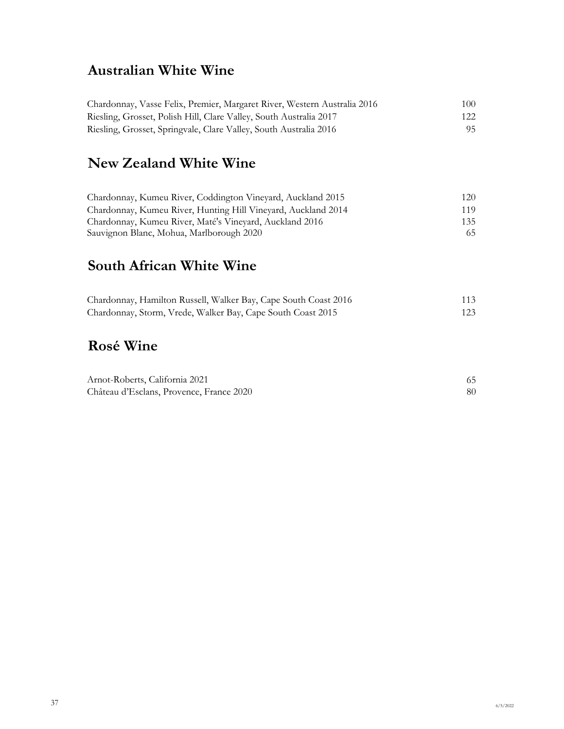# **Australian White Wine**

| Chardonnay, Vasse Felix, Premier, Margaret River, Western Australia 2016 | 100- |
|--------------------------------------------------------------------------|------|
| Riesling, Grosset, Polish Hill, Clare Valley, South Australia 2017       | 122  |
| Riesling, Grosset, Springvale, Clare Valley, South Australia 2016        | 95.  |

## **New Zealand White Wine**

| Chardonnay, Kumeu River, Coddington Vineyard, Auckland 2015   | 120 |
|---------------------------------------------------------------|-----|
| Chardonnay, Kumeu River, Hunting Hill Vineyard, Auckland 2014 | 119 |
| Chardonnay, Kumeu River, Maté's Vineyard, Auckland 2016       | 135 |
| Sauvignon Blanc, Mohua, Marlborough 2020                      | 65  |

## **South African White Wine**

| Chardonnay, Hamilton Russell, Walker Bay, Cape South Coast 2016 | 113 |
|-----------------------------------------------------------------|-----|
| Chardonnay, Storm, Vrede, Walker Bay, Cape South Coast 2015     | 123 |

# **Rosé Wine**

| Arnot-Roberts, California 2021           |  |
|------------------------------------------|--|
| Château d'Esclans, Provence, France 2020 |  |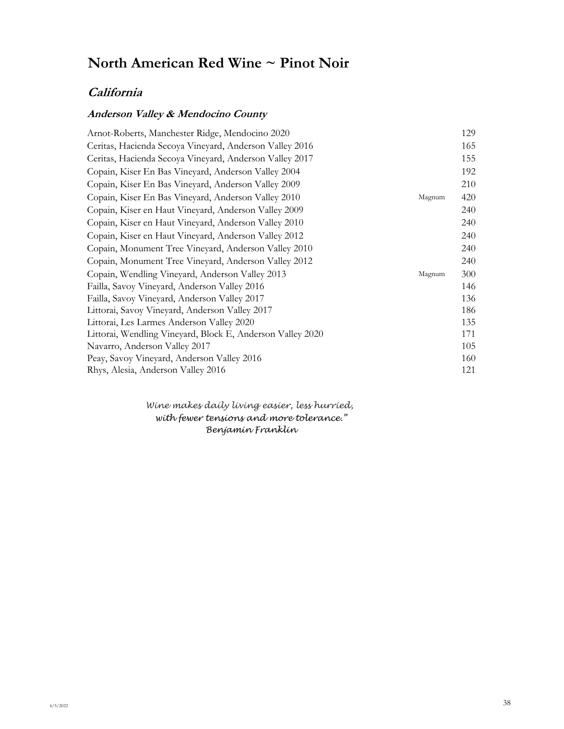### **California**

### **Anderson Valley & Mendocino County**

| Arnot-Roberts, Manchester Ridge, Mendocino 2020               | 129 |
|---------------------------------------------------------------|-----|
| Ceritas, Hacienda Secoya Vineyard, Anderson Valley 2016       | 165 |
| Ceritas, Hacienda Secoya Vineyard, Anderson Valley 2017       | 155 |
| Copain, Kiser En Bas Vineyard, Anderson Valley 2004           | 192 |
| Copain, Kiser En Bas Vineyard, Anderson Valley 2009           | 210 |
| Copain, Kiser En Bas Vineyard, Anderson Valley 2010<br>Magnum | 420 |
| Copain, Kiser en Haut Vineyard, Anderson Valley 2009          | 240 |
| Copain, Kiser en Haut Vineyard, Anderson Valley 2010          | 240 |
| Copain, Kiser en Haut Vineyard, Anderson Valley 2012          | 240 |
| Copain, Monument Tree Vineyard, Anderson Valley 2010          | 240 |
| Copain, Monument Tree Vineyard, Anderson Valley 2012          | 240 |
| Copain, Wendling Vineyard, Anderson Valley 2013<br>Magnum     | 300 |
| Failla, Savoy Vineyard, Anderson Valley 2016                  | 146 |
| Failla, Savoy Vineyard, Anderson Valley 2017                  | 136 |
| Littorai, Savoy Vineyard, Anderson Valley 2017                | 186 |
| Littorai, Les Larmes Anderson Valley 2020                     | 135 |
| Littorai, Wendling Vineyard, Block E, Anderson Valley 2020    | 171 |
| Navarro, Anderson Valley 2017                                 | 105 |
| Peay, Savoy Vineyard, Anderson Valley 2016                    | 160 |
| Rhys, Alesia, Anderson Valley 2016                            | 121 |

*Wine makes daily living easier, less hurried, with fewer tensions and more tolerance." Benjamin Franklin*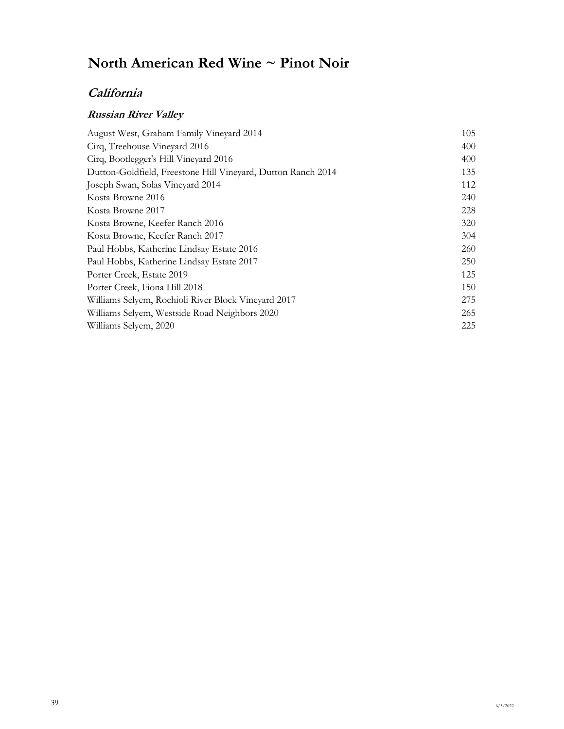## **California**

### **Russian River Valley**

| August West, Graham Family Vineyard 2014                     | 105 |
|--------------------------------------------------------------|-----|
| Cirq, Treehouse Vineyard 2016                                | 400 |
| Cirq, Bootlegger's Hill Vineyard 2016                        | 400 |
| Dutton-Goldfield, Freestone Hill Vineyard, Dutton Ranch 2014 | 135 |
| Joseph Swan, Solas Vineyard 2014                             | 112 |
| Kosta Browne 2016                                            | 240 |
| Kosta Browne 2017                                            | 228 |
| Kosta Browne, Keefer Ranch 2016                              | 320 |
| Kosta Browne, Keefer Ranch 2017                              | 304 |
| Paul Hobbs, Katherine Lindsay Estate 2016                    | 260 |
| Paul Hobbs, Katherine Lindsay Estate 2017                    | 250 |
| Porter Creek, Estate 2019                                    | 125 |
| Porter Creek, Fiona Hill 2018                                | 150 |
| Williams Selvem, Rochioli River Block Vineyard 2017          | 275 |
| Williams Selyem, Westside Road Neighbors 2020                | 265 |
| Williams Selyem, 2020                                        | 225 |
|                                                              |     |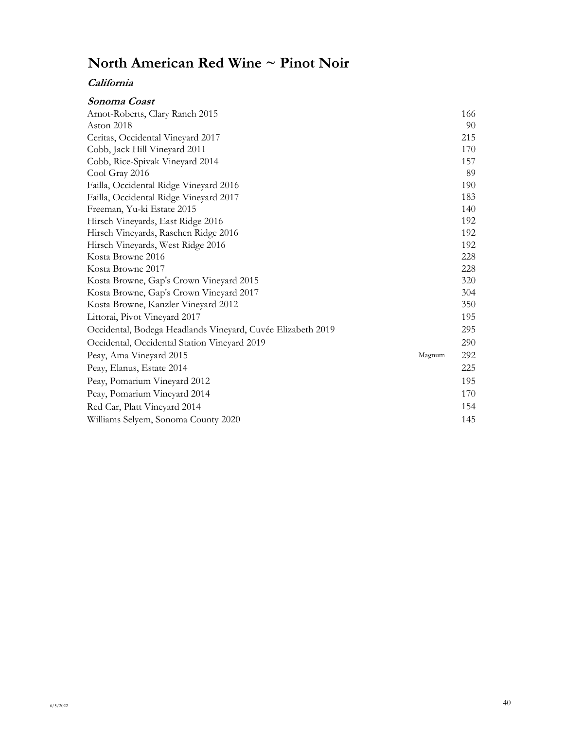| Sonoma Coast                                                |        |     |
|-------------------------------------------------------------|--------|-----|
| Arnot-Roberts, Clary Ranch 2015                             |        | 166 |
| Aston 2018                                                  |        | 90  |
| Ceritas, Occidental Vineyard 2017                           |        | 215 |
| Cobb, Jack Hill Vineyard 2011                               |        | 170 |
| Cobb, Rice-Spivak Vineyard 2014                             |        | 157 |
| Cool Gray 2016                                              |        | 89  |
| Failla, Occidental Ridge Vineyard 2016                      |        | 190 |
| Failla, Occidental Ridge Vineyard 2017                      |        | 183 |
| Freeman, Yu-ki Estate 2015                                  |        | 140 |
| Hirsch Vineyards, East Ridge 2016                           |        | 192 |
| Hirsch Vineyards, Raschen Ridge 2016                        |        | 192 |
| Hirsch Vineyards, West Ridge 2016                           |        | 192 |
| Kosta Browne 2016                                           |        | 228 |
| Kosta Browne 2017                                           |        | 228 |
| Kosta Browne, Gap's Crown Vineyard 2015                     |        | 320 |
| Kosta Browne, Gap's Crown Vineyard 2017                     |        | 304 |
| Kosta Browne, Kanzler Vineyard 2012                         |        | 350 |
| Littorai, Pivot Vineyard 2017                               |        | 195 |
| Occidental, Bodega Headlands Vineyard, Cuvée Elizabeth 2019 |        | 295 |
| Occidental, Occidental Station Vineyard 2019                |        | 290 |
| Peay, Ama Vineyard 2015                                     | Magnum | 292 |
| Peay, Elanus, Estate 2014                                   |        | 225 |
| Peay, Pomarium Vineyard 2012                                |        | 195 |
| Peay, Pomarium Vineyard 2014                                |        | 170 |
| Red Car, Platt Vineyard 2014                                |        | 154 |
| Williams Selyem, Sonoma County 2020                         |        | 145 |
|                                                             |        |     |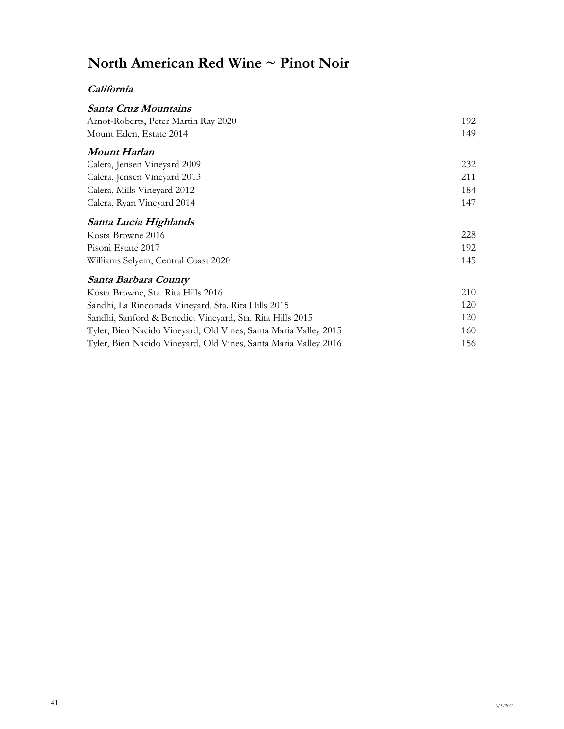| Santa Cruz Mountains                                            |     |
|-----------------------------------------------------------------|-----|
| Arnot-Roberts, Peter Martin Ray 2020                            | 192 |
| Mount Eden, Estate 2014                                         | 149 |
| Mount Harlan                                                    |     |
| Calera, Jensen Vineyard 2009                                    | 232 |
| Calera, Jensen Vineyard 2013                                    | 211 |
| Calera, Mills Vineyard 2012                                     | 184 |
| Calera, Ryan Vineyard 2014                                      | 147 |
| Santa Lucia Highlands                                           |     |
| Kosta Browne 2016                                               | 228 |
| Pisoni Estate 2017                                              | 192 |
| Williams Selyem, Central Coast 2020                             | 145 |
| Santa Barbara County                                            |     |
| Kosta Browne, Sta. Rita Hills 2016                              | 210 |
| Sandhi, La Rinconada Vineyard, Sta. Rita Hills 2015             | 120 |
| Sandhi, Sanford & Benedict Vineyard, Sta. Rita Hills 2015       | 120 |
| Tyler, Bien Nacido Vineyard, Old Vines, Santa Maria Valley 2015 | 160 |
| Tyler, Bien Nacido Vineyard, Old Vines, Santa Maria Valley 2016 | 156 |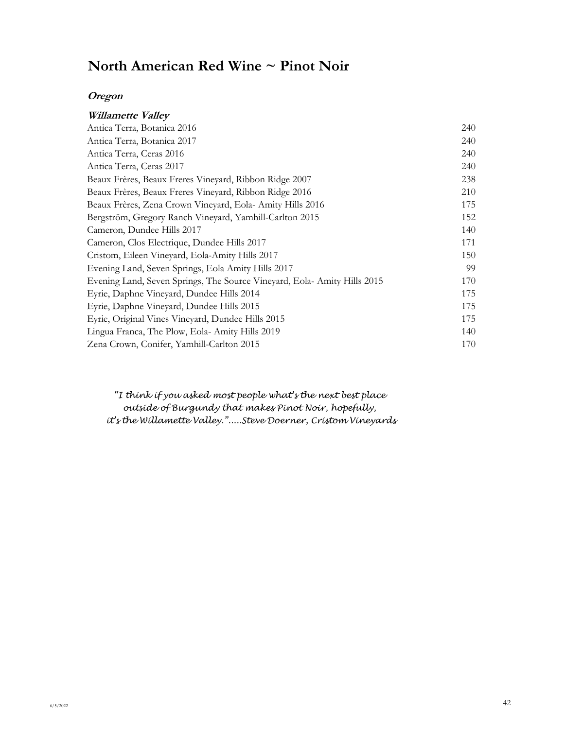#### **Oregon**

| Willamette Valley                                                       |     |
|-------------------------------------------------------------------------|-----|
| Antica Terra, Botanica 2016                                             | 240 |
| Antica Terra, Botanica 2017                                             | 240 |
| Antica Terra, Ceras 2016                                                | 240 |
| Antica Terra, Ceras 2017                                                | 240 |
| Beaux Frères, Beaux Freres Vineyard, Ribbon Ridge 2007                  | 238 |
| Beaux Frères, Beaux Freres Vineyard, Ribbon Ridge 2016                  | 210 |
| Beaux Frères, Zena Crown Vineyard, Eola-Amity Hills 2016                | 175 |
| Bergström, Gregory Ranch Vineyard, Yamhill-Carlton 2015                 | 152 |
| Cameron, Dundee Hills 2017                                              | 140 |
| Cameron, Clos Electrique, Dundee Hills 2017                             | 171 |
| Cristom, Eileen Vineyard, Eola-Amity Hills 2017                         | 150 |
| Evening Land, Seven Springs, Eola Amity Hills 2017                      | 99  |
| Evening Land, Seven Springs, The Source Vineyard, Eola-Amity Hills 2015 | 170 |
| Eyrie, Daphne Vineyard, Dundee Hills 2014                               | 175 |
| Eyrie, Daphne Vineyard, Dundee Hills 2015                               | 175 |
| Eyrie, Original Vines Vineyard, Dundee Hills 2015                       | 175 |
| Lingua Franca, The Plow, Eola-Amity Hills 2019                          | 140 |
| Zena Crown, Conifer, Yamhill-Carlton 2015                               | 170 |

*"I think if you asked most people what's the next best place outside of Burgundy that makes Pinot Noir, hopefully, it's the Willamette Valley.".....Steve Doerner, Cristom Vineyards*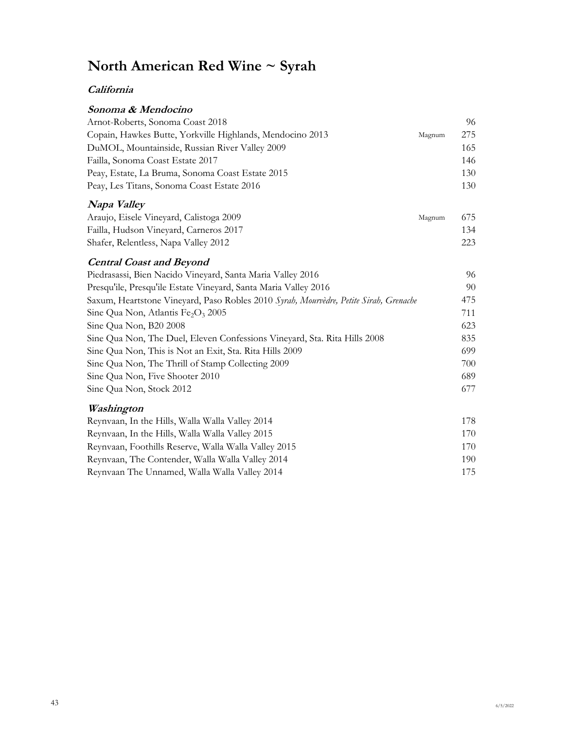# **North American Red Wine ~ Syrah**

### **California**

| Sonoma & Mendocino                                        |        |     |
|-----------------------------------------------------------|--------|-----|
| Arnot-Roberts, Sonoma Coast 2018                          |        | 96  |
| Copain, Hawkes Butte, Yorkville Highlands, Mendocino 2013 | Magnum | 275 |
| DuMOL, Mountainside, Russian River Valley 2009            |        | 165 |
| Failla, Sonoma Coast Estate 2017                          |        | 146 |
| Peay, Estate, La Bruma, Sonoma Coast Estate 2015          |        | 130 |
| Peay, Les Titans, Sonoma Coast Estate 2016                |        | 130 |
|                                                           |        |     |

### **Napa Valley**

| Araujo, Eisele Vineyard, Calistoga 2009 | Magnum | 675 |
|-----------------------------------------|--------|-----|
| Failla, Hudson Vineyard, Carneros 2017  |        | 134 |
| Shafer, Relentless, Napa Valley 2012    |        | 223 |

### **Central Coast and Beyond**

| Piedrasassi, Bien Nacido Vineyard, Santa Maria Valley 2016                            | 96  |
|---------------------------------------------------------------------------------------|-----|
| Presqu'ile, Presqu'ile Estate Vineyard, Santa Maria Valley 2016                       | 90  |
| Saxum, Heartstone Vineyard, Paso Robles 2010 Syrah, Mourvèdre, Petite Sirah, Grenache | 475 |
| Sine Qua Non, Atlantis $Fe2O3$ 2005                                                   | 711 |
| Sine Qua Non, B20 2008                                                                | 623 |
| Sine Qua Non, The Duel, Eleven Confessions Vineyard, Sta. Rita Hills 2008             | 835 |
| Sine Qua Non, This is Not an Exit, Sta. Rita Hills 2009                               | 699 |
| Sine Qua Non, The Thrill of Stamp Collecting 2009                                     | 700 |
| Sine Qua Non, Five Shooter 2010                                                       | 689 |
| Sine Qua Non, Stock 2012                                                              | 677 |

### **Washington**

| Reynvaan, In the Hills, Walla Walla Valley 2014      | 178  |
|------------------------------------------------------|------|
| Reynvaan, In the Hills, Walla Walla Valley 2015      | 170  |
| Reynvaan, Foothills Reserve, Walla Walla Valley 2015 | 170  |
| Reynvaan, The Contender, Walla Walla Valley 2014     | 190. |
| Reynvaan The Unnamed, Walla Walla Valley 2014        | 175  |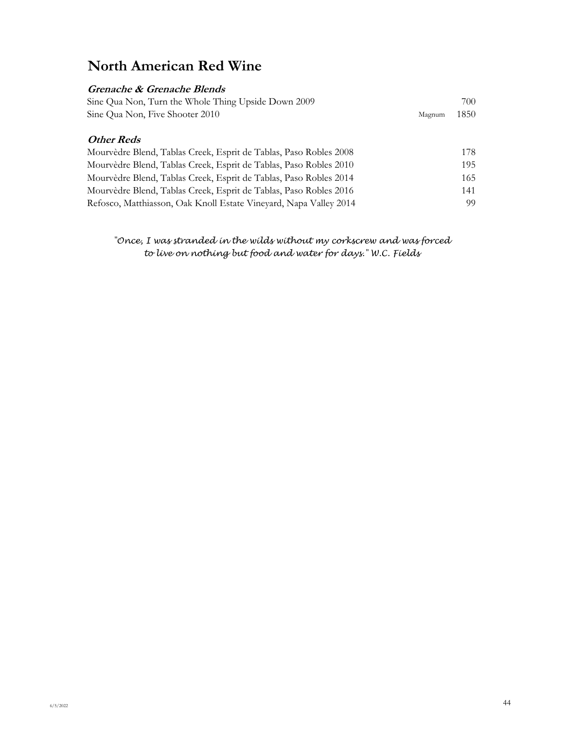## **North American Red Wine**

### **Grenache & Grenache Blends** Sine Qua Non, Turn the Whole Thing Upside Down 2009 700 Sine Qua Non, Five Shooter 2010 Magnum 1850 **Other Reds** Mourvèdre Blend, Tablas Creek, Esprit de Tablas, Paso Robles 2008 178 Mourvèdre Blend, Tablas Creek, Esprit de Tablas, Paso Robles 2010 195 Mourvèdre Blend, Tablas Creek, Esprit de Tablas, Paso Robles 2014 165 Mourvèdre Blend, Tablas Creek, Esprit de Tablas, Paso Robles 2016 141 Refosco, Matthiasson, Oak Knoll Estate Vineyard, Napa Valley 2014 99

#### *"Once, I was stranded in the wilds without my corkscrew and was forced to live on nothing but food and water for days." W.C. Fields*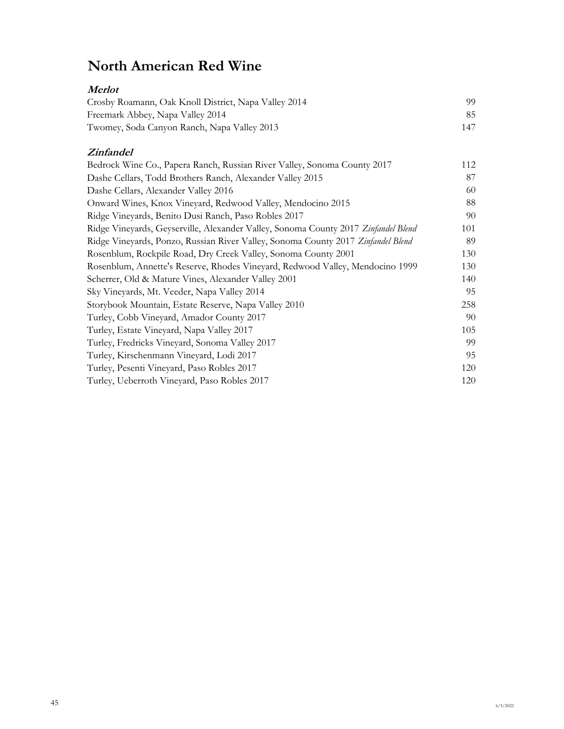## **North American Red Wine**

### **Merlot** Crosby Roamann, Oak Knoll District, Napa Valley 2014 99 Freemark Abbey, Napa Valley 2014 85 Twomey, Soda Canyon Ranch, Napa Valley 2013 147

#### **Zinfandel**

| Bedrock Wine Co., Papera Ranch, Russian River Valley, Sonoma County 2017           | 112 |
|------------------------------------------------------------------------------------|-----|
| Dashe Cellars, Todd Brothers Ranch, Alexander Valley 2015                          | 87  |
| Dashe Cellars, Alexander Valley 2016                                               | 60  |
| Onward Wines, Knox Vineyard, Redwood Valley, Mendocino 2015                        | 88  |
| Ridge Vineyards, Benito Dusi Ranch, Paso Robles 2017                               | 90  |
| Ridge Vineyards, Geyserville, Alexander Valley, Sonoma County 2017 Zinfandel Blend | 101 |
| Ridge Vineyards, Ponzo, Russian River Valley, Sonoma County 2017 Zinfandel Blend   | 89  |
| Rosenblum, Rockpile Road, Dry Creek Valley, Sonoma County 2001                     | 130 |
| Rosenblum, Annette's Reserve, Rhodes Vineyard, Redwood Valley, Mendocino 1999      | 130 |
| Scherrer, Old & Mature Vines, Alexander Valley 2001                                | 140 |
| Sky Vineyards, Mt. Veeder, Napa Valley 2014                                        | 95  |
| Storybook Mountain, Estate Reserve, Napa Valley 2010                               | 258 |
| Turley, Cobb Vineyard, Amador County 2017                                          | 90  |
| Turley, Estate Vineyard, Napa Valley 2017                                          | 105 |
| Turley, Fredricks Vineyard, Sonoma Valley 2017                                     | 99  |
| Turley, Kirschenmann Vineyard, Lodi 2017                                           | 95  |
| Turley, Pesenti Vineyard, Paso Robles 2017                                         | 120 |
| Turley, Ueberroth Vineyard, Paso Robles 2017                                       | 120 |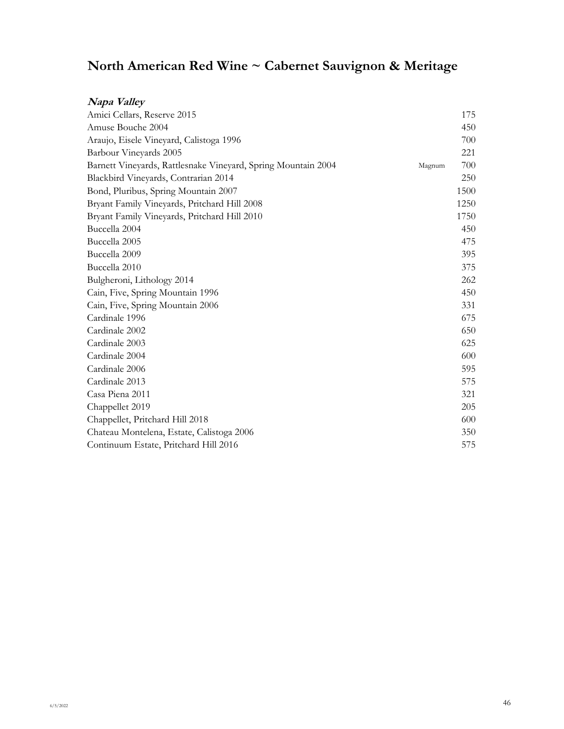| Napa Valley                                                   |        |      |
|---------------------------------------------------------------|--------|------|
| Amici Cellars, Reserve 2015                                   |        | 175  |
| Amuse Bouche 2004                                             |        | 450  |
| Araujo, Eisele Vineyard, Calistoga 1996                       |        | 700  |
| Barbour Vineyards 2005                                        |        | 221  |
| Barnett Vineyards, Rattlesnake Vineyard, Spring Mountain 2004 | Magnum | 700  |
| Blackbird Vineyards, Contrarian 2014                          |        | 250  |
| Bond, Pluribus, Spring Mountain 2007                          |        | 1500 |
| Bryant Family Vineyards, Pritchard Hill 2008                  |        | 1250 |
| Bryant Family Vineyards, Pritchard Hill 2010                  |        | 1750 |
| Buccella 2004                                                 |        | 450  |
| Buccella 2005                                                 |        | 475  |
| Buccella 2009                                                 |        | 395  |
| Buccella 2010                                                 |        | 375  |
| Bulgheroni, Lithology 2014                                    |        | 262  |
| Cain, Five, Spring Mountain 1996                              |        | 450  |
| Cain, Five, Spring Mountain 2006                              |        | 331  |
| Cardinale 1996                                                |        | 675  |
| Cardinale 2002                                                |        | 650  |
| Cardinale 2003                                                |        | 625  |
| Cardinale 2004                                                |        | 600  |
| Cardinale 2006                                                |        | 595  |
| Cardinale 2013                                                |        | 575  |
| Casa Piena 2011                                               |        | 321  |
| Chappellet 2019                                               |        | 205  |
| Chappellet, Pritchard Hill 2018                               |        | 600  |
| Chateau Montelena, Estate, Calistoga 2006                     |        | 350  |
| Continuum Estate, Pritchard Hill 2016                         |        | 575  |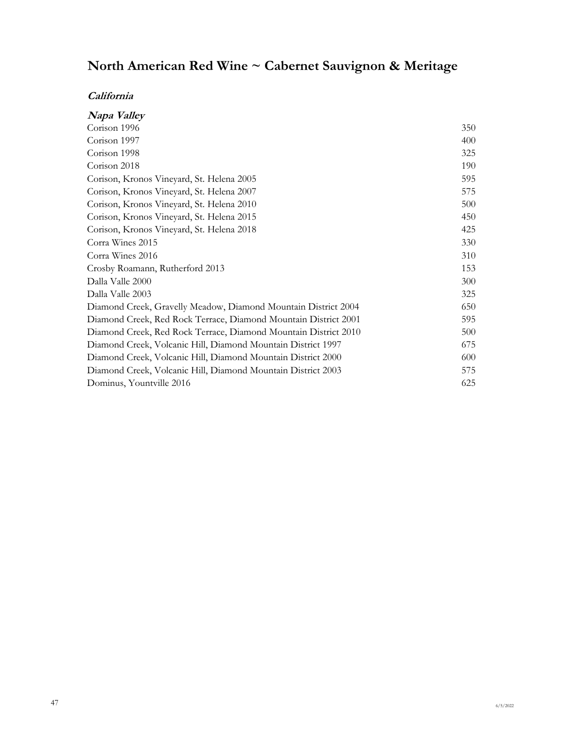| Napa Valley                                                     |     |
|-----------------------------------------------------------------|-----|
| Corison 1996                                                    | 350 |
| Corison 1997                                                    | 400 |
| Corison 1998                                                    | 325 |
| Corison 2018                                                    | 190 |
| Corison, Kronos Vineyard, St. Helena 2005                       | 595 |
| Corison, Kronos Vineyard, St. Helena 2007                       | 575 |
| Corison, Kronos Vineyard, St. Helena 2010                       | 500 |
| Corison, Kronos Vineyard, St. Helena 2015                       | 450 |
| Corison, Kronos Vineyard, St. Helena 2018                       | 425 |
| Corra Wines 2015                                                | 330 |
| Corra Wines 2016                                                | 310 |
| Crosby Roamann, Rutherford 2013                                 | 153 |
| Dalla Valle 2000                                                | 300 |
| Dalla Valle 2003                                                | 325 |
| Diamond Creek, Gravelly Meadow, Diamond Mountain District 2004  | 650 |
| Diamond Creek, Red Rock Terrace, Diamond Mountain District 2001 | 595 |
| Diamond Creek, Red Rock Terrace, Diamond Mountain District 2010 | 500 |
| Diamond Creek, Volcanic Hill, Diamond Mountain District 1997    | 675 |
| Diamond Creek, Volcanic Hill, Diamond Mountain District 2000    | 600 |
| Diamond Creek, Volcanic Hill, Diamond Mountain District 2003    | 575 |
| Dominus, Yountville 2016                                        | 625 |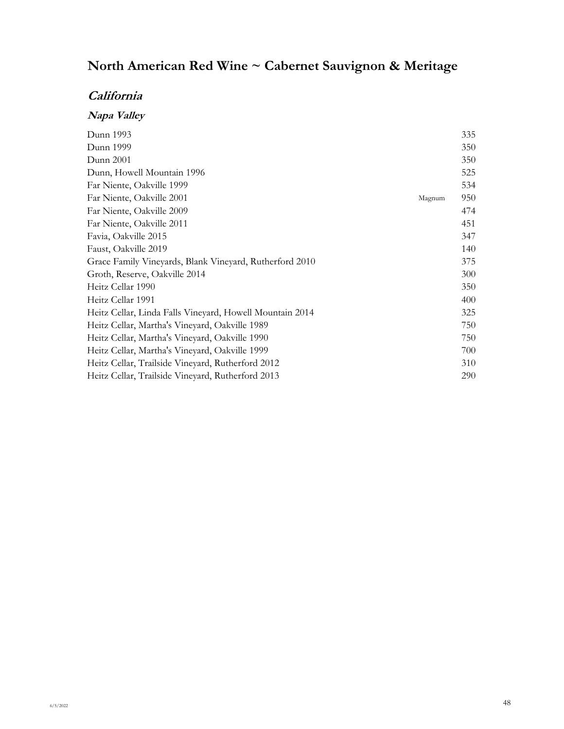### **California**

## **Napa Valley**

| Dunn 1993                                                |        | 335 |
|----------------------------------------------------------|--------|-----|
| Dunn 1999                                                |        | 350 |
| Dunn 2001                                                |        | 350 |
| Dunn, Howell Mountain 1996                               |        | 525 |
| Far Niente, Oakville 1999                                |        | 534 |
| Far Niente, Oakville 2001                                | Magnum | 950 |
| Far Niente, Oakville 2009                                |        | 474 |
| Far Niente, Oakville 2011                                |        | 451 |
| Favia, Oakville 2015                                     |        | 347 |
| Faust, Oakville 2019                                     |        | 140 |
| Grace Family Vineyards, Blank Vineyard, Rutherford 2010  |        | 375 |
| Groth, Reserve, Oakville 2014                            |        | 300 |
| Heitz Cellar 1990                                        |        | 350 |
| Heitz Cellar 1991                                        |        | 400 |
| Heitz Cellar, Linda Falls Vineyard, Howell Mountain 2014 |        | 325 |
| Heitz Cellar, Martha's Vineyard, Oakville 1989           |        | 750 |
| Heitz Cellar, Martha's Vineyard, Oakville 1990           |        | 750 |
| Heitz Cellar, Martha's Vineyard, Oakville 1999           |        | 700 |
| Heitz Cellar, Trailside Vineyard, Rutherford 2012        |        | 310 |
| Heitz Cellar, Trailside Vineyard, Rutherford 2013        |        | 290 |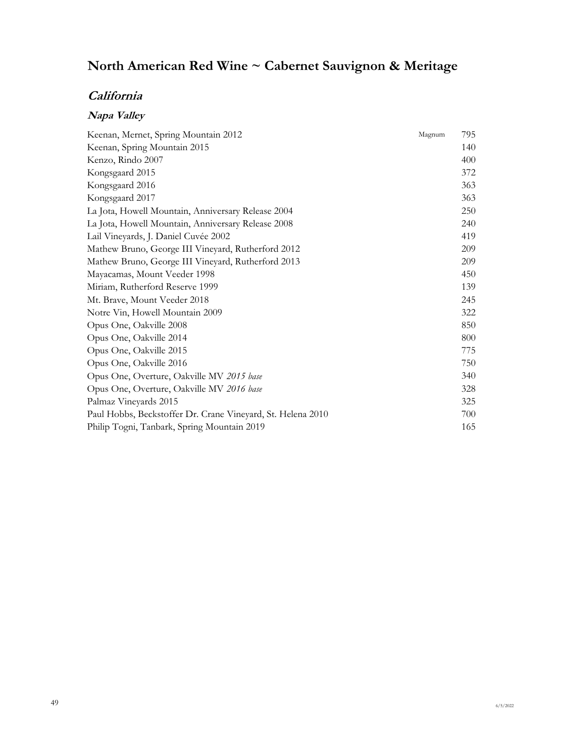## **California**

## **Napa Valley**

| Keenan, Mernet, Spring Mountain 2012                        | 795<br>Magnum |
|-------------------------------------------------------------|---------------|
| Keenan, Spring Mountain 2015                                | 140           |
| Kenzo, Rindo 2007                                           | 400           |
| Kongsgaard 2015                                             | 372           |
| Kongsgaard 2016                                             | 363           |
| Kongsgaard 2017                                             | 363           |
| La Jota, Howell Mountain, Anniversary Release 2004          | 250           |
| La Jota, Howell Mountain, Anniversary Release 2008          | 240           |
| Lail Vineyards, J. Daniel Cuvée 2002                        | 419           |
| Mathew Bruno, George III Vineyard, Rutherford 2012          | 209           |
| Mathew Bruno, George III Vineyard, Rutherford 2013          | 209           |
| Mayacamas, Mount Veeder 1998                                | 450           |
| Miriam, Rutherford Reserve 1999                             | 139           |
| Mt. Brave, Mount Veeder 2018                                | 245           |
| Notre Vin, Howell Mountain 2009                             | 322           |
| Opus One, Oakville 2008                                     | 850           |
| Opus One, Oakville 2014                                     | 800           |
| Opus One, Oakville 2015                                     | 775           |
| Opus One, Oakville 2016                                     | 750           |
| Opus One, Overture, Oakville MV 2015 base                   | 340           |
| Opus One, Overture, Oakville MV 2016 base                   | 328           |
| Palmaz Vineyards 2015                                       | 325           |
| Paul Hobbs, Beckstoffer Dr. Crane Vineyard, St. Helena 2010 | 700           |
| Philip Togni, Tanbark, Spring Mountain 2019                 | 165           |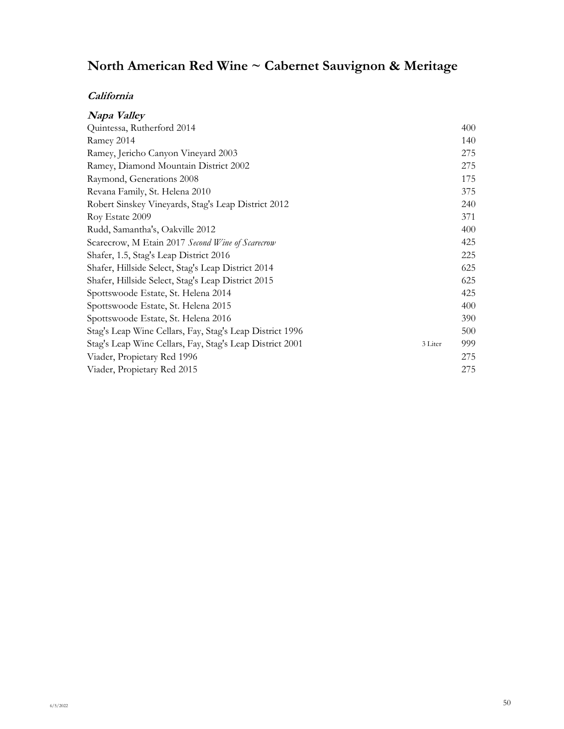| Napa Valley                                              |                |
|----------------------------------------------------------|----------------|
| Quintessa, Rutherford 2014                               | 400            |
| Ramey 2014                                               | 140            |
| Ramey, Jericho Canyon Vineyard 2003                      | 275            |
| Ramey, Diamond Mountain District 2002                    | 275            |
| Raymond, Generations 2008                                | 175            |
| Revana Family, St. Helena 2010                           | 375            |
| Robert Sinskey Vineyards, Stag's Leap District 2012      | 240            |
| Roy Estate 2009                                          | 371            |
| Rudd, Samantha's, Oakville 2012                          | 400            |
| Scarecrow, M Etain 2017 Second Wine of Scarecrow         | 425            |
| Shafer, 1.5, Stag's Leap District 2016                   | 225            |
| Shafer, Hillside Select, Stag's Leap District 2014       | 625            |
| Shafer, Hillside Select, Stag's Leap District 2015       | 625            |
| Spottswoode Estate, St. Helena 2014                      | 425            |
| Spottswoode Estate, St. Helena 2015                      | 400            |
| Spottswoode Estate, St. Helena 2016                      | 390            |
| Stag's Leap Wine Cellars, Fay, Stag's Leap District 1996 | 500            |
| Stag's Leap Wine Cellars, Fay, Stag's Leap District 2001 | 999<br>3 Liter |
| Viader, Propietary Red 1996                              | 275            |
| Viader, Propietary Red 2015                              | 275            |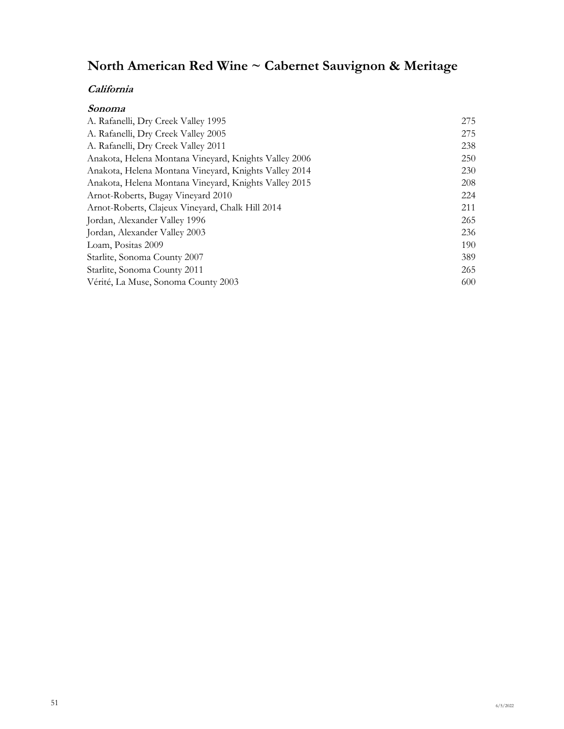| Sonoma                                                |     |
|-------------------------------------------------------|-----|
| A. Rafanelli, Dry Creek Valley 1995                   | 275 |
| A. Rafanelli, Dry Creek Valley 2005                   | 275 |
| A. Rafanelli, Dry Creek Valley 2011                   | 238 |
| Anakota, Helena Montana Vineyard, Knights Valley 2006 | 250 |
| Anakota, Helena Montana Vineyard, Knights Valley 2014 | 230 |
| Anakota, Helena Montana Vineyard, Knights Valley 2015 | 208 |
| Arnot-Roberts, Bugay Vineyard 2010                    | 224 |
| Arnot-Roberts, Clajeux Vineyard, Chalk Hill 2014      | 211 |
| Jordan, Alexander Valley 1996                         | 265 |
| Jordan, Alexander Valley 2003                         | 236 |
| Loam, Positas 2009                                    | 190 |
| Starlite, Sonoma County 2007                          | 389 |
| Starlite, Sonoma County 2011                          | 265 |
| Vérité, La Muse, Sonoma County 2003                   | 600 |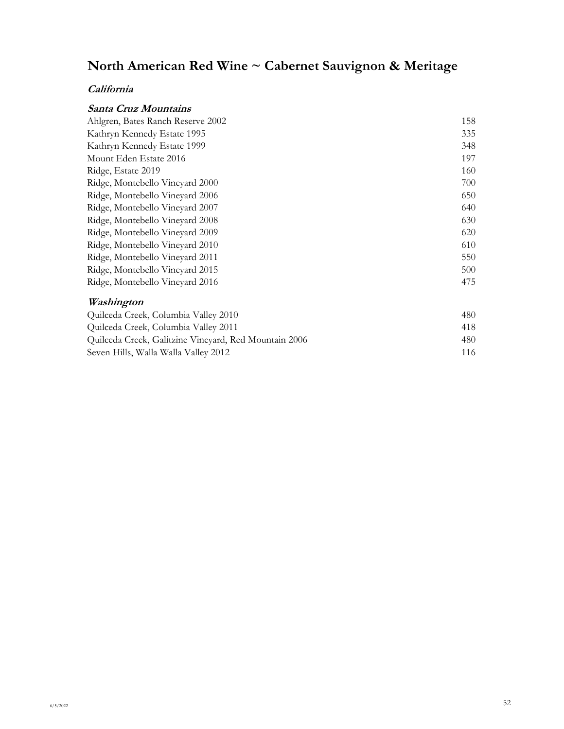| Santa Cruz Mountains                 |     |
|--------------------------------------|-----|
| Ahlgren, Bates Ranch Reserve 2002    | 158 |
| Kathryn Kennedy Estate 1995          | 335 |
| Kathryn Kennedy Estate 1999          | 348 |
| Mount Eden Estate 2016               | 197 |
| Ridge, Estate 2019                   | 160 |
| Ridge, Montebello Vineyard 2000      | 700 |
| Ridge, Montebello Vineyard 2006      | 650 |
| Ridge, Montebello Vineyard 2007      | 640 |
| Ridge, Montebello Vineyard 2008      | 630 |
| Ridge, Montebello Vineyard 2009      | 620 |
| Ridge, Montebello Vineyard 2010      | 610 |
| Ridge, Montebello Vineyard 2011      | 550 |
| Ridge, Montebello Vineyard 2015      | 500 |
| Ridge, Montebello Vineyard 2016      | 475 |
| Washington                           |     |
| Quilceda Creek, Columbia Valley 2010 | 480 |
|                                      |     |

| Quilceda Creek, Columbia Valley 2011                  | 418 |
|-------------------------------------------------------|-----|
| Quilceda Creek, Galitzine Vineyard, Red Mountain 2006 | 480 |
| Seven Hills, Walla Walla Valley 2012                  | 116 |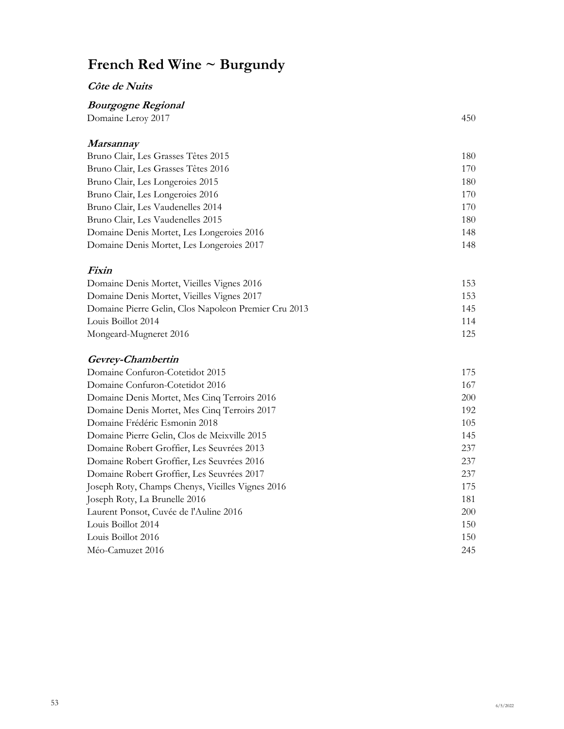#### **Côte de Nuits**

### **Bourgogne Regional**

| Domaine Leroy 2017 | 450 |
|--------------------|-----|
|                    |     |
|                    |     |

### **Marsannay**

| Bruno Clair, Les Grasses Têtes 2015       | 180 |
|-------------------------------------------|-----|
| Bruno Clair, Les Grasses Têtes 2016       | 170 |
| Bruno Clair, Les Longeroies 2015          | 180 |
| Bruno Clair, Les Longeroies 2016          | 170 |
| Bruno Clair, Les Vaudenelles 2014         | 170 |
| Bruno Clair, Les Vaudenelles 2015         | 180 |
| Domaine Denis Mortet, Les Longeroies 2016 | 148 |
| Domaine Denis Mortet, Les Longeroies 2017 | 148 |

#### **Fixin**

| Domaine Denis Mortet, Vieilles Vignes 2016           | 153  |
|------------------------------------------------------|------|
| Domaine Denis Mortet, Vieilles Vignes 2017           | 153. |
| Domaine Pierre Gelin, Clos Napoleon Premier Cru 2013 | 145  |
| Louis Boillot 2014                                   | 114  |
| Mongeard-Mugneret 2016                               | 125  |

### **Gevrey-Chambertin**

| Domaine Confuron-Cotetidot 2015                  | 175        |
|--------------------------------------------------|------------|
| Domaine Confuron-Cotetidot 2016                  | 167        |
| Domaine Denis Mortet, Mes Cinq Terroirs 2016     | <b>200</b> |
| Domaine Denis Mortet, Mes Cinq Terroirs 2017     | 192        |
| Domaine Frédéric Esmonin 2018                    | 105        |
| Domaine Pierre Gelin, Clos de Meixville 2015     | 145        |
| Domaine Robert Groffier, Les Seuvrées 2013       | 237        |
| Domaine Robert Groffier, Les Seuvrées 2016       | 237        |
| Domaine Robert Groffier, Les Seuvrées 2017       | 237        |
| Joseph Roty, Champs Chenys, Vieilles Vignes 2016 | 175        |
| Joseph Roty, La Brunelle 2016                    | 181        |
| Laurent Ponsot, Cuvée de l'Auline 2016           | 200        |
| Louis Boillot 2014                               | 150        |
| Louis Boillot 2016                               | 150        |
| Méo-Camuzet 2016                                 | 245        |
|                                                  |            |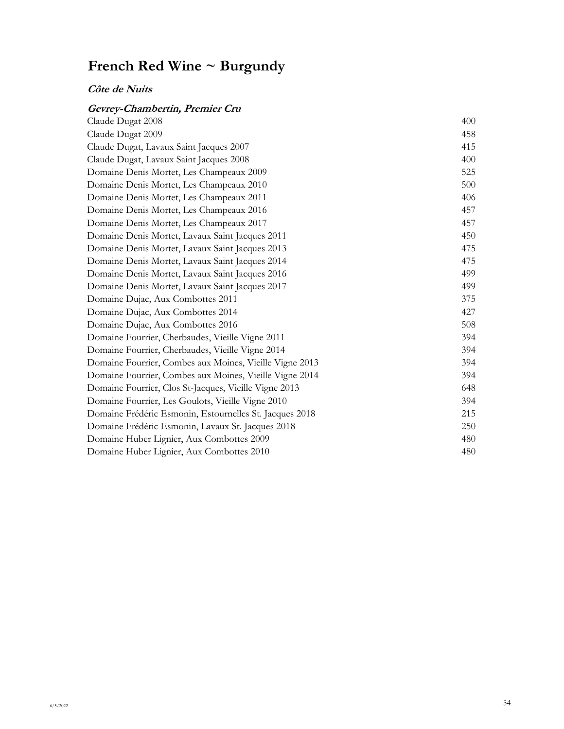### **Côte de Nuits**

### **Gevrey-Chambertin, Premier Cru**

| Claude Dugat 2008                                       | 400 |
|---------------------------------------------------------|-----|
| Claude Dugat 2009                                       | 458 |
| Claude Dugat, Lavaux Saint Jacques 2007                 | 415 |
| Claude Dugat, Lavaux Saint Jacques 2008                 | 400 |
| Domaine Denis Mortet, Les Champeaux 2009                | 525 |
| Domaine Denis Mortet, Les Champeaux 2010                | 500 |
| Domaine Denis Mortet, Les Champeaux 2011                | 406 |
| Domaine Denis Mortet, Les Champeaux 2016                | 457 |
| Domaine Denis Mortet, Les Champeaux 2017                | 457 |
| Domaine Denis Mortet, Lavaux Saint Jacques 2011         | 450 |
| Domaine Denis Mortet, Lavaux Saint Jacques 2013         | 475 |
| Domaine Denis Mortet, Lavaux Saint Jacques 2014         | 475 |
| Domaine Denis Mortet, Lavaux Saint Jacques 2016         | 499 |
| Domaine Denis Mortet, Lavaux Saint Jacques 2017         | 499 |
| Domaine Dujac, Aux Combottes 2011                       | 375 |
| Domaine Dujac, Aux Combottes 2014                       | 427 |
| Domaine Dujac, Aux Combottes 2016                       | 508 |
| Domaine Fourrier, Cherbaudes, Vieille Vigne 2011        | 394 |
| Domaine Fourrier, Cherbaudes, Vieille Vigne 2014        | 394 |
| Domaine Fourrier, Combes aux Moines, Vieille Vigne 2013 | 394 |
| Domaine Fourrier, Combes aux Moines, Vieille Vigne 2014 | 394 |
| Domaine Fourrier, Clos St-Jacques, Vieille Vigne 2013   | 648 |
| Domaine Fourrier, Les Goulots, Vieille Vigne 2010       | 394 |
| Domaine Frédéric Esmonin, Estournelles St. Jacques 2018 | 215 |
| Domaine Frédéric Esmonin, Lavaux St. Jacques 2018       | 250 |
| Domaine Huber Lignier, Aux Combottes 2009               | 480 |
| Domaine Huber Lignier, Aux Combottes 2010               | 480 |
|                                                         |     |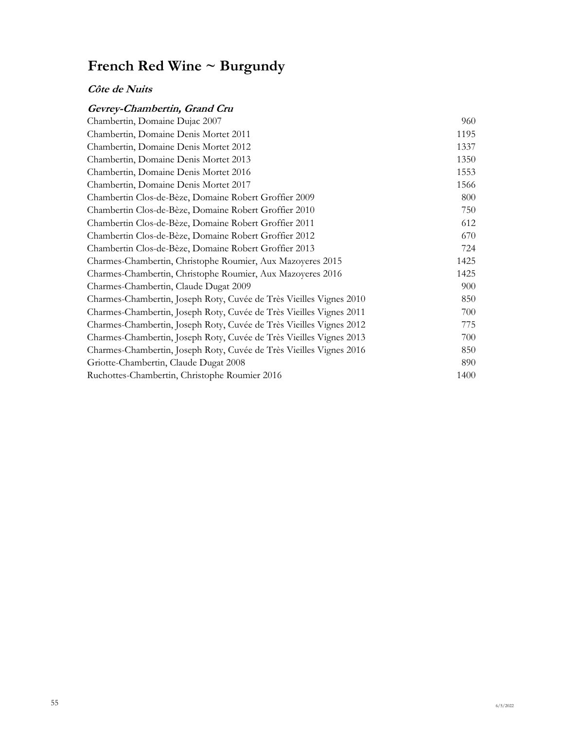### **Côte de Nuits**

### **Gevrey-Chambertin, Grand Cru**

| Chambertin, Domaine Dujac 2007                                      | 960  |
|---------------------------------------------------------------------|------|
| Chambertin, Domaine Denis Mortet 2011                               | 1195 |
| Chambertin, Domaine Denis Mortet 2012                               | 1337 |
| Chambertin, Domaine Denis Mortet 2013                               | 1350 |
| Chambertin, Domaine Denis Mortet 2016                               | 1553 |
| Chambertin, Domaine Denis Mortet 2017                               | 1566 |
| Chambertin Clos-de-Bèze, Domaine Robert Groffier 2009               | 800  |
| Chambertin Clos-de-Bèze, Domaine Robert Groffier 2010               | 750  |
| Chambertin Clos-de-Bèze, Domaine Robert Groffier 2011               | 612  |
| Chambertin Clos-de-Bèze, Domaine Robert Groffier 2012               | 670  |
| Chambertin Clos-de-Bèze, Domaine Robert Groffier 2013               | 724  |
| Charmes-Chambertin, Christophe Roumier, Aux Mazoyeres 2015          | 1425 |
| Charmes-Chambertin, Christophe Roumier, Aux Mazoyeres 2016          | 1425 |
| Charmes-Chambertin, Claude Dugat 2009                               | 900  |
| Charmes-Chambertin, Joseph Roty, Cuvée de Très Vieilles Vignes 2010 | 850  |
| Charmes-Chambertin, Joseph Roty, Cuvée de Très Vieilles Vignes 2011 | 700  |
| Charmes-Chambertin, Joseph Roty, Cuvée de Très Vieilles Vignes 2012 | 775  |
| Charmes-Chambertin, Joseph Roty, Cuvée de Très Vieilles Vignes 2013 | 700  |
| Charmes-Chambertin, Joseph Roty, Cuvée de Très Vieilles Vignes 2016 | 850  |
| Griotte-Chambertin, Claude Dugat 2008                               | 890  |
| Ruchottes-Chambertin, Christophe Roumier 2016                       | 1400 |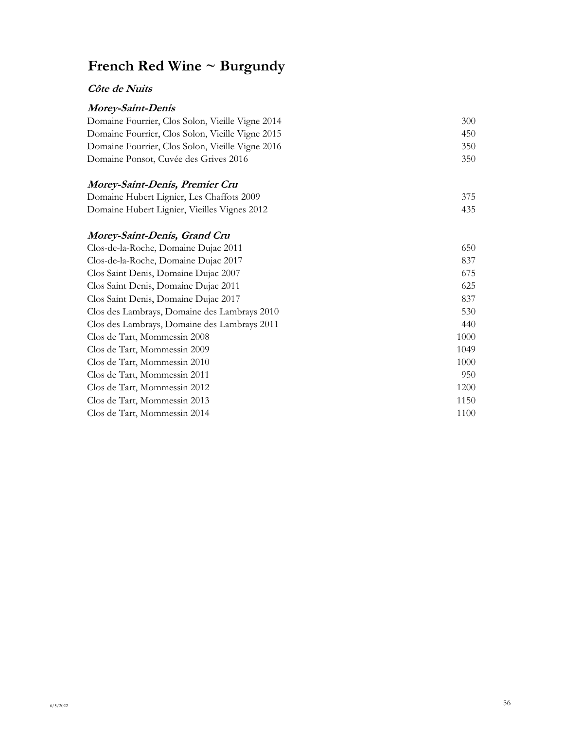#### **Côte de Nuits**

### **Morey-Saint-Denis**

| 300 |
|-----|
| 450 |
| 350 |
| 350 |
|     |

#### **Morey-Saint-Denis, Premier Cru** Domaine Hubert Lignier, Les Chaffots 2009 375 Domaine Hubert Lignier, Vieilles Vignes 2012 435

#### **Morey-Saint-Denis, Grand Cru**

| Clos-de-la-Roche, Domaine Dujac 2011         | 650  |
|----------------------------------------------|------|
| Clos-de-la-Roche, Domaine Dujac 2017         | 837  |
| Clos Saint Denis, Domaine Dujac 2007         | 675  |
| Clos Saint Denis, Domaine Dujac 2011         | 625  |
| Clos Saint Denis, Domaine Dujac 2017         | 837  |
| Clos des Lambrays, Domaine des Lambrays 2010 | 530  |
| Clos des Lambrays, Domaine des Lambrays 2011 | 440  |
| Clos de Tart, Mommessin 2008                 | 1000 |
| Clos de Tart, Mommessin 2009                 | 1049 |
| Clos de Tart, Mommessin 2010                 | 1000 |
| Clos de Tart, Mommessin 2011                 | 950  |
| Clos de Tart, Mommessin 2012                 | 1200 |
| Clos de Tart, Mommessin 2013                 | 1150 |
| Clos de Tart, Mommessin 2014                 | 1100 |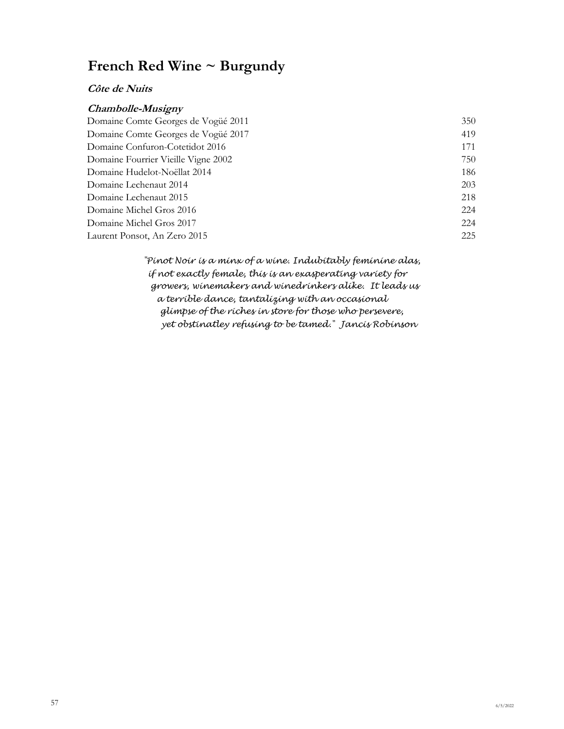#### **Côte de Nuits**

#### **Chambolle-Musigny**

| Domaine Comte Georges de Vogüé 2011 | 350 |
|-------------------------------------|-----|
| Domaine Comte Georges de Vogüé 2017 | 419 |
| Domaine Confuron-Cotetidot 2016     | 171 |
| Domaine Fourrier Vieille Vigne 2002 | 750 |
| Domaine Hudelot-Noëllat 2014        | 186 |
| Domaine Lechenaut 2014              | 203 |
| Domaine Lechenaut 2015              | 218 |
| Domaine Michel Gros 2016            | 224 |
| Domaine Michel Gros 2017            | 224 |
| Laurent Ponsot, An Zero 2015        | 225 |

 *if not exactly female, this is an exasperating variety for a terrible dance, tantalizing with an occasional yet obstinatley refusing to be tamed." Jancis Robinson "Pinot Noir is a minx of a wine. Indubitably feminine alas, growers, winemakers and winedrinkers alike. It leads us glimpse of the riches in store for those who persevere,*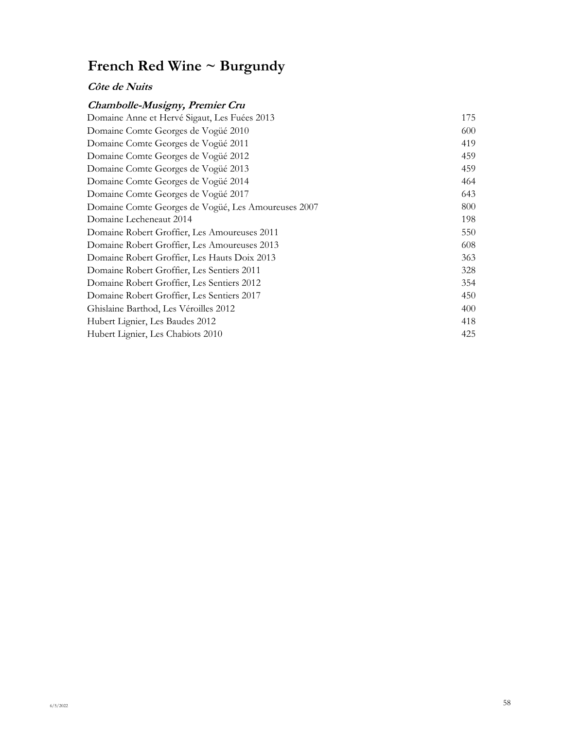#### **Côte de Nuits**

### **Chambolle-Musigny, Premier Cru**

| Domaine Anne et Hervé Sigaut, Les Fuées 2013        | 175 |
|-----------------------------------------------------|-----|
| Domaine Comte Georges de Vogüé 2010                 | 600 |
| Domaine Comte Georges de Vogüé 2011                 | 419 |
| Domaine Comte Georges de Vogüé 2012                 | 459 |
| Domaine Comte Georges de Vogüé 2013                 | 459 |
| Domaine Comte Georges de Vogüé 2014                 | 464 |
| Domaine Comte Georges de Vogüé 2017                 | 643 |
| Domaine Comte Georges de Vogüé, Les Amoureuses 2007 | 800 |
| Domaine Lecheneaut 2014                             | 198 |
| Domaine Robert Groffier, Les Amoureuses 2011        | 550 |
| Domaine Robert Groffier, Les Amoureuses 2013        | 608 |
| Domaine Robert Groffier, Les Hauts Doix 2013        | 363 |
| Domaine Robert Groffier, Les Sentiers 2011          | 328 |
| Domaine Robert Groffier, Les Sentiers 2012          | 354 |
| Domaine Robert Groffier, Les Sentiers 2017          | 450 |
| Ghislaine Barthod, Les Véroilles 2012               | 400 |
| Hubert Lignier, Les Baudes 2012                     | 418 |
| Hubert Lignier, Les Chabiots 2010                   | 425 |
|                                                     |     |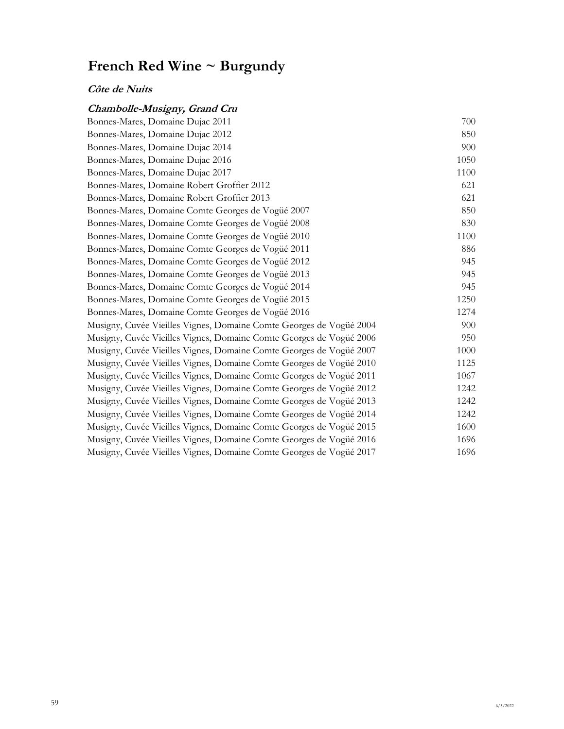### **Côte de Nuits**

### **Chambolle-Musigny, Grand Cru**

| Bonnes-Mares, Domaine Dujac 2011                                    | 700  |
|---------------------------------------------------------------------|------|
| Bonnes-Mares, Domaine Dujac 2012                                    | 850  |
| Bonnes-Mares, Domaine Dujac 2014                                    | 900  |
| Bonnes-Mares, Domaine Dujac 2016                                    | 1050 |
| Bonnes-Mares, Domaine Dujac 2017                                    | 1100 |
| Bonnes-Mares, Domaine Robert Groffier 2012                          | 621  |
| Bonnes-Mares, Domaine Robert Groffier 2013                          | 621  |
| Bonnes-Mares, Domaine Comte Georges de Vogüé 2007                   | 850  |
| Bonnes-Mares, Domaine Comte Georges de Vogüé 2008                   | 830  |
| Bonnes-Mares, Domaine Comte Georges de Vogüé 2010                   | 1100 |
| Bonnes-Mares, Domaine Comte Georges de Vogüé 2011                   | 886  |
| Bonnes-Mares, Domaine Comte Georges de Vogüé 2012                   | 945  |
| Bonnes-Mares, Domaine Comte Georges de Vogüé 2013                   | 945  |
| Bonnes-Mares, Domaine Comte Georges de Vogüé 2014                   | 945  |
| Bonnes-Mares, Domaine Comte Georges de Vogüé 2015                   | 1250 |
| Bonnes-Mares, Domaine Comte Georges de Vogüé 2016                   | 1274 |
| Musigny, Cuvée Vieilles Vignes, Domaine Comte Georges de Vogüé 2004 | 900  |
| Musigny, Cuvée Vieilles Vignes, Domaine Comte Georges de Vogüé 2006 | 950  |
| Musigny, Cuvée Vieilles Vignes, Domaine Comte Georges de Vogüé 2007 | 1000 |
| Musigny, Cuvée Vieilles Vignes, Domaine Comte Georges de Vogüé 2010 | 1125 |
| Musigny, Cuvée Vieilles Vignes, Domaine Comte Georges de Vogüé 2011 | 1067 |
| Musigny, Cuvée Vieilles Vignes, Domaine Comte Georges de Vogüé 2012 | 1242 |
| Musigny, Cuvée Vieilles Vignes, Domaine Comte Georges de Vogüé 2013 | 1242 |
| Musigny, Cuvée Vieilles Vignes, Domaine Comte Georges de Vogüé 2014 | 1242 |
| Musigny, Cuvée Vieilles Vignes, Domaine Comte Georges de Vogüé 2015 | 1600 |
| Musigny, Cuvée Vieilles Vignes, Domaine Comte Georges de Vogüé 2016 | 1696 |
| Musigny, Cuvée Vieilles Vignes, Domaine Comte Georges de Vogüé 2017 | 1696 |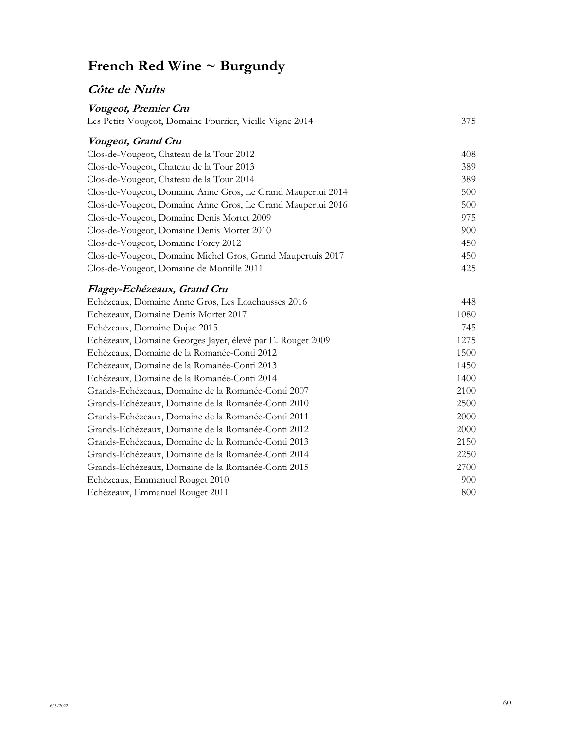## **Côte de Nuits**

| Vougeot, Premier Cru                                        |      |
|-------------------------------------------------------------|------|
| Les Petits Vougeot, Domaine Fourrier, Vieille Vigne 2014    | 375  |
| Vougeot, Grand Cru                                          |      |
| Clos-de-Vougeot, Chateau de la Tour 2012                    | 408  |
| Clos-de-Vougeot, Chateau de la Tour 2013                    | 389  |
| Clos-de-Vougeot, Chateau de la Tour 2014                    | 389  |
| Clos-de-Vougeot, Domaine Anne Gros, Le Grand Maupertui 2014 | 500  |
| Clos-de-Vougeot, Domaine Anne Gros, Le Grand Maupertui 2016 | 500  |
| Clos-de-Vougeot, Domaine Denis Mortet 2009                  | 975  |
| Clos-de-Vougeot, Domaine Denis Mortet 2010                  | 900  |
| Clos-de-Vougeot, Domaine Forey 2012                         | 450  |
| Clos-de-Vougeot, Domaine Michel Gros, Grand Maupertuis 2017 | 450  |
| Clos-de-Vougeot, Domaine de Montille 2011                   | 425  |
| Flagey-Echézeaux, Grand Cru                                 |      |
| Echézeaux, Domaine Anne Gros, Les Loachausses 2016          | 448  |
| Echézeaux, Domaine Denis Mortet 2017                        | 1080 |
| Echézeaux, Domaine Dujac 2015                               | 745  |
| Echézeaux, Domaine Georges Jayer, élevé par E. Rouget 2009  | 1275 |
| Echézeaux, Domaine de la Romanée-Conti 2012                 | 1500 |
| Echézeaux, Domaine de la Romanée-Conti 2013                 | 1450 |
| Echézeaux, Domaine de la Romanée-Conti 2014                 | 1400 |
| Grands-Echézeaux, Domaine de la Romanée-Conti 2007          | 2100 |
| Grands-Echézeaux, Domaine de la Romanée-Conti 2010          | 2500 |
| Grands-Echézeaux, Domaine de la Romanée-Conti 2011          | 2000 |
| Grands-Echézeaux, Domaine de la Romanée-Conti 2012          | 2000 |
| Grands-Echézeaux, Domaine de la Romanée-Conti 2013          | 2150 |

Grands-Echézeaux, Domaine de la Romanée-Conti 2014 2250 Grands-Echézeaux, Domaine de la Romanée-Conti 2015 2700 Echézeaux, Emmanuel Rouget 2010 900 Echézeaux, Emmanuel Rouget 2011 and a state of the state of the state of the state of the state of the state of the state of the state of the state of the state of the state of the state of the state of the state of the st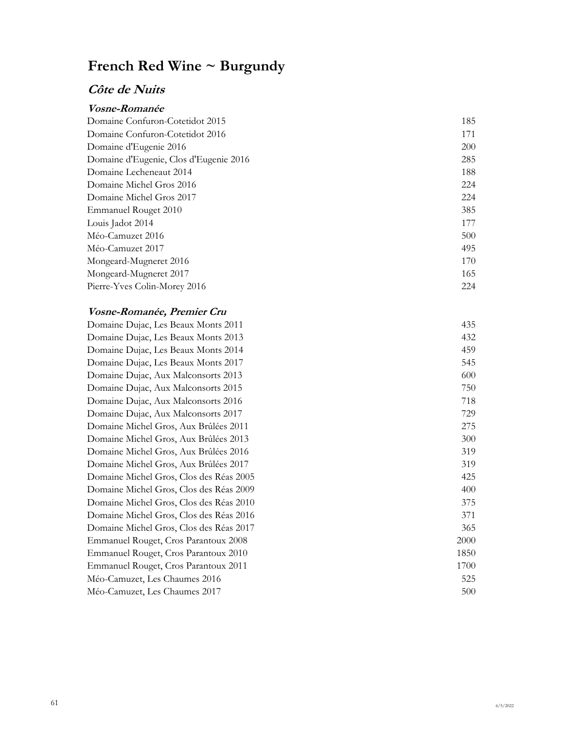## **Côte de Nuits**

| <i><b>Vosne-Romanée</b></i>            |     |
|----------------------------------------|-----|
| Domaine Confuron-Cotetidot 2015        | 185 |
| Domaine Confuron-Cotetidot 2016        | 171 |
| Domaine d'Eugenie 2016                 | 200 |
| Domaine d'Eugenie, Clos d'Eugenie 2016 | 285 |
| Domaine Lecheneaut 2014                | 188 |
| Domaine Michel Gros 2016               | 224 |
| Domaine Michel Gros 2017               | 224 |
| Emmanuel Rouget 2010                   | 385 |
| Louis Jadot 2014                       | 177 |
| Méo-Camuzet 2016                       | 500 |
| Méo-Camuzet 2017                       | 495 |
| Mongeard-Mugneret 2016                 | 170 |
| Mongeard-Mugneret 2017                 | 165 |
| Pierre-Yves Colin-Morey 2016           | 224 |

### **Vosne-Romanée, Premier Cru**

| Domaine Dujac, Les Beaux Monts 2011     | 435  |
|-----------------------------------------|------|
| Domaine Dujac, Les Beaux Monts 2013     | 432  |
| Domaine Dujac, Les Beaux Monts 2014     | 459  |
| Domaine Dujac, Les Beaux Monts 2017     | 545  |
| Domaine Dujac, Aux Malconsorts 2013     | 600  |
| Domaine Dujac, Aux Malconsorts 2015     | 750  |
| Domaine Dujac, Aux Malconsorts 2016     | 718  |
| Domaine Dujac, Aux Malconsorts 2017     | 729  |
| Domaine Michel Gros, Aux Brûlées 2011   | 275  |
| Domaine Michel Gros, Aux Brûlées 2013   | 300  |
| Domaine Michel Gros, Aux Brûlées 2016   | 319  |
| Domaine Michel Gros, Aux Brûlées 2017   | 319  |
| Domaine Michel Gros, Clos des Réas 2005 | 425  |
| Domaine Michel Gros, Clos des Réas 2009 | 400  |
| Domaine Michel Gros, Clos des Réas 2010 | 375  |
| Domaine Michel Gros, Clos des Réas 2016 | 371  |
| Domaine Michel Gros, Clos des Réas 2017 | 365  |
| Emmanuel Rouget, Cros Parantoux 2008    | 2000 |
| Emmanuel Rouget, Cros Parantoux 2010    | 1850 |
| Emmanuel Rouget, Cros Parantoux 2011    | 1700 |
| Méo-Camuzet, Les Chaumes 2016           | 525  |
| Méo-Camuzet, Les Chaumes 2017           | 500  |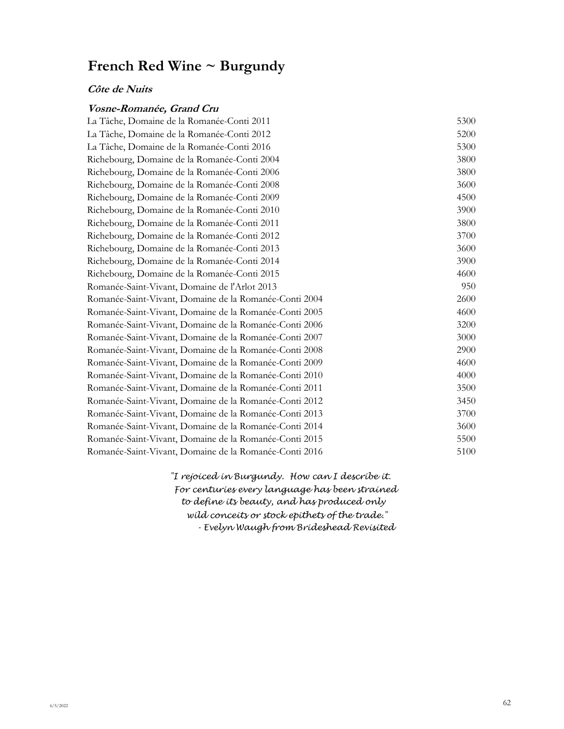#### **Côte de Nuits**

#### **Vosne-Romanée, Grand Cru**

| La Tâche, Domaine de la Romanée-Conti 2011             | 5300 |
|--------------------------------------------------------|------|
| La Tâche, Domaine de la Romanée-Conti 2012             | 5200 |
| La Tâche, Domaine de la Romanée-Conti 2016             | 5300 |
| Richebourg, Domaine de la Romanée-Conti 2004           | 3800 |
| Richebourg, Domaine de la Romanée-Conti 2006           | 3800 |
| Richebourg, Domaine de la Romanée-Conti 2008           | 3600 |
| Richebourg, Domaine de la Romanée-Conti 2009           | 4500 |
| Richebourg, Domaine de la Romanée-Conti 2010           | 3900 |
| Richebourg, Domaine de la Romanée-Conti 2011           | 3800 |
| Richebourg, Domaine de la Romanée-Conti 2012           | 3700 |
| Richebourg, Domaine de la Romanée-Conti 2013           | 3600 |
| Richebourg, Domaine de la Romanée-Conti 2014           | 3900 |
| Richebourg, Domaine de la Romanée-Conti 2015           | 4600 |
| Romanée-Saint-Vivant, Domaine de l'Arlot 2013          | 950  |
| Romanée-Saint-Vivant, Domaine de la Romanée-Conti 2004 | 2600 |
| Romanée-Saint-Vivant, Domaine de la Romanée-Conti 2005 | 4600 |
| Romanée-Saint-Vivant, Domaine de la Romanée-Conti 2006 | 3200 |
| Romanée-Saint-Vivant, Domaine de la Romanée-Conti 2007 | 3000 |
| Romanée-Saint-Vivant, Domaine de la Romanée-Conti 2008 | 2900 |
| Romanée-Saint-Vivant, Domaine de la Romanée-Conti 2009 | 4600 |
| Romanée-Saint-Vivant, Domaine de la Romanée-Conti 2010 | 4000 |
| Romanée-Saint-Vivant, Domaine de la Romanée-Conti 2011 | 3500 |
| Romanée-Saint-Vivant, Domaine de la Romanée-Conti 2012 | 3450 |
| Romanée-Saint-Vivant, Domaine de la Romanée-Conti 2013 | 3700 |
| Romanée-Saint-Vivant, Domaine de la Romanée-Conti 2014 | 3600 |
| Romanée-Saint-Vivant, Domaine de la Romanée-Conti 2015 | 5500 |
| Romanée-Saint-Vivant, Domaine de la Romanée-Conti 2016 | 5100 |
|                                                        |      |

 *For centuries every language has been strained wild conceits or stock epithets of the trade." "I rejoiced in Burgundy. How can I describe it. - Evelyn Waugh from Brideshead Revisited to define its beauty, and has produced only*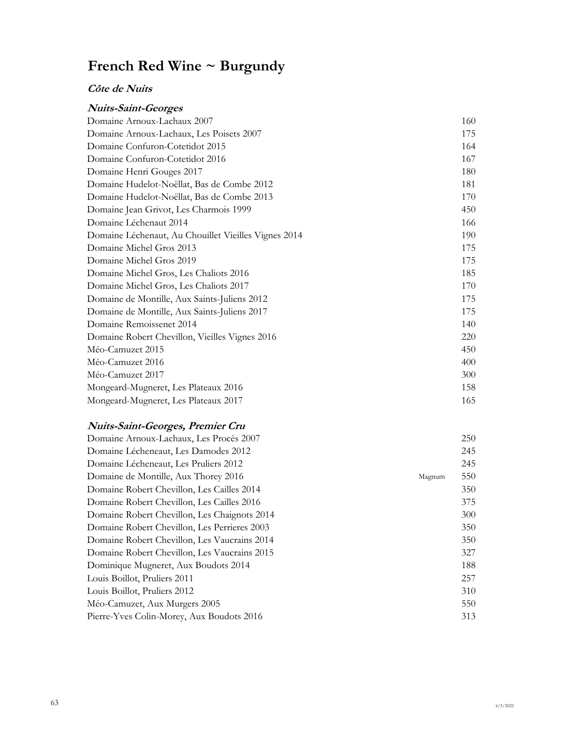### **Côte de Nuits**

| <b>Nuits-Saint-Georges</b>                           |     |
|------------------------------------------------------|-----|
| Domaine Arnoux-Lachaux 2007                          | 160 |
| Domaine Arnoux-Lachaux, Les Poisets 2007             | 175 |
| Domaine Confuron-Cotetidot 2015                      | 164 |
| Domaine Confuron-Cotetidot 2016                      | 167 |
| Domaine Henri Gouges 2017                            | 180 |
| Domaine Hudelot-Noëllat, Bas de Combe 2012           | 181 |
| Domaine Hudelot-Noëllat, Bas de Combe 2013           | 170 |
| Domaine Jean Grivot, Les Charmois 1999               | 450 |
| Domaine Léchenaut 2014                               | 166 |
| Domaine Léchenaut, Au Chouillet Vieilles Vignes 2014 | 190 |
| Domaine Michel Gros 2013                             | 175 |
| Domaine Michel Gros 2019                             | 175 |
| Domaine Michel Gros, Les Chaliots 2016               | 185 |
| Domaine Michel Gros, Les Chaliots 2017               | 170 |
| Domaine de Montille, Aux Saints-Juliens 2012         | 175 |
| Domaine de Montille, Aux Saints-Juliens 2017         | 175 |
| Domaine Remoissenet 2014                             | 140 |
| Domaine Robert Chevillon, Vieilles Vignes 2016       | 220 |
| Méo-Camuzet 2015                                     | 450 |
| Méo-Camuzet 2016                                     | 400 |
| Méo-Camuzet 2017                                     | 300 |
| Mongeard-Mugneret, Les Plateaux 2016                 | 158 |
| Mongeard-Mugneret, Les Plateaux 2017                 | 165 |

### **Nuits-Saint-Georges, Premier Cru**

| Domaine Arnoux-Lachaux, Les Procès 2007      |        | 250 |
|----------------------------------------------|--------|-----|
| Domaine Lécheneaut, Les Damodes 2012         |        | 245 |
| Domaine Lécheneaut, Les Pruliers 2012        |        | 245 |
| Domaine de Montille, Aux Thorey 2016         | Magnum | 550 |
| Domaine Robert Chevillon, Les Cailles 2014   |        | 350 |
| Domaine Robert Chevillon, Les Cailles 2016   |        | 375 |
| Domaine Robert Chevillon, Les Chaignots 2014 |        | 300 |
| Domaine Robert Chevillon, Les Perrieres 2003 |        | 350 |
| Domaine Robert Chevillon, Les Vaucrains 2014 |        | 350 |
| Domaine Robert Chevillon, Les Vaucrains 2015 |        | 327 |
| Dominique Mugneret, Aux Boudots 2014         |        | 188 |
| Louis Boillot, Pruliers 2011                 |        | 257 |
| Louis Boillot, Pruliers 2012                 |        | 310 |
| Méo-Camuzet, Aux Murgers 2005                |        | 550 |
| Pierre-Yves Colin-Morey, Aux Boudots 2016    |        | 313 |
|                                              |        |     |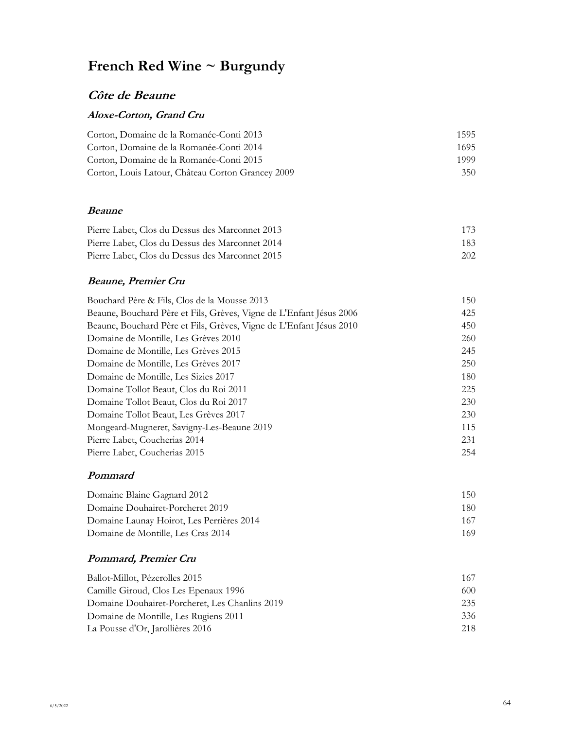## **Côte de Beaune**

#### **Aloxe-Corton, Grand Cru**

| Corton, Domaine de la Romanée-Conti 2013          | 1595 |
|---------------------------------------------------|------|
| Corton, Domaine de la Romanée-Conti 2014          | 1695 |
| Corton, Domaine de la Romanée-Conti 2015          | 1999 |
| Corton, Louis Latour, Château Corton Grancey 2009 | 350  |

#### **Beaune**

| Pierre Labet, Clos du Dessus des Marconnet 2013 | 173 |
|-------------------------------------------------|-----|
| Pierre Labet, Clos du Dessus des Marconnet 2014 | 183 |
| Pierre Labet, Clos du Dessus des Marconnet 2015 | 202 |

### **Beaune, Premier Cru**

| Bouchard Père & Fils, Clos de la Mousse 2013                        | 150 |
|---------------------------------------------------------------------|-----|
| Beaune, Bouchard Père et Fils, Grèves, Vigne de L'Enfant Jésus 2006 | 425 |
| Beaune, Bouchard Père et Fils, Grèves, Vigne de L'Enfant Jésus 2010 | 450 |
| Domaine de Montille, Les Grèves 2010                                | 260 |
| Domaine de Montille, Les Grèves 2015                                | 245 |
| Domaine de Montille, Les Grèves 2017                                | 250 |
| Domaine de Montille, Les Sizies 2017                                | 180 |
| Domaine Tollot Beaut, Clos du Roi 2011                              | 225 |
| Domaine Tollot Beaut, Clos du Roi 2017                              | 230 |
| Domaine Tollot Beaut, Les Grèves 2017                               | 230 |
| Mongeard-Mugneret, Savigny-Les-Beaune 2019                          | 115 |
| Pierre Labet, Coucherias 2014                                       | 231 |
| Pierre Labet, Coucherias 2015                                       | 254 |

#### **Pommard**

| Domaine Blaine Gagnard 2012               | 150. |
|-------------------------------------------|------|
| Domaine Douhairet-Porcheret 2019          | 180. |
| Domaine Launay Hoirot, Les Perrières 2014 | 167  |
| Domaine de Montille, Les Cras 2014        | 169  |

### **Pommard, Premier Cru**

| Ballot-Millot, Pézerolles 2015                 | 167 |
|------------------------------------------------|-----|
| Camille Giroud, Clos Les Epenaux 1996          | 600 |
| Domaine Douhairet-Porcheret, Les Chanlins 2019 | 235 |
| Domaine de Montille, Les Rugiens 2011          | 336 |
| La Pousse d'Or, Jarollières 2016               | 218 |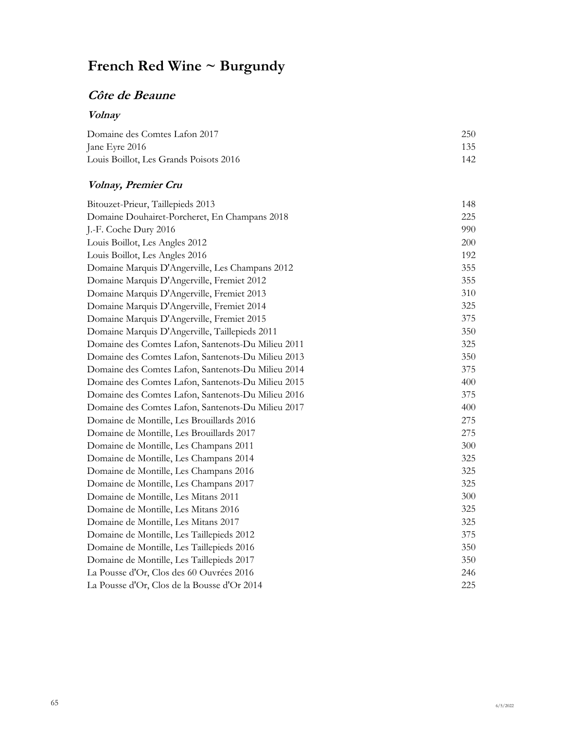## **Côte de Beaune**

## **Volnay**

| Domaine des Comtes Lafon 2017          | 250 |
|----------------------------------------|-----|
| Jane Eyre 2016                         | 135 |
| Louis Boillot, Les Grands Poisots 2016 | 142 |

### **Volnay, Premier Cru**

| Bitouzet-Prieur, Taillepieds 2013                  | 148 |
|----------------------------------------------------|-----|
| Domaine Douhairet-Porcheret, En Champans 2018      | 225 |
| J.-F. Coche Dury 2016                              | 990 |
| Louis Boillot, Les Angles 2012                     | 200 |
| Louis Boillot, Les Angles 2016                     | 192 |
| Domaine Marquis D'Angerville, Les Champans 2012    | 355 |
| Domaine Marquis D'Angerville, Fremiet 2012         | 355 |
| Domaine Marquis D'Angerville, Fremiet 2013         | 310 |
| Domaine Marquis D'Angerville, Fremiet 2014         | 325 |
| Domaine Marquis D'Angerville, Fremiet 2015         | 375 |
| Domaine Marquis D'Angerville, Taillepieds 2011     | 350 |
| Domaine des Comtes Lafon, Santenots-Du Milieu 2011 | 325 |
| Domaine des Comtes Lafon, Santenots-Du Milieu 2013 | 350 |
| Domaine des Comtes Lafon, Santenots-Du Milieu 2014 | 375 |
| Domaine des Comtes Lafon, Santenots-Du Milieu 2015 | 400 |
| Domaine des Comtes Lafon, Santenots-Du Milieu 2016 | 375 |
| Domaine des Comtes Lafon, Santenots-Du Milieu 2017 | 400 |
| Domaine de Montille, Les Brouillards 2016          | 275 |
| Domaine de Montille, Les Brouillards 2017          | 275 |
| Domaine de Montille, Les Champans 2011             | 300 |
| Domaine de Montille, Les Champans 2014             | 325 |
| Domaine de Montille, Les Champans 2016             | 325 |
| Domaine de Montille, Les Champans 2017             | 325 |
| Domaine de Montille, Les Mitans 2011               | 300 |
| Domaine de Montille, Les Mitans 2016               | 325 |
| Domaine de Montille, Les Mitans 2017               | 325 |
| Domaine de Montille, Les Taillepieds 2012          | 375 |
| Domaine de Montille, Les Taillepieds 2016          | 350 |
| Domaine de Montille, Les Taillepieds 2017          | 350 |
| La Pousse d'Or, Clos des 60 Ouvrées 2016           | 246 |
| La Pousse d'Or, Clos de la Bousse d'Or 2014        | 225 |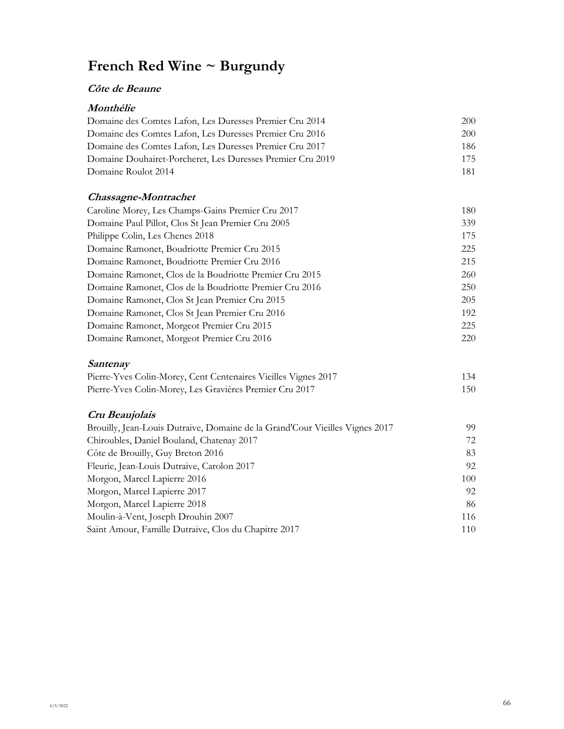#### **Côte de Beaune**

#### **Monthélie**

| Domaine des Comtes Lafon, Les Duresses Premier Cru 2014    | 200 |
|------------------------------------------------------------|-----|
| Domaine des Comtes Lafon, Les Duresses Premier Cru 2016    | 200 |
| Domaine des Comtes Lafon, Les Duresses Premier Cru 2017    | 186 |
| Domaine Douhairet-Porcheret, Les Duresses Premier Cru 2019 | 175 |
| Domaine Roulot 2014                                        | 181 |

#### **Chassagne-Montrachet**

| Caroline Morey, Les Champs-Gains Premier Cru 2017       | 180 |
|---------------------------------------------------------|-----|
| Domaine Paul Pillot, Clos St Jean Premier Cru 2005      | 339 |
| Philippe Colin, Les Chenes 2018                         | 175 |
| Domaine Ramonet, Boudriotte Premier Cru 2015            | 225 |
| Domaine Ramonet, Boudriotte Premier Cru 2016            | 215 |
| Domaine Ramonet, Clos de la Boudriotte Premier Cru 2015 | 260 |
| Domaine Ramonet, Clos de la Boudriotte Premier Cru 2016 | 250 |
| Domaine Ramonet, Clos St Jean Premier Cru 2015          | 205 |
| Domaine Ramonet, Clos St Jean Premier Cru 2016          | 192 |
| Domaine Ramonet, Morgeot Premier Cru 2015               | 225 |
| Domaine Ramonet, Morgeot Premier Cru 2016               | 220 |

### **Santenay**

| Pierre-Yves Colin-Morey, Cent Centenaires Vieilles Vignes 2017 | 134 |
|----------------------------------------------------------------|-----|
| Pierre-Yves Colin-Morey, Les Gravières Premier Cru 2017        | 150 |

### **Cru Beaujolais**

| Brouilly, Jean-Louis Dutraive, Domaine de la Grand'Cour Vieilles Vignes 2017 | 99  |
|------------------------------------------------------------------------------|-----|
| Chiroubles, Daniel Bouland, Chatenay 2017                                    | 72  |
| Côte de Brouilly, Guy Breton 2016                                            | 83  |
| Fleurie, Jean-Louis Dutraive, Carolon 2017                                   | 92  |
| Morgon, Marcel Lapierre 2016                                                 | 100 |
| Morgon, Marcel Lapierre 2017                                                 | 92  |
| Morgon, Marcel Lapierre 2018                                                 | 86  |
| Moulin-à-Vent, Joseph Drouhin 2007                                           | 116 |
| Saint Amour, Famille Dutraive, Clos du Chapitre 2017                         | 110 |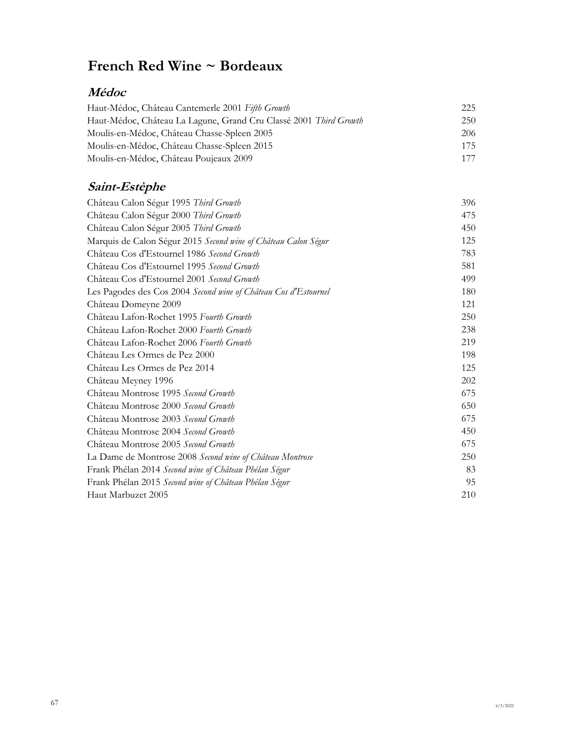## **Médoc**

| Haut-Médoc, Château Cantemerle 2001 Fifth Growth                  | 225 |
|-------------------------------------------------------------------|-----|
| Haut-Médoc, Château La Lagune, Grand Cru Classé 2001 Third Growth | 250 |
| Moulis-en-Médoc, Château Chasse-Spleen 2005                       | 206 |
| Moulis-en-Médoc, Château Chasse-Spleen 2015                       | 175 |
| Moulis-en-Médoc, Château Poujeaux 2009                            | 177 |

# **Saint-Estèphe**

| Château Calon Ségur 1995 Third Growth                           | 396 |
|-----------------------------------------------------------------|-----|
| Château Calon Ségur 2000 Third Growth                           | 475 |
| Château Calon Ségur 2005 Third Growth                           | 450 |
| Marquis de Calon Ségur 2015 Second wine of Château Calon Ségur  | 125 |
| Château Cos d'Estournel 1986 Second Growth                      | 783 |
| Château Cos d'Estournel 1995 Second Growth                      | 581 |
| Château Cos d'Estournel 2001 Second Growth                      | 499 |
| Les Pagodes des Cos 2004 Second wine of Château Cos d'Estournel | 180 |
| Château Domeyne 2009                                            | 121 |
| Château Lafon-Rochet 1995 Fourth Growth                         | 250 |
| Château Lafon-Rochet 2000 Fourth Growth                         | 238 |
| Château Lafon-Rochet 2006 Fourth Growth                         | 219 |
| Château Les Ormes de Pez 2000                                   | 198 |
| Château Les Ormes de Pez 2014                                   | 125 |
| Château Meyney 1996                                             | 202 |
| Château Montrose 1995 Second Growth                             | 675 |
| Château Montrose 2000 Second Growth                             | 650 |
| Château Montrose 2003 Second Growth                             | 675 |
| Château Montrose 2004 Second Growth                             | 450 |
| Château Montrose 2005 Second Growth                             | 675 |
| La Dame de Montrose 2008 Second wine of Château Montrose        | 250 |
| Frank Phélan 2014 Second wine of Château Phélan Ségur           | 83  |
| Frank Phélan 2015 Second wine of Château Phélan Ségur           | 95  |
| Haut Marbuzet 2005                                              | 210 |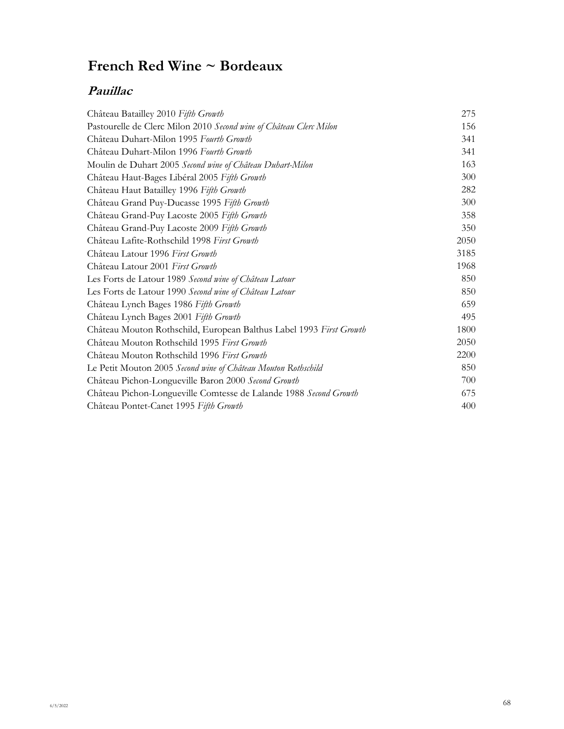## **Pauillac**

| Château Batailley 2010 Fifth Growth                                 | 275  |
|---------------------------------------------------------------------|------|
| Pastourelle de Clerc Milon 2010 Second wine of Château Clerc Milon  | 156  |
| Château Duhart-Milon 1995 Fourth Growth                             | 341  |
| Château Duhart-Milon 1996 Fourth Growth                             | 341  |
| Moulin de Duhart 2005 Second wine of Château Duhart-Milon           | 163  |
| Château Haut-Bages Libéral 2005 Fifth Growth                        | 300  |
| Château Haut Batailley 1996 Fifth Growth                            | 282  |
| Château Grand Puy-Ducasse 1995 Fifth Growth                         | 300  |
| Château Grand-Puy Lacoste 2005 Fifth Growth                         | 358  |
| Château Grand-Puy Lacoste 2009 Fifth Growth                         | 350  |
| Château Lafite-Rothschild 1998 First Growth                         | 2050 |
| Château Latour 1996 First Growth                                    | 3185 |
| Château Latour 2001 First Growth                                    | 1968 |
| Les Forts de Latour 1989 Second wine of Château Latour              | 850  |
| Les Forts de Latour 1990 Second wine of Château Latour              | 850  |
| Château Lynch Bages 1986 Fifth Growth                               | 659  |
| Château Lynch Bages 2001 Fifth Growth                               | 495  |
| Château Mouton Rothschild, European Balthus Label 1993 First Growth | 1800 |
| Château Mouton Rothschild 1995 First Growth                         | 2050 |
| Château Mouton Rothschild 1996 First Growth                         | 2200 |
| Le Petit Mouton 2005 Second wine of Château Mouton Rothschild       | 850  |
| Château Pichon-Longueville Baron 2000 Second Growth                 | 700  |
| Château Pichon-Longueville Comtesse de Lalande 1988 Second Growth   | 675  |
| Château Pontet-Canet 1995 Fifth Growth                              | 400  |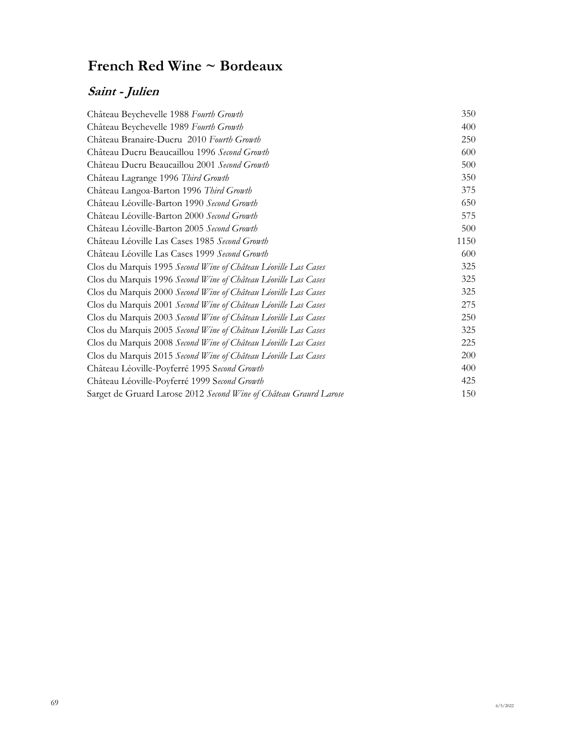# **Saint - Julien**

| Château Beychevelle 1988 Fourth Growth                            | 350  |
|-------------------------------------------------------------------|------|
| Château Beychevelle 1989 Fourth Growth                            | 400  |
| Château Branaire-Ducru 2010 Fourth Growth                         | 250  |
| Château Ducru Beaucaillou 1996 Second Growth                      | 600  |
| Château Ducru Beaucaillou 2001 Second Growth                      | 500  |
| Château Lagrange 1996 Third Growth                                | 350  |
| Château Langoa-Barton 1996 Third Growth                           | 375  |
| Château Léoville-Barton 1990 Second Growth                        | 650  |
| Château Léoville-Barton 2000 Second Growth                        | 575  |
| Château Léoville-Barton 2005 Second Growth                        | 500  |
| Château Léoville Las Cases 1985 Second Growth                     | 1150 |
| Château Léoville Las Cases 1999 Second Growth                     | 600  |
| Clos du Marquis 1995 Second Wine of Château Léoville Las Cases    | 325  |
| Clos du Marquis 1996 Second Wine of Château Léoville Las Cases    | 325  |
| Clos du Marquis 2000 Second Wine of Château Léoville Las Cases    | 325  |
| Clos du Marquis 2001 Second Wine of Château Léoville Las Cases    | 275  |
| Clos du Marquis 2003 Second Wine of Château Léoville Las Cases    | 250  |
| Clos du Marquis 2005 Second Wine of Château Léoville Las Cases    | 325  |
| Clos du Marquis 2008 Second Wine of Château Léoville Las Cases    | 225  |
| Clos du Marquis 2015 Second Wine of Château Léoville Las Cases    | 200  |
| Château Léoville-Poyferré 1995 Second Growth                      | 400  |
| Château Léoville-Poyferré 1999 Second Growth                      | 425  |
| Sarget de Gruard Larose 2012 Second Wine of Château Graurd Larose | 150  |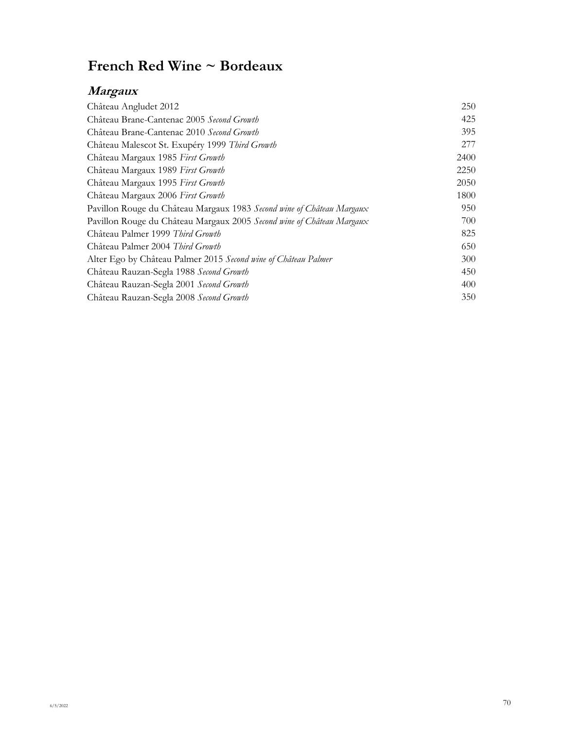# **Margaux**

| Château Angludet 2012                                                 | 250  |
|-----------------------------------------------------------------------|------|
| Château Brane-Cantenac 2005 Second Growth                             | 425  |
| Château Brane-Cantenac 2010 Second Growth                             | 395  |
| Château Malescot St. Exupéry 1999 Third Growth                        | 277  |
| Château Margaux 1985 First Growth                                     | 2400 |
| Château Margaux 1989 First Growth                                     | 2250 |
| Château Margaux 1995 First Growth                                     | 2050 |
| Château Margaux 2006 First Growth                                     | 1800 |
| Pavillon Rouge du Château Margaux 1983 Second wine of Château Margaux | 950  |
| Pavillon Rouge du Château Margaux 2005 Second wine of Château Margaux | 700  |
| Château Palmer 1999 Third Growth                                      | 825  |
| Château Palmer 2004 Third Growth                                      | 650  |
| Alter Ego by Château Palmer 2015 Second wine of Château Palmer        | 300  |
| Château Rauzan-Segla 1988 Second Growth                               | 450  |
| Château Rauzan-Segla 2001 Second Growth                               | 400  |
| Château Rauzan-Segla 2008 Second Growth                               | 350  |
|                                                                       |      |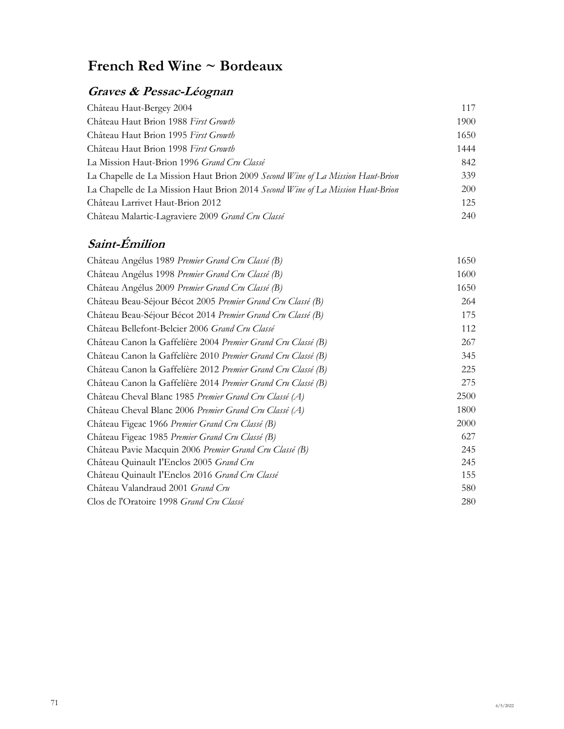# **Graves & Pessac-Léognan**

| Château Haut-Bergey 2004                                                       | 117  |
|--------------------------------------------------------------------------------|------|
| Château Haut Brion 1988 First Growth                                           | 1900 |
| Château Haut Brion 1995 First Growth                                           | 1650 |
| Château Haut Brion 1998 First Growth                                           | 1444 |
| La Mission Haut-Brion 1996 <i>Grand Cru Classé</i>                             | 842  |
| La Chapelle de La Mission Haut Brion 2009 Second Wine of La Mission Haut-Brion | 339  |
| La Chapelle de La Mission Haut Brion 2014 Second Wine of La Mission Haut-Brion | 200  |
| Château Larrivet Haut-Brion 2012                                               | 125  |
| Château Malartic-Lagraviere 2009 Grand Cru Classé                              | 240  |

# **Saint-Émilion**

| Château Angélus 1989 Premier Grand Cru Classé (B)             | 1650 |
|---------------------------------------------------------------|------|
| Château Angélus 1998 Premier Grand Cru Classé (B)             | 1600 |
| Château Angélus 2009 Premier Grand Cru Classé (B)             | 1650 |
| Château Beau-Séjour Bécot 2005 Premier Grand Cru Classé (B)   | 264  |
| Château Beau-Séjour Bécot 2014 Premier Grand Cru Classé (B)   | 175  |
| Château Bellefont-Belcier 2006 Grand Cru Classé               | 112  |
| Château Canon la Gaffelíère 2004 Premier Grand Cru Classé (B) | 267  |
| Château Canon la Gaffelière 2010 Premier Grand Cru Classé (B) | 345  |
| Château Canon la Gaffelíère 2012 Premier Grand Cru Classé (B) | 225  |
| Château Canon la Gaffelière 2014 Premier Grand Cru Classé (B) | 275  |
| Château Cheval Blanc 1985 Premier Grand Cru Classé (A)        | 2500 |
| Château Cheval Blanc 2006 Premier Grand Cru Classé (A)        | 1800 |
| Château Figeac 1966 Premier Grand Cru Classé (B)              | 2000 |
| Château Figeac 1985 Premier Grand Cru Classé (B)              | 627  |
| Château Pavie Macquin 2006 Premier Grand Cru Classé (B)       | 245  |
| Château Quinault I'Enclos 2005 Grand Cru                      | 245  |
| Château Quinault I'Enclos 2016 Grand Cru Classé               | 155  |
| Château Valandraud 2001 Grand Cru                             | 580  |
| Clos de l'Oratoire 1998 Grand Cru Classé                      | 280  |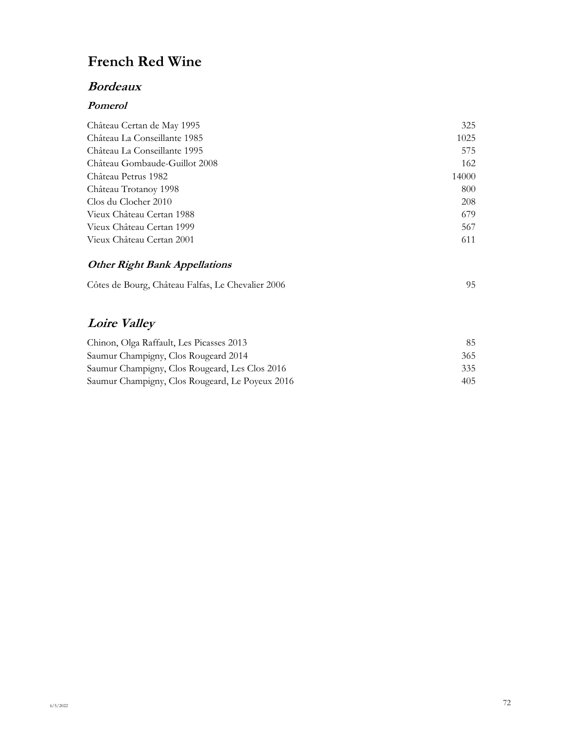# **French Red Wine**

### **Bordeaux**

#### **Pomerol**

| Château Certan de May 1995    | 325   |
|-------------------------------|-------|
| Château La Conseillante 1985  | 1025  |
| Château La Conseillante 1995  | 575   |
| Château Gombaude-Guillot 2008 | 162   |
| Château Petrus 1982           | 14000 |
| Château Trotanoy 1998         | 800   |
| Clos du Clocher 2010          | 208   |
| Vieux Château Certan 1988     | 679   |
| Vieux Château Certan 1999     | 567   |
| Vieux Château Certan 2001     | 611   |
|                               |       |

### **Other Right Bank Appellations**

| Côtes de Bourg, Château Falfas, Le Chevalier 2006 |  |
|---------------------------------------------------|--|
|                                                   |  |

# **Loire Valley**

| Chinon, Olga Raffault, Les Picasses 2013        | 85. |
|-------------------------------------------------|-----|
| Saumur Champigny, Clos Rougeard 2014            | 365 |
| Saumur Champigny, Clos Rougeard, Les Clos 2016  | 335 |
| Saumur Champigny, Clos Rougeard, Le Poyeux 2016 | 405 |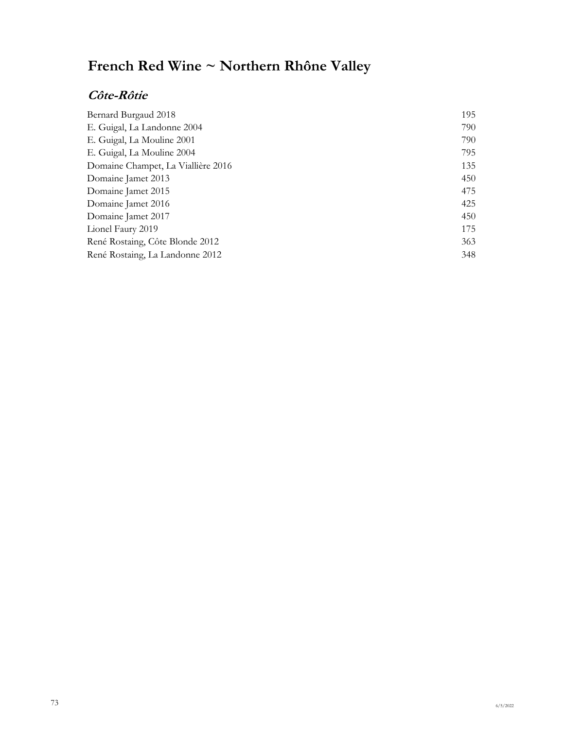# **French Red Wine ~ Northern Rhône Valley**

## **Côte-Rôtie**

| Bernard Burgaud 2018               | 195 |
|------------------------------------|-----|
| E. Guigal, La Landonne 2004        | 790 |
| E. Guigal, La Mouline 2001         | 790 |
| E. Guigal, La Mouline 2004         | 795 |
| Domaine Champet, La Viallière 2016 | 135 |
| Domaine Jamet 2013                 | 450 |
| Domaine Jamet 2015                 | 475 |
| Domaine Jamet 2016                 | 425 |
| Domaine Jamet 2017                 | 450 |
| Lionel Faury 2019                  | 175 |
| René Rostaing, Côte Blonde 2012    | 363 |
| René Rostaing, La Landonne 2012    | 348 |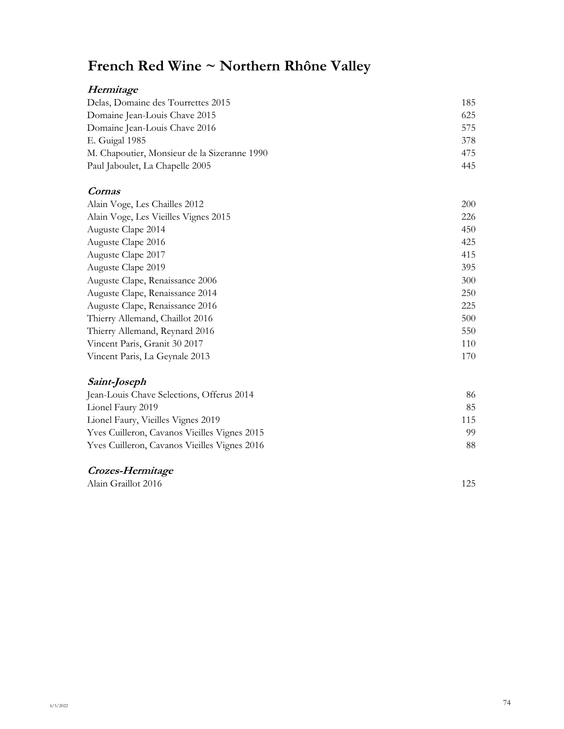# **French Red Wine ~ Northern Rhône Valley**

## **Hermitage**

| Delas, Domaine des Tourrettes 2015           | 185 |
|----------------------------------------------|-----|
| Domaine Jean-Louis Chave 2015                | 625 |
| Domaine Jean-Louis Chave 2016                | 575 |
| E. Guigal 1985                               | 378 |
| M. Chapoutier, Monsieur de la Sizeranne 1990 | 475 |
| Paul Jaboulet, La Chapelle 2005              | 445 |
|                                              |     |

#### **Cornas**

| Alain Voge, Les Chailles 2012        | 200 |
|--------------------------------------|-----|
| Alain Voge, Les Vieilles Vignes 2015 | 226 |
| Auguste Clape 2014                   | 450 |
| Auguste Clape 2016                   | 425 |
| Auguste Clape 2017                   | 415 |
| Auguste Clape 2019                   | 395 |
| Auguste Clape, Renaissance 2006      | 300 |
| Auguste Clape, Renaissance 2014      | 250 |
| Auguste Clape, Renaissance 2016      | 225 |
| Thierry Allemand, Chaillot 2016      | 500 |
| Thierry Allemand, Reynard 2016       | 550 |
| Vincent Paris, Granit 30 2017        | 110 |
| Vincent Paris, La Geynale 2013       | 170 |

## **Saint-Joseph**

| Jean-Louis Chave Selections, Offerus 2014    | 86  |
|----------------------------------------------|-----|
| Lionel Faury 2019                            | 85. |
| Lionel Faury, Vieilles Vignes 2019           | 115 |
| Yves Cuilleron, Cavanos Vieilles Vignes 2015 | 99. |
| Yves Cuilleron, Cavanos Vieilles Vignes 2016 | 88. |

### **Crozes-Hermitage**

Alain Graillot 2016 125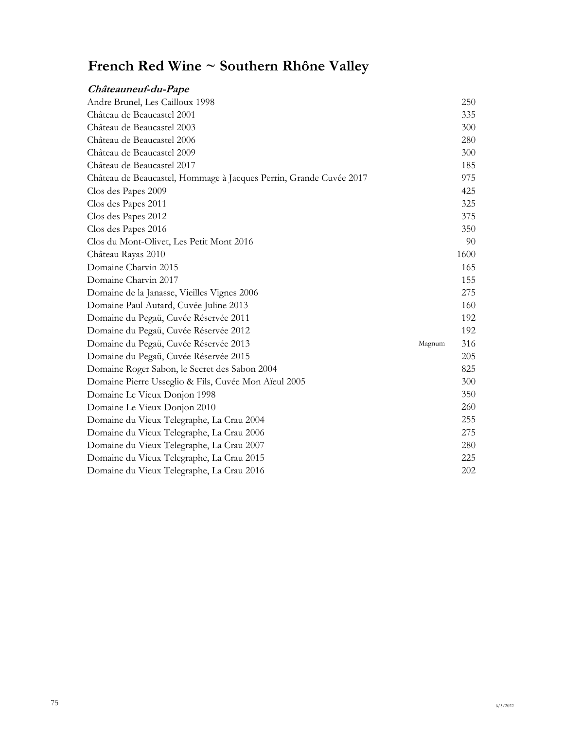# **French Red Wine ~ Southern Rhône Valley**

| Châteauneuf-du-Pape                                                |        |      |
|--------------------------------------------------------------------|--------|------|
| Andre Brunel, Les Cailloux 1998                                    |        | 250  |
| Château de Beaucastel 2001                                         |        | 335  |
| Château de Beaucastel 2003                                         |        | 300  |
| Château de Beaucastel 2006                                         |        | 280  |
| Château de Beaucastel 2009                                         |        | 300  |
| Château de Beaucastel 2017                                         |        | 185  |
| Château de Beaucastel, Hommage à Jacques Perrin, Grande Cuvée 2017 |        | 975  |
| Clos des Papes 2009                                                |        | 425  |
| Clos des Papes 2011                                                |        | 325  |
| Clos des Papes 2012                                                |        | 375  |
| Clos des Papes 2016                                                |        | 350  |
| Clos du Mont-Olivet, Les Petit Mont 2016                           |        | 90   |
| Château Rayas 2010                                                 |        | 1600 |
| Domaine Charvin 2015                                               |        | 165  |
| Domaine Charvin 2017                                               |        | 155  |
| Domaine de la Janasse, Vieilles Vignes 2006                        |        | 275  |
| Domaine Paul Autard, Cuvée Juline 2013                             |        | 160  |
| Domaine du Pegaü, Cuvée Réservée 2011                              |        | 192  |
| Domaine du Pegaü, Cuvée Réservée 2012                              |        | 192  |
| Domaine du Pegaü, Cuvée Réservée 2013                              | Magnum | 316  |
| Domaine du Pegaü, Cuvée Réservée 2015                              |        | 205  |
| Domaine Roger Sabon, le Secret des Sabon 2004                      |        | 825  |
| Domaine Pierre Usseglio & Fils, Cuvée Mon Aïeul 2005               |        | 300  |
| Domaine Le Vieux Donjon 1998                                       |        | 350  |
| Domaine Le Vieux Donjon 2010                                       |        | 260  |
| Domaine du Vieux Telegraphe, La Crau 2004                          |        | 255  |
| Domaine du Vieux Telegraphe, La Crau 2006                          |        | 275  |
| Domaine du Vieux Telegraphe, La Crau 2007                          |        | 280  |
| Domaine du Vieux Telegraphe, La Crau 2015                          |        | 225  |
| Domaine du Vieux Telegraphe, La Crau 2016                          |        | 202  |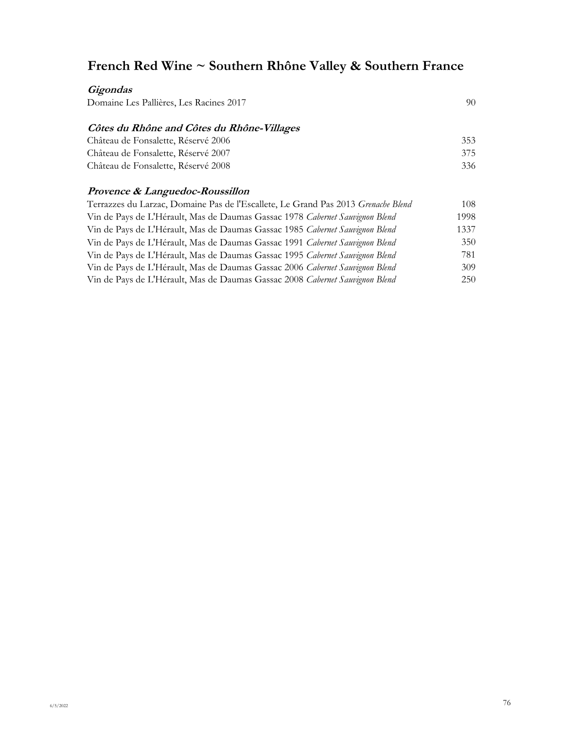# **French Red Wine ~ Southern Rhône Valley & Southern France**

| Gigondas                                                                          |      |
|-----------------------------------------------------------------------------------|------|
| Domaine Les Pallières, Les Racines 2017                                           | 90   |
| Côtes du Rhône and Côtes du Rhône-Villages                                        |      |
| Château de Fonsalette, Réservé 2006                                               | 353  |
| Château de Fonsalette, Réservé 2007                                               | 375  |
| Château de Fonsalette, Réservé 2008                                               | 336  |
| Provence & Languedoc-Roussillon                                                   |      |
| Terrazzes du Larzac, Domaine Pas de l'Escallete, Le Grand Pas 2013 Grenache Blend | 108  |
| Vin de Pays de L'Hérault, Mas de Daumas Gassac 1978 Cabernet Sauvignon Blend      | 1998 |
| Vin de Pays de L'Hérault, Mas de Daumas Gassac 1985 Cabernet Sauvignon Blend      | 1337 |
| Vin de Pays de L'Hérault, Mas de Daumas Gassac 1991 Cabernet Sauvignon Blend      | 350  |
| Vin de Pays de L'Hérault, Mas de Daumas Gassac 1995 Cabernet Sauvignon Blend      | 781  |
| Vin de Pays de L'Hérault, Mas de Daumas Gassac 2006 Cabernet Sauvignon Blend      | 309  |
| Vin de Pays de L'Hérault, Mas de Daumas Gassac 2008 Cabernet Sauvignon Blend      | 250  |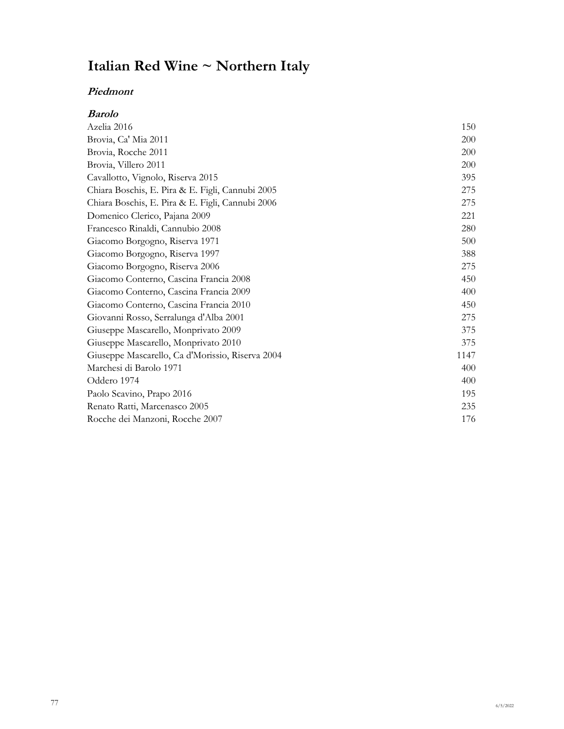# **Italian Red Wine ~ Northern Italy**

#### **Piedmont**

| <b>Barolo</b>                                    |            |
|--------------------------------------------------|------------|
| Azelia 2016                                      | 150        |
| Brovia, Ca' Mia 2011                             | 200        |
| Brovia, Rocche 2011                              | <b>200</b> |
| Brovia, Villero 2011                             | <b>200</b> |
| Cavallotto, Vignolo, Riserva 2015                | 395        |
| Chiara Boschis, E. Pira & E. Figli, Cannubi 2005 | 275        |
| Chiara Boschis, E. Pira & E. Figli, Cannubi 2006 | 275        |
| Domenico Clerico, Pajana 2009                    | 221        |
| Francesco Rinaldi, Cannubio 2008                 | 280        |
| Giacomo Borgogno, Riserva 1971                   | 500        |
| Giacomo Borgogno, Riserva 1997                   | 388        |
| Giacomo Borgogno, Riserva 2006                   | 275        |
| Giacomo Conterno, Cascina Francia 2008           | 450        |
| Giacomo Conterno, Cascina Francia 2009           | 400        |
| Giacomo Conterno, Cascina Francia 2010           | 450        |
| Giovanni Rosso, Serralunga d'Alba 2001           | 275        |
| Giuseppe Mascarello, Monprivato 2009             | 375        |
| Giuseppe Mascarello, Monprivato 2010             | 375        |
| Giuseppe Mascarello, Ca d'Morissio, Riserva 2004 | 1147       |
| Marchesi di Barolo 1971                          | 400        |
| Oddero 1974                                      | 400        |
| Paolo Scavino, Prapo 2016                        | 195        |
| Renato Ratti, Marcenasco 2005                    | 235        |
| Rocche dei Manzoni, Rocche 2007                  | 176        |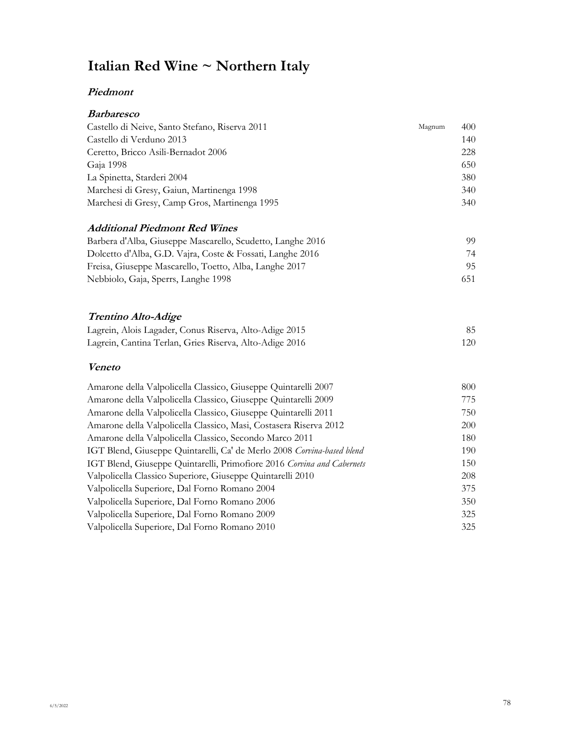# **Italian Red Wine ~ Northern Italy**

### **Piedmont**

| <b>Barbaresco</b>                                                      |        |     |
|------------------------------------------------------------------------|--------|-----|
| Castello di Neive, Santo Stefano, Riserva 2011                         | Magnum | 400 |
| Castello di Verduno 2013                                               |        | 140 |
| Ceretto, Bricco Asili-Bernadot 2006                                    |        | 228 |
| Gaja 1998                                                              |        | 650 |
| La Spinetta, Starderi 2004                                             |        | 380 |
| Marchesi di Gresy, Gaiun, Martinenga 1998                              |        | 340 |
| Marchesi di Gresy, Camp Gros, Martinenga 1995                          |        | 340 |
| <b>Additional Piedmont Red Wines</b>                                   |        |     |
| Barbera d'Alba, Giuseppe Mascarello, Scudetto, Langhe 2016             |        | 99  |
| Dolcetto d'Alba, G.D. Vajra, Coste & Fossati, Langhe 2016              |        | 74  |
| Freisa, Giuseppe Mascarello, Toetto, Alba, Langhe 2017                 |        | 95  |
| Nebbiolo, Gaja, Sperrs, Langhe 1998                                    |        | 651 |
| <b>Trentino Alto-Adige</b>                                             |        |     |
| Lagrein, Alois Lagader, Conus Riserva, Alto-Adige 2015                 |        | 85  |
| Lagrein, Cantina Terlan, Gries Riserva, Alto-Adige 2016                |        | 120 |
| <b>Veneto</b>                                                          |        |     |
| Amarone della Valpolicella Classico, Giuseppe Quintarelli 2007         |        | 800 |
| Amarone della Valpolicella Classico, Giuseppe Quintarelli 2009         |        | 775 |
| Amarone della Valpolicella Classico, Giuseppe Quintarelli 2011         |        | 750 |
| Amarone della Valpolicella Classico, Masi, Costasera Riserva 2012      |        | 200 |
| Amarone della Valpolicella Classico, Secondo Marco 2011                |        | 180 |
| IGT Blend, Giuseppe Quintarelli, Ca' de Merlo 2008 Corvina-based blend |        | 190 |
| IGT Blend, Giuseppe Quintarelli, Primofiore 2016 Corvina and Cabernets |        | 150 |
| Valpolicella Classico Superiore, Giuseppe Quintarelli 2010             |        | 208 |
| Valpolicella Superiore, Dal Forno Romano 2004                          |        | 375 |
| Valpolicella Superiore, Dal Forno Romano 2006                          |        | 350 |
| Valpolicella Superiore, Dal Forno Romano 2009                          |        | 325 |
| Valpolicella Superiore, Dal Forno Romano 2010                          |        | 325 |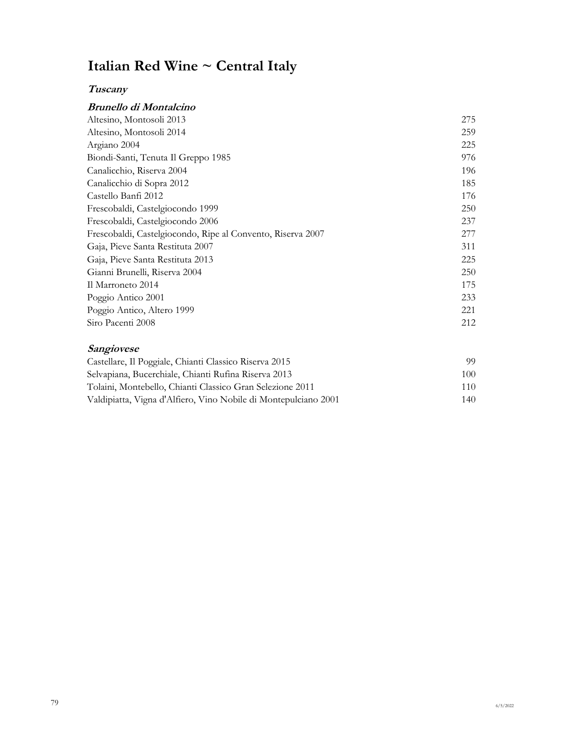# **Italian Red Wine ~ Central Italy**

## **Tuscany**

### **Brunello di Montalcino**

| 275 |
|-----|
| 259 |
| 225 |
| 976 |
| 196 |
| 185 |
| 176 |
| 250 |
| 237 |
| 277 |
| 311 |
| 225 |
| 250 |
| 175 |
| 233 |
| 221 |
| 212 |
|     |

#### **Sangiovese**

| Castellare, Il Poggiale, Chianti Classico Riserva 2015          | 99.  |
|-----------------------------------------------------------------|------|
| Selvapiana, Bucerchiale, Chianti Rufina Riserva 2013            | 100. |
| Tolaini, Montebello, Chianti Classico Gran Selezione 2011       | 110  |
| Valdipiatta, Vigna d'Alfiero, Vino Nobile di Montepulciano 2001 | 140  |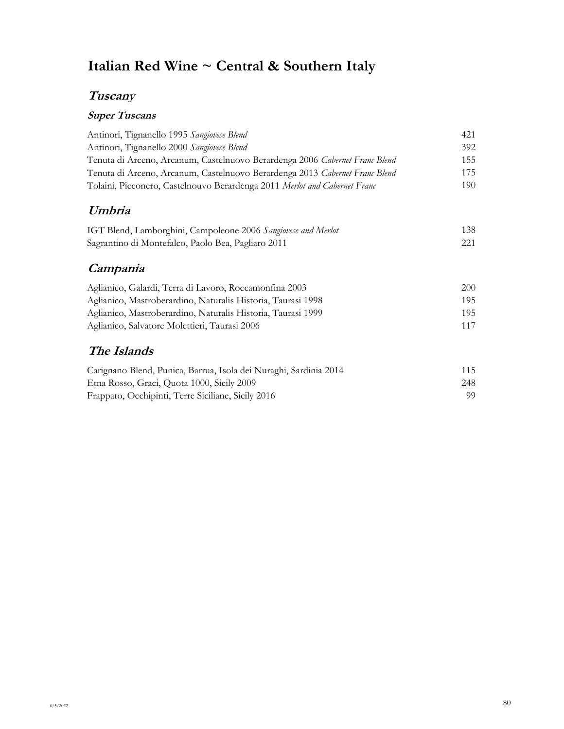# **Italian Red Wine ~ Central & Southern Italy**

## **Tuscany**

## **Super Tuscans**

| Antinori, Tignanello 1995 Sangiovese Blend                                  | 421 |
|-----------------------------------------------------------------------------|-----|
| Antinori, Tignanello 2000 Sangiovese Blend                                  | 392 |
| Tenuta di Arceno, Arcanum, Castelnuovo Berardenga 2006 Cabernet Franc Blend | 155 |
| Tenuta di Arceno, Arcanum, Castelnuovo Berardenga 2013 Cabernet Franc Blend | 175 |
| Tolaini, Picconero, Castelnouvo Berardenga 2011 Merlot and Cabernet Franc   | 190 |
| Umbria                                                                      |     |
| IGT Blend, Lamborghini, Campoleone 2006 Sangiovese and Merlot               | 138 |
| Sagrantino di Montefalco, Paolo Bea, Pagliaro 2011                          | 221 |
| Campania                                                                    |     |
| Aglianico, Galardi, Terra di Lavoro, Roccamonfina 2003                      | 200 |
| Aglianico, Mastroberardino, Naturalis Historia, Taurasi 1998                | 195 |
| Aglianico, Mastroberardino, Naturalis Historia, Taurasi 1999                | 195 |
| Aglianico, Salvatore Molettieri, Taurasi 2006                               | 117 |
| The Islands                                                                 |     |
| Carignano Blend, Punica, Barrua, Isola dei Nuraghi, Sardinia 2014           | 115 |
| Etna Rosso, Graci, Quota 1000, Sicily 2009                                  | 248 |
| Frappato, Occhipinti, Terre Siciliane, Sicily 2016                          | 99  |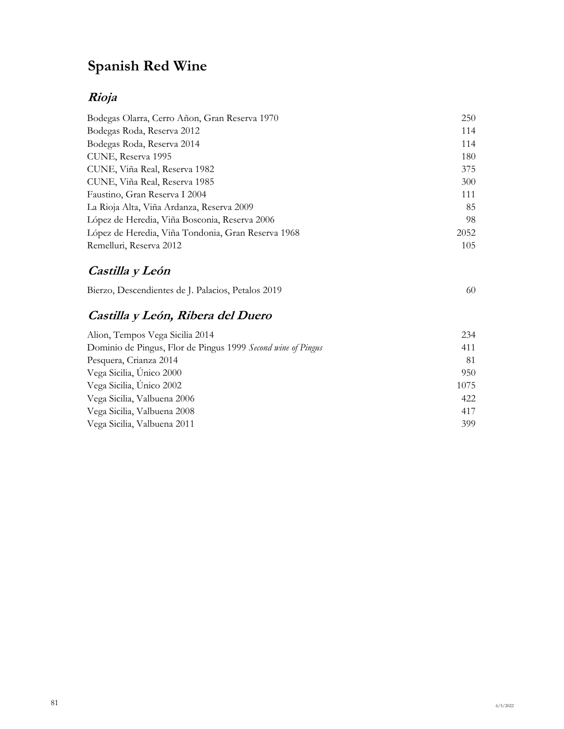# **Spanish Red Wine**

## **Rioja**

| Bodegas Olarra, Cerro Añon, Gran Reserva 1970      | 250  |
|----------------------------------------------------|------|
| Bodegas Roda, Reserva 2012                         | 114  |
| Bodegas Roda, Reserva 2014                         | 114  |
| CUNE, Reserva 1995                                 | 180  |
| CUNE, Viña Real, Reserva 1982                      | 375  |
| CUNE, Viña Real, Reserva 1985                      | 300  |
| Faustino, Gran Reserva I 2004                      | 111  |
| La Rioja Alta, Viña Ardanza, Reserva 2009          | 85   |
| López de Heredia, Viña Bosconia, Reserva 2006      | 98   |
| López de Heredia, Viña Tondonia, Gran Reserva 1968 | 2052 |
| Remelluri, Reserva 2012                            | 105  |

## **Castilla y León**

| Bierzo, Descendientes de J. Palacios, Petalos 2019 |  |
|----------------------------------------------------|--|
|                                                    |  |

## **Castilla y León, Ribera del Duero**

| 234  |
|------|
| 411  |
| 81   |
| 950  |
| 1075 |
| 422  |
| 417  |
| 399  |
|      |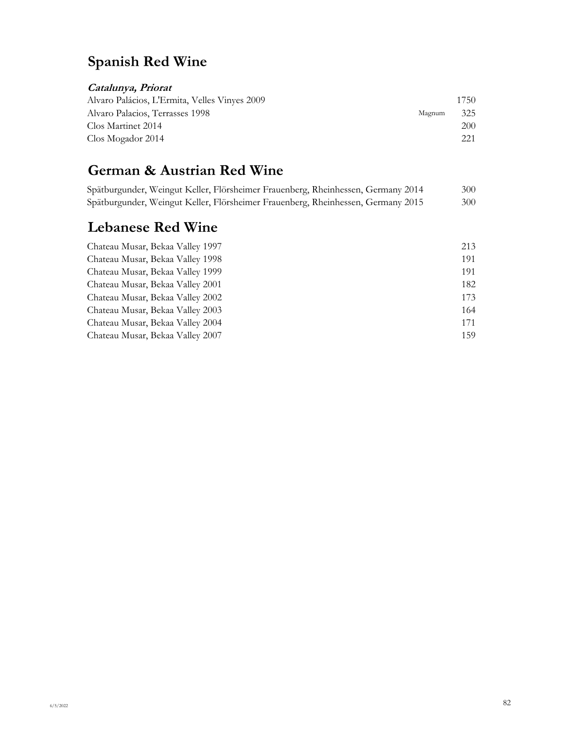# **Spanish Red Wine**

## **Catalunya, Priorat**

| Alvaro Palácios, L'Ermita, Velles Vinyes 2009 |        | 1750 |
|-----------------------------------------------|--------|------|
| Alvaro Palacios, Terrasses 1998               | Magnum | 325  |
| Clos Martinet 2014                            |        | 200  |
| Clos Mogador 2014                             |        | 221  |

# **German & Austrian Red Wine**

|  | Spätburgunder, Weingut Keller, Flörsheimer Frauenberg, Rheinhessen, Germany 2014 |  | 300- |
|--|----------------------------------------------------------------------------------|--|------|
|  | Spätburgunder, Weingut Keller, Flörsheimer Frauenberg, Rheinhessen, Germany 2015 |  | 300- |

## **Lebanese Red Wine**

| Chateau Musar, Bekaa Valley 1997 | 213 |
|----------------------------------|-----|
| Chateau Musar, Bekaa Valley 1998 | 191 |
| Chateau Musar, Bekaa Valley 1999 | 191 |
| Chateau Musar, Bekaa Valley 2001 | 182 |
| Chateau Musar, Bekaa Valley 2002 | 173 |
| Chateau Musar, Bekaa Valley 2003 | 164 |
| Chateau Musar, Bekaa Valley 2004 | 171 |
| Chateau Musar, Bekaa Valley 2007 | 159 |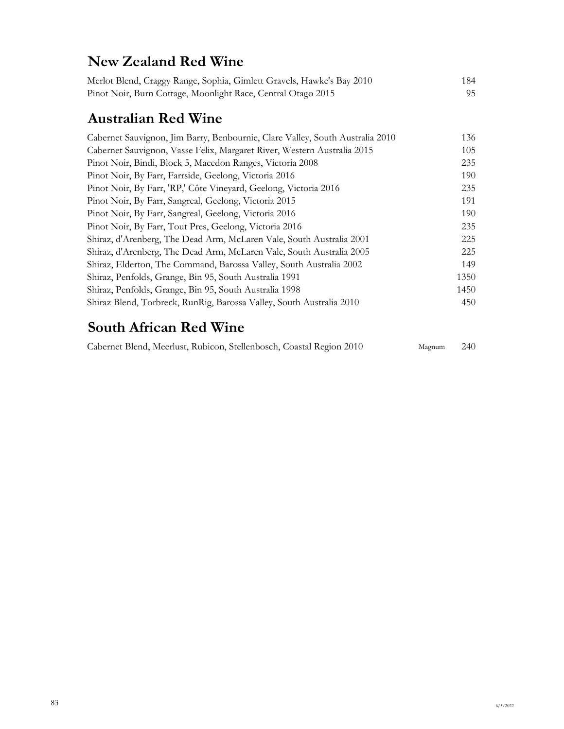## **New Zealand Red Wine**

| Merlot Blend, Craggy Range, Sophia, Gimlett Gravels, Hawke's Bay 2010 | 184- |
|-----------------------------------------------------------------------|------|
| Pinot Noir, Burn Cottage, Moonlight Race, Central Otago 2015          | 95.  |

# **Australian Red Wine**

| Cabernet Sauvignon, Jim Barry, Benbournie, Clare Valley, South Australia 2010 | 136  |
|-------------------------------------------------------------------------------|------|
| Cabernet Sauvignon, Vasse Felix, Margaret River, Western Australia 2015       | 105  |
| Pinot Noir, Bindi, Block 5, Macedon Ranges, Victoria 2008                     | 235  |
| Pinot Noir, By Farr, Farrside, Geelong, Victoria 2016                         | 190  |
| Pinot Noir, By Farr, 'RP,' Côte Vineyard, Geelong, Victoria 2016              | 235  |
| Pinot Noir, By Farr, Sangreal, Geelong, Victoria 2015                         | 191  |
| Pinot Noir, By Farr, Sangreal, Geelong, Victoria 2016                         | 190  |
| Pinot Noir, By Farr, Tout Pres, Geelong, Victoria 2016                        | 235  |
| Shiraz, d'Arenberg, The Dead Arm, McLaren Vale, South Australia 2001          | 225  |
| Shiraz, d'Arenberg, The Dead Arm, McLaren Vale, South Australia 2005          | 225  |
| Shiraz, Elderton, The Command, Barossa Valley, South Australia 2002           | 149  |
| Shiraz, Penfolds, Grange, Bin 95, South Australia 1991                        | 1350 |
| Shiraz, Penfolds, Grange, Bin 95, South Australia 1998                        | 1450 |
| Shiraz Blend, Torbreck, RunRig, Barossa Valley, South Australia 2010          | 450  |

# **South African Red Wine**

|  | Cabernet Blend, Meerlust, Rubicon, Stellenbosch, Coastal Region 2010 | Magnum 240 |  |
|--|----------------------------------------------------------------------|------------|--|
|  |                                                                      |            |  |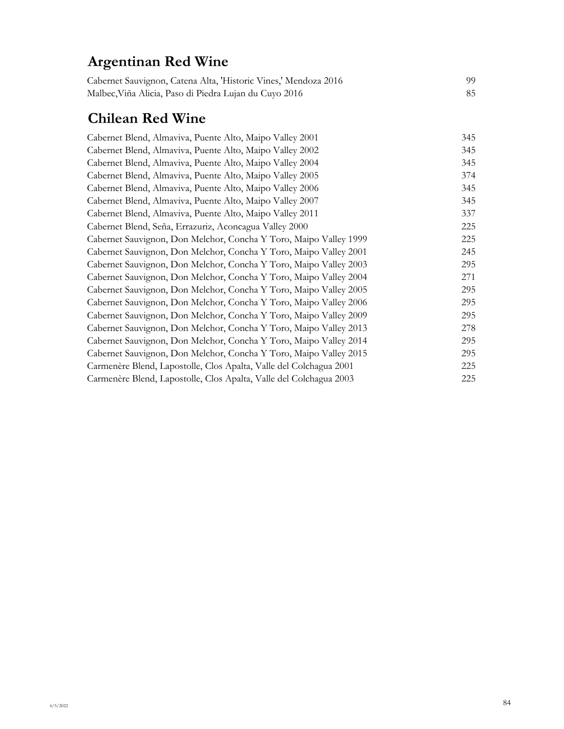# **Argentinan Red Wine**

| Cabernet Sauvignon, Catena Alta, 'Historic Vines,' Mendoza 2016 | 99. |
|-----------------------------------------------------------------|-----|
| Malbec, Viña Alicia, Paso di Piedra Lujan du Cuyo 2016          |     |

# **Chilean Red Wine**

| Cabernet Blend, Almaviva, Puente Alto, Maipo Valley 2001           | 345 |
|--------------------------------------------------------------------|-----|
| Cabernet Blend, Almaviva, Puente Alto, Maipo Valley 2002           | 345 |
| Cabernet Blend, Almaviva, Puente Alto, Maipo Valley 2004           | 345 |
| Cabernet Blend, Almaviva, Puente Alto, Maipo Valley 2005           | 374 |
| Cabernet Blend, Almaviva, Puente Alto, Maipo Valley 2006           | 345 |
| Cabernet Blend, Almaviva, Puente Alto, Maipo Valley 2007           | 345 |
| Cabernet Blend, Almaviva, Puente Alto, Maipo Valley 2011           | 337 |
| Cabernet Blend, Seña, Errazuriz, Aconcagua Valley 2000             | 225 |
| Cabernet Sauvignon, Don Melchor, Concha Y Toro, Maipo Valley 1999  | 225 |
| Cabernet Sauvignon, Don Melchor, Concha Y Toro, Maipo Valley 2001  | 245 |
| Cabernet Sauvignon, Don Melchor, Concha Y Toro, Maipo Valley 2003  | 295 |
| Cabernet Sauvignon, Don Melchor, Concha Y Toro, Maipo Valley 2004  | 271 |
| Cabernet Sauvignon, Don Melchor, Concha Y Toro, Maipo Valley 2005  | 295 |
| Cabernet Sauvignon, Don Melchor, Concha Y Toro, Maipo Valley 2006  | 295 |
| Cabernet Sauvignon, Don Melchor, Concha Y Toro, Maipo Valley 2009  | 295 |
| Cabernet Sauvignon, Don Melchor, Concha Y Toro, Maipo Valley 2013  | 278 |
| Cabernet Sauvignon, Don Melchor, Concha Y Toro, Maipo Valley 2014  | 295 |
| Cabernet Sauvignon, Don Melchor, Concha Y Toro, Maipo Valley 2015  | 295 |
| Carmenère Blend, Lapostolle, Clos Apalta, Valle del Colchagua 2001 | 225 |
| Carmenère Blend, Lapostolle, Clos Apalta, Valle del Colchagua 2003 | 225 |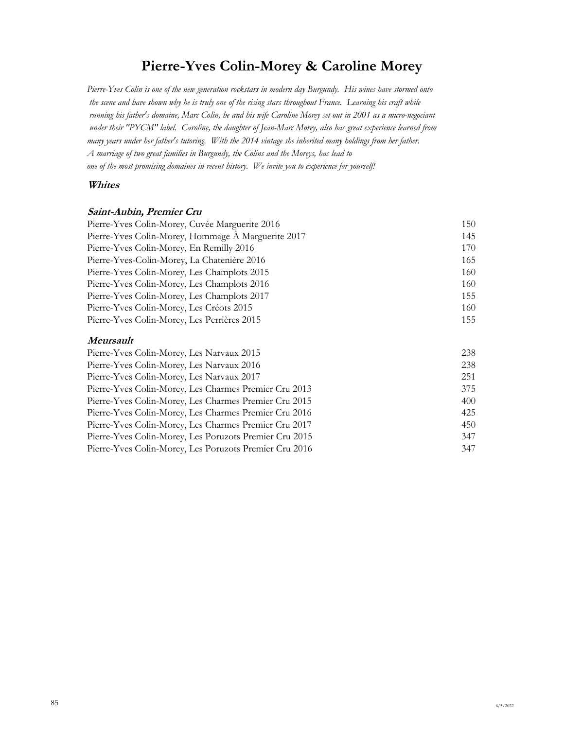## **Pierre-Yves Colin-Morey & Caroline Morey**

*Pierre-Yves Colin is one of the new generation rockstars in modern day Burgundy. His wines have stormed onto the scene and have shown why he is truly one of the rising stars throughout France. Learning his craft while running his father's domaine, Marc Colin, he and his wife Caroline Morey set out in 2001 as a micro-negociant under their "PYCM" label. Caroline, the daughter of Jean-Marc Morey, also has great experience learned from many years under her father's tutoring. With the 2014 vintage she inherited many holdings from her father. A marriage of two great families in Burgundy, the Colins and the Moreys, has lead to one of the most promising domaines in recent history. We invite you to experience for yourself!*

#### **Whites**

#### **Saint-Aubin, Premier Cru**

| Pierre-Yves Colin-Morey, Cuvée Marguerite 2016     | 150 |
|----------------------------------------------------|-----|
| Pierre-Yves Colin-Morey, Hommage A Marguerite 2017 | 145 |
| Pierre-Yves Colin-Morey, En Remilly 2016           | 170 |
| Pierre-Yves-Colin-Morey, La Chatenière 2016        | 165 |
| Pierre-Yves Colin-Morey, Les Champlots 2015        | 160 |
| Pierre-Yves Colin-Morey, Les Champlots 2016        | 160 |
| Pierre-Yves Colin-Morey, Les Champlots 2017        | 155 |
| Pierre-Yves Colin-Morey, Les Créots 2015           | 160 |
| Pierre-Yves Colin-Morey, Les Perrières 2015        | 155 |
|                                                    |     |

#### **Meursault**

| Pierre-Yves Colin-Morey, Les Narvaux 2015              | 238 |
|--------------------------------------------------------|-----|
| Pierre-Yves Colin-Morey, Les Narvaux 2016              | 238 |
| Pierre-Yves Colin-Morey, Les Narvaux 2017              | 251 |
| Pierre-Yves Colin-Morey, Les Charmes Premier Cru 2013  | 375 |
| Pierre-Yves Colin-Morey, Les Charmes Premier Cru 2015  | 400 |
| Pierre-Yves Colin-Morey, Les Charmes Premier Cru 2016  | 425 |
| Pierre-Yves Colin-Morey, Les Charmes Premier Cru 2017  | 450 |
| Pierre-Yves Colin-Morey, Les Poruzots Premier Cru 2015 | 347 |
| Pierre-Yves Colin-Morey, Les Poruzots Premier Cru 2016 | 347 |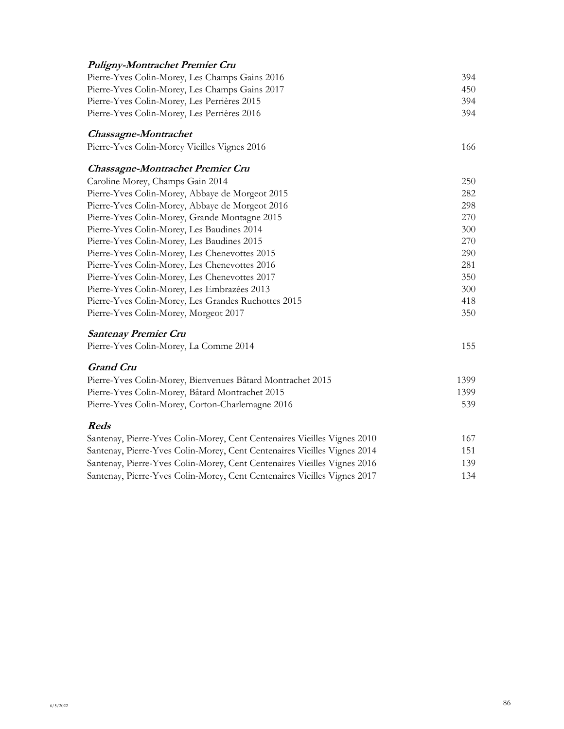| Puligny-Montrachet Premier Cru                                           |      |
|--------------------------------------------------------------------------|------|
| Pierre-Yves Colin-Morey, Les Champs Gains 2016                           | 394  |
| Pierre-Yves Colin-Morey, Les Champs Gains 2017                           | 450  |
| Pierre-Yves Colin-Morey, Les Perrières 2015                              | 394  |
| Pierre-Yves Colin-Morey, Les Perrières 2016                              | 394  |
| <b>Chassagne-Montrachet</b>                                              |      |
| Pierre-Yves Colin-Morey Vieilles Vignes 2016                             | 166  |
| <b>Chassagne-Montrachet Premier Cru</b>                                  |      |
| Caroline Morey, Champs Gain 2014                                         | 250  |
| Pierre-Yves Colin-Morey, Abbaye de Morgeot 2015                          | 282  |
| Pierre-Yves Colin-Morey, Abbaye de Morgeot 2016                          | 298  |
| Pierre-Yves Colin-Morey, Grande Montagne 2015                            | 270  |
| Pierre-Yves Colin-Morey, Les Baudines 2014                               | 300  |
| Pierre-Yves Colin-Morey, Les Baudines 2015                               | 270  |
| Pierre-Yves Colin-Morey, Les Chenevottes 2015                            | 290  |
| Pierre-Yves Colin-Morey, Les Chenevottes 2016                            | 281  |
| Pierre-Yves Colin-Morey, Les Chenevottes 2017                            | 350  |
| Pierre-Yves Colin-Morey, Les Embrazées 2013                              | 300  |
| Pierre-Yves Colin-Morey, Les Grandes Ruchottes 2015                      | 418  |
| Pierre-Yves Colin-Morey, Morgeot 2017                                    | 350  |
| <b>Santenay Premier Cru</b>                                              |      |
| Pierre-Yves Colin-Morey, La Comme 2014                                   | 155  |
| <b>Grand Cru</b>                                                         |      |
| Pierre-Yves Colin-Morey, Bienvenues Bâtard Montrachet 2015               | 1399 |
| Pierre-Yves Colin-Morey, Bâtard Montrachet 2015                          | 1399 |
| Pierre-Yves Colin-Morey, Corton-Charlemagne 2016                         | 539  |
| <b>Reds</b>                                                              |      |
| Santenay, Pierre-Yves Colin-Morey, Cent Centenaires Vieilles Vignes 2010 | 167  |
| Santenay, Pierre-Yves Colin-Morey, Cent Centenaires Vieilles Vignes 2014 | 151  |
| Santenay, Pierre-Yves Colin-Morey, Cent Centenaires Vieilles Vignes 2016 | 139  |
| Santenay, Pierre-Yves Colin-Morey, Cent Centenaires Vieilles Vignes 2017 | 134  |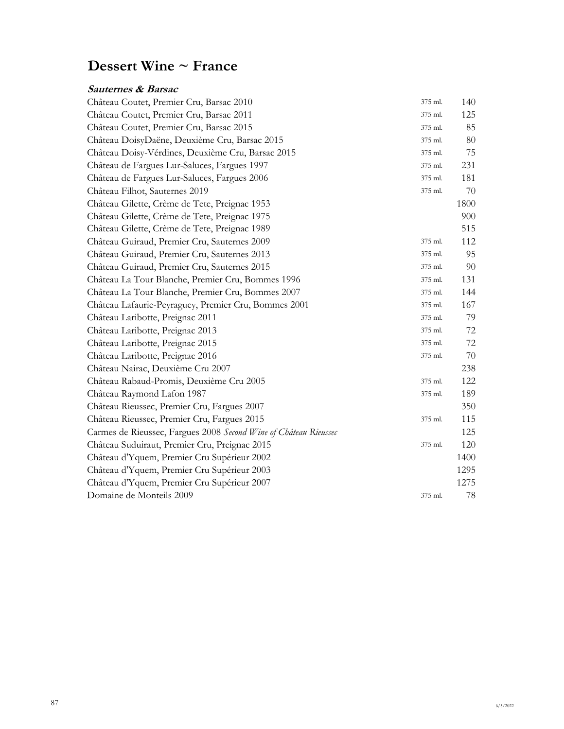# **Dessert Wine ~ France**

### **Sauternes & Barsac**

| Château Coutet, Premier Cru, Barsac 2010                         | 375 ml. | 140    |
|------------------------------------------------------------------|---------|--------|
| Château Coutet, Premier Cru, Barsac 2011                         | 375 ml. | 125    |
| Château Coutet, Premier Cru, Barsac 2015                         | 375 ml. | 85     |
| Château DoisyDaëne, Deuxième Cru, Barsac 2015                    | 375 ml. | $80\,$ |
| Château Doisy-Vérdines, Deuxième Cru, Barsac 2015                | 375 ml. | 75     |
| Château de Fargues Lur-Saluces, Fargues 1997                     | 375 ml. | 231    |
| Château de Fargues Lur-Saluces, Fargues 2006                     | 375 ml. | 181    |
| Château Filhot, Sauternes 2019                                   | 375 ml. | 70     |
| Château Gilette, Crème de Tete, Preignac 1953                    |         | 1800   |
| Château Gilette, Crème de Tete, Preignac 1975                    |         | 900    |
| Château Gilette, Crème de Tete, Preignac 1989                    |         | 515    |
| Château Guiraud, Premier Cru, Sauternes 2009                     | 375 ml. | 112    |
| Château Guiraud, Premier Cru, Sauternes 2013                     | 375 ml. | 95     |
| Château Guiraud, Premier Cru, Sauternes 2015                     | 375 ml. | 90     |
| Château La Tour Blanche, Premier Cru, Bommes 1996                | 375 ml. | 131    |
| Château La Tour Blanche, Premier Cru, Bommes 2007                | 375 ml. | 144    |
| Château Lafaurie-Peyraguey, Premier Cru, Bommes 2001             | 375 ml. | 167    |
| Château Laribotte, Preignac 2011                                 | 375 ml. | 79     |
| Château Laribotte, Preignac 2013                                 | 375 ml. | 72     |
| Château Laribotte, Preignac 2015                                 | 375 ml. | $72\,$ |
| Château Laribotte, Preignac 2016                                 | 375 ml. | 70     |
| Château Nairac, Deuxième Cru 2007                                |         | 238    |
| Château Rabaud-Promis, Deuxième Cru 2005                         | 375 ml. | 122    |
| Château Raymond Lafon 1987                                       | 375 ml. | 189    |
| Château Rieussec, Premier Cru, Fargues 2007                      |         | 350    |
| Château Rieussec, Premier Cru, Fargues 2015                      | 375 ml. | 115    |
| Carmes de Rieussec, Fargues 2008 Second Wine of Château Rieussec |         | 125    |
| Château Suduiraut, Premier Cru, Preignac 2015                    | 375 ml. | 120    |
| Château d'Yquem, Premier Cru Supérieur 2002                      |         | 1400   |
| Château d'Yquem, Premier Cru Supérieur 2003                      |         | 1295   |
| Château d'Yquem, Premier Cru Supérieur 2007                      |         | 1275   |
| Domaine de Monteils 2009                                         | 375 ml. | 78     |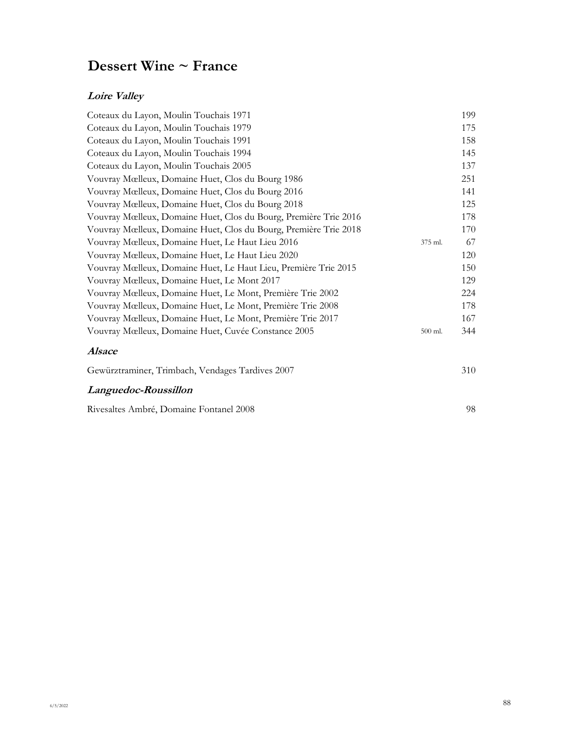# **Dessert Wine ~ France**

#### **Loire Valley**

| Coteaux du Layon, Moulin Touchais 1971                           |         | 199 |
|------------------------------------------------------------------|---------|-----|
| Coteaux du Layon, Moulin Touchais 1979                           |         | 175 |
| Coteaux du Layon, Moulin Touchais 1991                           |         | 158 |
| Coteaux du Layon, Moulin Touchais 1994                           |         | 145 |
| Coteaux du Layon, Moulin Touchais 2005                           |         | 137 |
| Vouvray Mœlleux, Domaine Huet, Clos du Bourg 1986                |         | 251 |
| Vouvray Mœlleux, Domaine Huet, Clos du Bourg 2016                |         | 141 |
| Vouvray Mœlleux, Domaine Huet, Clos du Bourg 2018                |         | 125 |
| Vouvray Mœlleux, Domaine Huet, Clos du Bourg, Première Trie 2016 |         | 178 |
| Vouvray Mœlleux, Domaine Huet, Clos du Bourg, Première Trie 2018 |         | 170 |
| Vouvray Mœlleux, Domaine Huet, Le Haut Lieu 2016                 | 375 ml. | 67  |
| Vouvray Mœlleux, Domaine Huet, Le Haut Lieu 2020                 |         | 120 |
| Vouvray Mœlleux, Domaine Huet, Le Haut Lieu, Première Trie 2015  |         | 150 |
| Vouvray Mœlleux, Domaine Huet, Le Mont 2017                      |         | 129 |
| Vouvray Mœlleux, Domaine Huet, Le Mont, Première Trie 2002       |         | 224 |
| Vouvray Mœlleux, Domaine Huet, Le Mont, Première Trie 2008       |         | 178 |
| Vouvray Mœlleux, Domaine Huet, Le Mont, Première Trie 2017       |         | 167 |
| Vouvray Mœlleux, Domaine Huet, Cuvée Constance 2005              | 500 ml. | 344 |
| <b>Alsace</b>                                                    |         |     |
| Gewürztraminer, Trimbach, Vendages Tardives 2007                 |         | 310 |
| Languedoc-Roussillon                                             |         |     |
| Rivesaltes Ambré, Domaine Fontanel 2008                          |         | 98  |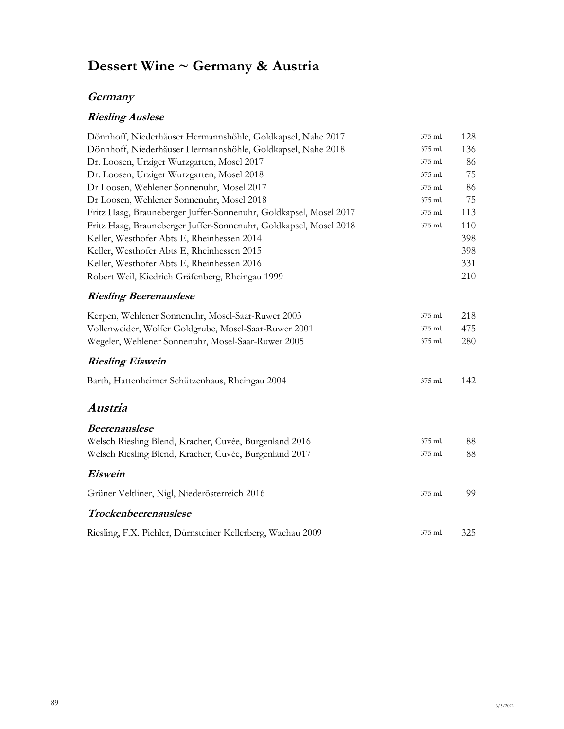# **Dessert Wine ~ Germany & Austria**

#### **Germany**

## **Riesling Auslese**

| Dönnhoff, Niederhäuser Hermannshöhle, Goldkapsel, Nahe 2017       | 375 ml. | 128 |
|-------------------------------------------------------------------|---------|-----|
| Dönnhoff, Niederhäuser Hermannshöhle, Goldkapsel, Nahe 2018       | 375 ml. | 136 |
| Dr. Loosen, Urziger Wurzgarten, Mosel 2017                        | 375 ml. | 86  |
| Dr. Loosen, Urziger Wurzgarten, Mosel 2018                        | 375 ml. | 75  |
| Dr Loosen, Wehlener Sonnenuhr, Mosel 2017                         | 375 ml. | 86  |
| Dr Loosen, Wehlener Sonnenuhr, Mosel 2018                         | 375 ml. | 75  |
| Fritz Haag, Brauneberger Juffer-Sonnenuhr, Goldkapsel, Mosel 2017 | 375 ml. | 113 |
| Fritz Haag, Brauneberger Juffer-Sonnenuhr, Goldkapsel, Mosel 2018 | 375 ml. | 110 |
| Keller, Westhofer Abts E, Rheinhessen 2014                        |         | 398 |
| Keller, Westhofer Abts E, Rheinhessen 2015                        |         | 398 |
| Keller, Westhofer Abts E, Rheinhessen 2016                        |         | 331 |
| Robert Weil, Kiedrich Gräfenberg, Rheingau 1999                   |         | 210 |
| <b>Riesling Beerenauslese</b>                                     |         |     |
| Kerpen, Wehlener Sonnenuhr, Mosel-Saar-Ruwer 2003                 | 375 ml. | 218 |
| Vollenweider, Wolfer Goldgrube, Mosel-Saar-Ruwer 2001             | 375 ml. | 475 |
| Wegeler, Wehlener Sonnenuhr, Mosel-Saar-Ruwer 2005                | 375 ml. | 280 |
| <b>Riesling Eiswein</b>                                           |         |     |
| Barth, Hattenheimer Schützenhaus, Rheingau 2004                   | 375 ml. | 142 |
| Austria                                                           |         |     |
| <b>Beerenauslese</b>                                              |         |     |
| Welsch Riesling Blend, Kracher, Cuvée, Burgenland 2016            | 375 ml. | 88  |
| Welsch Riesling Blend, Kracher, Cuvée, Burgenland 2017            | 375 ml. | 88  |
| Eiswein                                                           |         |     |
| Grüner Veltliner, Nigl, Niederösterreich 2016                     | 375 ml. | 99  |
| Trockenbeerenauslese                                              |         |     |
| Riesling, F.X. Pichler, Dürnsteiner Kellerberg, Wachau 2009       | 375 ml. | 325 |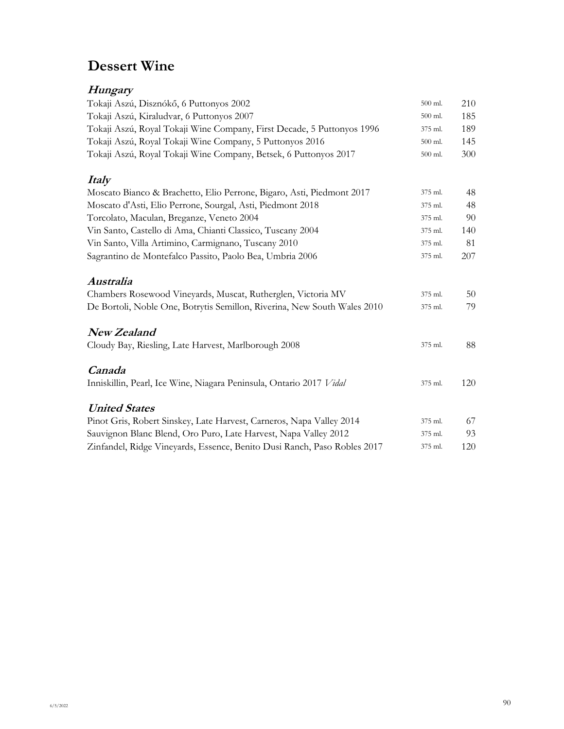# **Dessert Wine**

#### **Hungary**

| Tokaji Aszú, Disznókő, 6 Puttonyos 2002                                  | 500 ml. | 210 |
|--------------------------------------------------------------------------|---------|-----|
| Tokaji Aszú, Kiraludvar, 6 Puttonyos 2007                                | 500 ml. | 185 |
| Tokaji Aszú, Royal Tokaji Wine Company, First Decade, 5 Puttonyos 1996   | 375 ml. | 189 |
| Tokaji Aszú, Royal Tokaji Wine Company, 5 Puttonyos 2016                 | 500 ml. | 145 |
| Tokaji Aszú, Royal Tokaji Wine Company, Betsek, 6 Puttonyos 2017         | 500 ml. | 300 |
| <i>Italy</i>                                                             |         |     |
| Moscato Bianco & Brachetto, Elio Perrone, Bigaro, Asti, Piedmont 2017    | 375 ml. | 48  |
| Moscato d'Asti, Elio Perrone, Sourgal, Asti, Piedmont 2018               | 375 ml. | 48  |
| Torcolato, Maculan, Breganze, Veneto 2004                                | 375 ml. | 90  |
| Vin Santo, Castello di Ama, Chianti Classico, Tuscany 2004               | 375 ml. | 140 |
| Vin Santo, Villa Artimino, Carmignano, Tuscany 2010                      | 375 ml. | 81  |
| Sagrantino de Montefalco Passito, Paolo Bea, Umbria 2006                 | 375 ml. | 207 |
| Australia                                                                |         |     |
| Chambers Rosewood Vineyards, Muscat, Rutherglen, Victoria MV             | 375 ml. | 50  |
| De Bortoli, Noble One, Botrytis Semillon, Riverina, New South Wales 2010 | 375 ml. | 79  |
| <b>New Zealand</b>                                                       |         |     |
| Cloudy Bay, Riesling, Late Harvest, Marlborough 2008                     | 375 ml. | 88  |
| Canada                                                                   |         |     |
| Inniskillin, Pearl, Ice Wine, Niagara Peninsula, Ontario 2017 Vidal      | 375 ml. | 120 |
| <b>United States</b>                                                     |         |     |
| Pinot Gris, Robert Sinskey, Late Harvest, Carneros, Napa Valley 2014     | 375 ml. | 67  |
| Sauvignon Blanc Blend, Oro Puro, Late Harvest, Napa Valley 2012          | 375 ml. | 93  |
| Zinfandel, Ridge Vineyards, Essence, Benito Dusi Ranch, Paso Robles 2017 | 375 ml. | 120 |